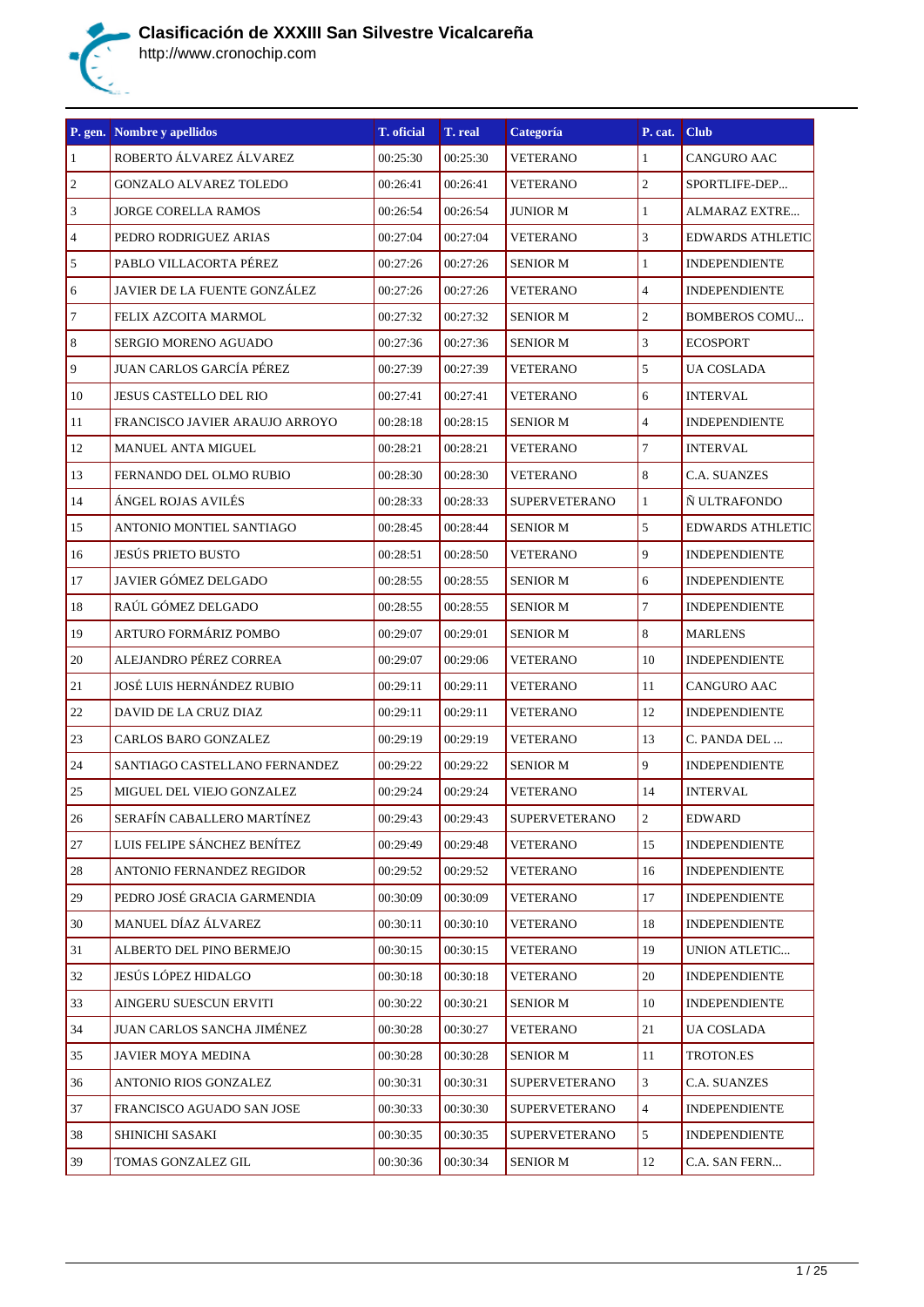

| P. gen.         | Nombre y apellidos              | T. oficial | T. real  | Categoría            | P. cat.        | <b>Club</b>             |
|-----------------|---------------------------------|------------|----------|----------------------|----------------|-------------------------|
| $\vert$ 1       | ROBERTO ÁLVAREZ ÁLVAREZ         | 00:25:30   | 00:25:30 | <b>VETERANO</b>      | $\mathbf{1}$   | CANGURO AAC             |
| $\vert$ 2       | <b>GONZALO ALVAREZ TOLEDO</b>   | 00:26:41   | 00:26:41 | <b>VETERANO</b>      | $\overline{c}$ | SPORTLIFE-DEP           |
| $\vert$ 3       | <b>JORGE CORELLA RAMOS</b>      | 00:26:54   | 00:26:54 | <b>JUNIOR M</b>      | $\mathbf{1}$   | ALMARAZ EXTRE           |
| $\vert 4 \vert$ | PEDRO RODRIGUEZ ARIAS           | 00:27:04   | 00:27:04 | <b>VETERANO</b>      | 3              | <b>EDWARDS ATHLETIC</b> |
| $\vert$ 5       | PABLO VILLACORTA PÉREZ          | 00:27:26   | 00:27:26 | <b>SENIOR M</b>      | $\mathbf{1}$   | <b>INDEPENDIENTE</b>    |
| 6               | JAVIER DE LA FUENTE GONZÁLEZ    | 00:27:26   | 00:27:26 | <b>VETERANO</b>      | $\overline{4}$ | <b>INDEPENDIENTE</b>    |
| $\vert$ 7       | FELIX AZCOITA MARMOL            | 00:27:32   | 00:27:32 | <b>SENIOR M</b>      | $\overline{c}$ | <b>BOMBEROS COMU</b>    |
| 8               | SERGIO MORENO AGUADO            | 00:27:36   | 00:27:36 | <b>SENIOR M</b>      | 3              | <b>ECOSPORT</b>         |
| $\vert$ 9       | <b>JUAN CARLOS GARCÍA PÉREZ</b> | 00:27:39   | 00:27:39 | <b>VETERANO</b>      | 5              | UA COSLADA              |
| <sup>10</sup>   | JESUS CASTELLO DEL RIO          | 00:27:41   | 00:27:41 | <b>VETERANO</b>      | 6              | <b>INTERVAL</b>         |
| <sup>11</sup>   | FRANCISCO JAVIER ARAUJO ARROYO  | 00:28:18   | 00:28:15 | <b>SENIOR M</b>      | $\overline{4}$ | <b>INDEPENDIENTE</b>    |
| 12              | MANUEL ANTA MIGUEL              | 00:28:21   | 00:28:21 | <b>VETERANO</b>      | $\overline{7}$ | <b>INTERVAL</b>         |
| 13              | FERNANDO DEL OLMO RUBIO         | 00:28:30   | 00:28:30 | <b>VETERANO</b>      | 8              | <b>C.A. SUANZES</b>     |
| 14              | ÁNGEL ROJAS AVILÉS              | 00:28:33   | 00:28:33 | <b>SUPERVETERANO</b> | $\mathbf{1}$   | Ñ ULTRAFONDO            |
| <sup>15</sup>   | ANTONIO MONTIEL SANTIAGO        | 00:28:45   | 00:28:44 | <b>SENIOR M</b>      | 5              | <b>EDWARDS ATHLETIC</b> |
| <sup>16</sup>   | <b>JESÚS PRIETO BUSTO</b>       | 00:28:51   | 00:28:50 | <b>VETERANO</b>      | 9              | <b>INDEPENDIENTE</b>    |
| <sup>17</sup>   | JAVIER GÓMEZ DELGADO            | 00:28:55   | 00:28:55 | <b>SENIOR M</b>      | 6              | <b>INDEPENDIENTE</b>    |
| 18              | RAÚL GÓMEZ DELGADO              | 00:28:55   | 00:28:55 | <b>SENIOR M</b>      | $\overline{7}$ | <b>INDEPENDIENTE</b>    |
| 19              | ARTURO FORMÁRIZ POMBO           | 00:29:07   | 00:29:01 | <b>SENIOR M</b>      | 8              | <b>MARLENS</b>          |
| 20              | ALEJANDRO PÉREZ CORREA          | 00:29:07   | 00:29:06 | <b>VETERANO</b>      | 10             | <b>INDEPENDIENTE</b>    |
| 21              | JOSÉ LUIS HERNÁNDEZ RUBIO       | 00:29:11   | 00:29:11 | <b>VETERANO</b>      | 11             | CANGURO AAC             |
| 22              | DAVID DE LA CRUZ DIAZ           | 00:29:11   | 00:29:11 | <b>VETERANO</b>      | 12             | <b>INDEPENDIENTE</b>    |
| 23              | <b>CARLOS BARO GONZALEZ</b>     | 00:29:19   | 00:29:19 | <b>VETERANO</b>      | 13             | C. PANDA DEL            |
| 24              | SANTIAGO CASTELLANO FERNANDEZ   | 00:29:22   | 00:29:22 | <b>SENIOR M</b>      | 9              | <b>INDEPENDIENTE</b>    |
| 25              | MIGUEL DEL VIEJO GONZALEZ       | 00:29:24   | 00:29:24 | <b>VETERANO</b>      | 14             | <b>INTERVAL</b>         |
| 26              | SERAFÍN CABALLERO MARTÍNEZ      | 00:29:43   | 00:29:43 | <b>SUPERVETERANO</b> | 2              | <b>EDWARD</b>           |
| 27              | LUIS FELIPE SÁNCHEZ BENÍTEZ     | 00:29:49   | 00:29:48 | <b>VETERANO</b>      | 15             | <b>INDEPENDIENTE</b>    |
| 28              | ANTONIO FERNANDEZ REGIDOR       | 00:29:52   | 00:29:52 | <b>VETERANO</b>      | 16             | <b>INDEPENDIENTE</b>    |
| 29              | PEDRO JOSÉ GRACIA GARMENDIA     | 00:30:09   | 00:30:09 | <b>VETERANO</b>      | 17             | <b>INDEPENDIENTE</b>    |
| 30              | MANUEL DÍAZ ÁLVAREZ             | 00:30:11   | 00:30:10 | <b>VETERANO</b>      | 18             | <b>INDEPENDIENTE</b>    |
| 31              | ALBERTO DEL PINO BERMEJO        | 00:30:15   | 00:30:15 | <b>VETERANO</b>      | 19             | <b>UNION ATLETIC</b>    |
| 32              | JESÚS LÓPEZ HIDALGO             | 00:30:18   | 00:30:18 | <b>VETERANO</b>      | 20             | <b>INDEPENDIENTE</b>    |
| 33              | AINGERU SUESCUN ERVITI          | 00:30:22   | 00:30:21 | <b>SENIOR M</b>      | 10             | <b>INDEPENDIENTE</b>    |
| 34              | JUAN CARLOS SANCHA JIMÉNEZ      | 00:30:28   | 00:30:27 | <b>VETERANO</b>      | 21             | UA COSLADA              |
| 35              | JAVIER MOYA MEDINA              | 00:30:28   | 00:30:28 | <b>SENIOR M</b>      | 11             | TROTON.ES               |
| 36              | ANTONIO RIOS GONZALEZ           | 00:30:31   | 00:30:31 | <b>SUPERVETERANO</b> | 3              | C.A. SUANZES            |
| 37              | FRANCISCO AGUADO SAN JOSE       | 00:30:33   | 00:30:30 | <b>SUPERVETERANO</b> | $\overline{4}$ | <b>INDEPENDIENTE</b>    |
| 38              | SHINICHI SASAKI                 | 00:30:35   | 00:30:35 | <b>SUPERVETERANO</b> | 5              | <b>INDEPENDIENTE</b>    |
| 39              | TOMAS GONZALEZ GIL              | 00:30:36   | 00:30:34 | <b>SENIOR M</b>      | 12             | C.A. SAN FERN           |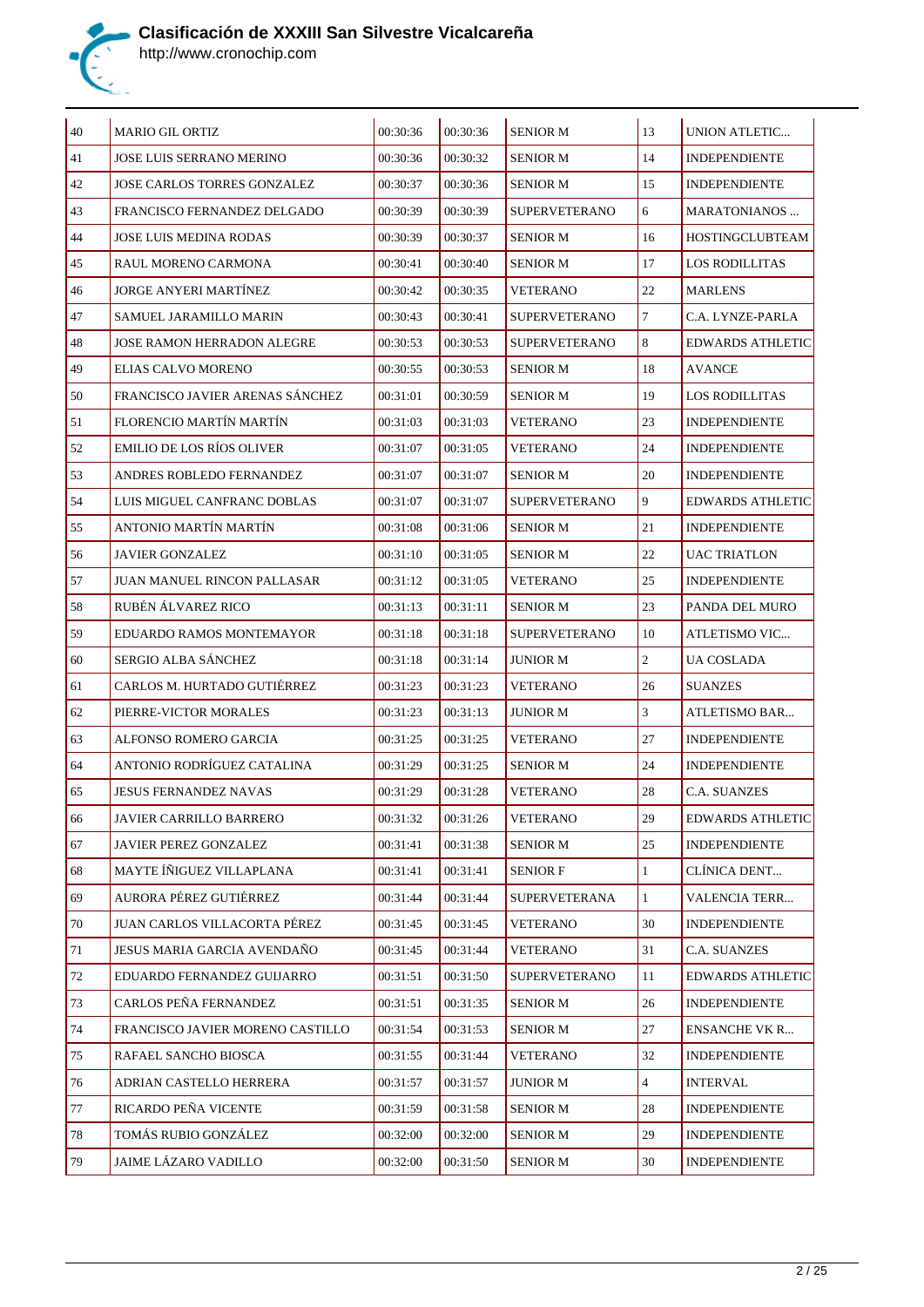

| $\vert$ 40 | <b>MARIO GIL ORTIZ</b>             | 00:30:36 | 00:30:36 | <b>SENIOR M</b>      | 13             | <b>UNION ATLETIC</b>    |
|------------|------------------------------------|----------|----------|----------------------|----------------|-------------------------|
| 41         | <b>JOSE LUIS SERRANO MERINO</b>    | 00:30:36 | 00:30:32 | <b>SENIOR M</b>      | 14             | <b>INDEPENDIENTE</b>    |
| 42         | JOSE CARLOS TORRES GONZALEZ        | 00:30:37 | 00:30:36 | <b>SENIOR M</b>      | 15             | <b>INDEPENDIENTE</b>    |
| 43         | FRANCISCO FERNANDEZ DELGADO        | 00:30:39 | 00:30:39 | <b>SUPERVETERANO</b> | 6              | <b>MARATONIANOS</b>     |
| 44         | <b>JOSE LUIS MEDINA RODAS</b>      | 00:30:39 | 00:30:37 | <b>SENIOR M</b>      | 16             | HOSTINGCLUBTEAM         |
| 45         | RAUL MORENO CARMONA                | 00:30:41 | 00:30:40 | <b>SENIOR M</b>      | 17             | <b>LOS RODILLITAS</b>   |
| 46         | JORGE ANYERI MARTÍNEZ              | 00:30:42 | 00:30:35 | <b>VETERANO</b>      | 22             | <b>MARLENS</b>          |
| 47         | SAMUEL JARAMILLO MARIN             | 00:30:43 | 00:30:41 | <b>SUPERVETERANO</b> | $\tau$         | C.A. LYNZE-PARLA        |
| 48         | JOSE RAMON HERRADON ALEGRE         | 00:30:53 | 00:30:53 | <b>SUPERVETERANO</b> | 8              | <b>EDWARDS ATHLETIC</b> |
| 49         | ELIAS CALVO MORENO                 | 00:30:55 | 00:30:53 | <b>SENIOR M</b>      | 18             | <b>AVANCE</b>           |
| 50         | FRANCISCO JAVIER ARENAS SÁNCHEZ    | 00:31:01 | 00:30:59 | <b>SENIOR M</b>      | 19             | <b>LOS RODILLITAS</b>   |
| 51         | FLORENCIO MARTÍN MARTÍN            | 00:31:03 | 00:31:03 | <b>VETERANO</b>      | 23             | <b>INDEPENDIENTE</b>    |
| 52         | <b>EMILIO DE LOS RÍOS OLIVER</b>   | 00:31:07 | 00:31:05 | <b>VETERANO</b>      | 24             | <b>INDEPENDIENTE</b>    |
| 53         | ANDRES ROBLEDO FERNANDEZ           | 00:31:07 | 00:31:07 | <b>SENIOR M</b>      | 20             | <b>INDEPENDIENTE</b>    |
| 54         | LUIS MIGUEL CANFRANC DOBLAS        | 00:31:07 | 00:31:07 | <b>SUPERVETERANO</b> | 9              | <b>EDWARDS ATHLETIC</b> |
| 55         | ANTONIO MARTÍN MARTÍN              | 00:31:08 | 00:31:06 | <b>SENIOR M</b>      | 21             | <b>INDEPENDIENTE</b>    |
| 56         | <b>JAVIER GONZALEZ</b>             | 00:31:10 | 00:31:05 | <b>SENIOR M</b>      | 22             | UAC TRIATLON            |
| 57         | <b>JUAN MANUEL RINCON PALLASAR</b> | 00:31:12 | 00:31:05 | <b>VETERANO</b>      | 25             | <b>INDEPENDIENTE</b>    |
| 58         | RUBÉN ÁLVAREZ RICO                 | 00:31:13 | 00:31:11 | <b>SENIOR M</b>      | 23             | PANDA DEL MURO          |
| 59         | EDUARDO RAMOS MONTEMAYOR           | 00:31:18 | 00:31:18 | <b>SUPERVETERANO</b> | 10             | ATLETISMO VIC           |
| 60         | SERGIO ALBA SÁNCHEZ                | 00:31:18 | 00:31:14 | <b>JUNIOR M</b>      | $\overline{c}$ | UA COSLADA              |
| 61         | CARLOS M. HURTADO GUTIÉRREZ        | 00:31:23 | 00:31:23 | <b>VETERANO</b>      | 26             | <b>SUANZES</b>          |
| 62         | PIERRE-VICTOR MORALES              | 00:31:23 | 00:31:13 | <b>JUNIOR M</b>      | 3              | ATLETISMO BAR           |
| 63         | ALFONSO ROMERO GARCIA              | 00:31:25 | 00:31:25 | <b>VETERANO</b>      | 27             | <b>INDEPENDIENTE</b>    |
| 64         | ANTONIO RODRÍGUEZ CATALINA         | 00:31:29 | 00:31:25 | <b>SENIOR M</b>      | 24             | <b>INDEPENDIENTE</b>    |
| 65         | JESUS FERNANDEZ NAVAS              | 00:31:29 | 00:31:28 | <b>VETERANO</b>      | 28             | C.A. SUANZES            |
| 66         | JAVIER CARRILLO BARRERO            | 00:31:32 | 00:31:26 | <b>VETERANO</b>      | 29             | <b>EDWARDS ATHLETIC</b> |
| 67         | JAVIER PEREZ GONZALEZ              | 00:31:41 | 00:31:38 | <b>SENIOR M</b>      | 25             | <b>INDEPENDIENTE</b>    |
| 68         | MAYTE ÍÑIGUEZ VILLAPLANA           | 00:31:41 | 00:31:41 | <b>SENIOR F</b>      | $\mathbf{1}$   | CLÍNICA DENT            |
| 69         | AURORA PÉREZ GUTIÉRREZ             | 00:31:44 | 00:31:44 | <b>SUPERVETERANA</b> | $\mathbf{1}$   | <b>VALENCIA TERR</b>    |
| 70         | JUAN CARLOS VILLACORTA PÉREZ       | 00:31:45 | 00:31:45 | <b>VETERANO</b>      | 30             | <b>INDEPENDIENTE</b>    |
| 71         | JESUS MARIA GARCIA AVENDAÑO        | 00:31:45 | 00:31:44 | <b>VETERANO</b>      | 31             | C.A. SUANZES            |
| 72         | EDUARDO FERNANDEZ GUIJARRO         | 00:31:51 | 00:31:50 | <b>SUPERVETERANO</b> | 11             | <b>EDWARDS ATHLETIC</b> |
| 73         | CARLOS PEÑA FERNANDEZ              | 00:31:51 | 00:31:35 | <b>SENIOR M</b>      | 26             | <b>INDEPENDIENTE</b>    |
| 74         | FRANCISCO JAVIER MORENO CASTILLO   | 00:31:54 | 00:31:53 | <b>SENIOR M</b>      | 27             | <b>ENSANCHE VK R</b>    |
| 75         | RAFAEL SANCHO BIOSCA               | 00:31:55 | 00:31:44 | <b>VETERANO</b>      | 32             | <b>INDEPENDIENTE</b>    |
| 76         | ADRIAN CASTELLO HERRERA            | 00:31:57 | 00:31:57 | <b>JUNIOR M</b>      | $\overline{4}$ | <b>INTERVAL</b>         |
| 77         | RICARDO PEÑA VICENTE               | 00:31:59 | 00:31:58 | <b>SENIOR M</b>      | 28             | <b>INDEPENDIENTE</b>    |
| 78         | TOMÁS RUBIO GONZÁLEZ               | 00:32:00 | 00:32:00 | <b>SENIOR M</b>      | 29             | <b>INDEPENDIENTE</b>    |
| 79         | JAIME LÁZARO VADILLO               | 00:32:00 | 00:31:50 | <b>SENIOR M</b>      | 30             | INDEPENDIENTE           |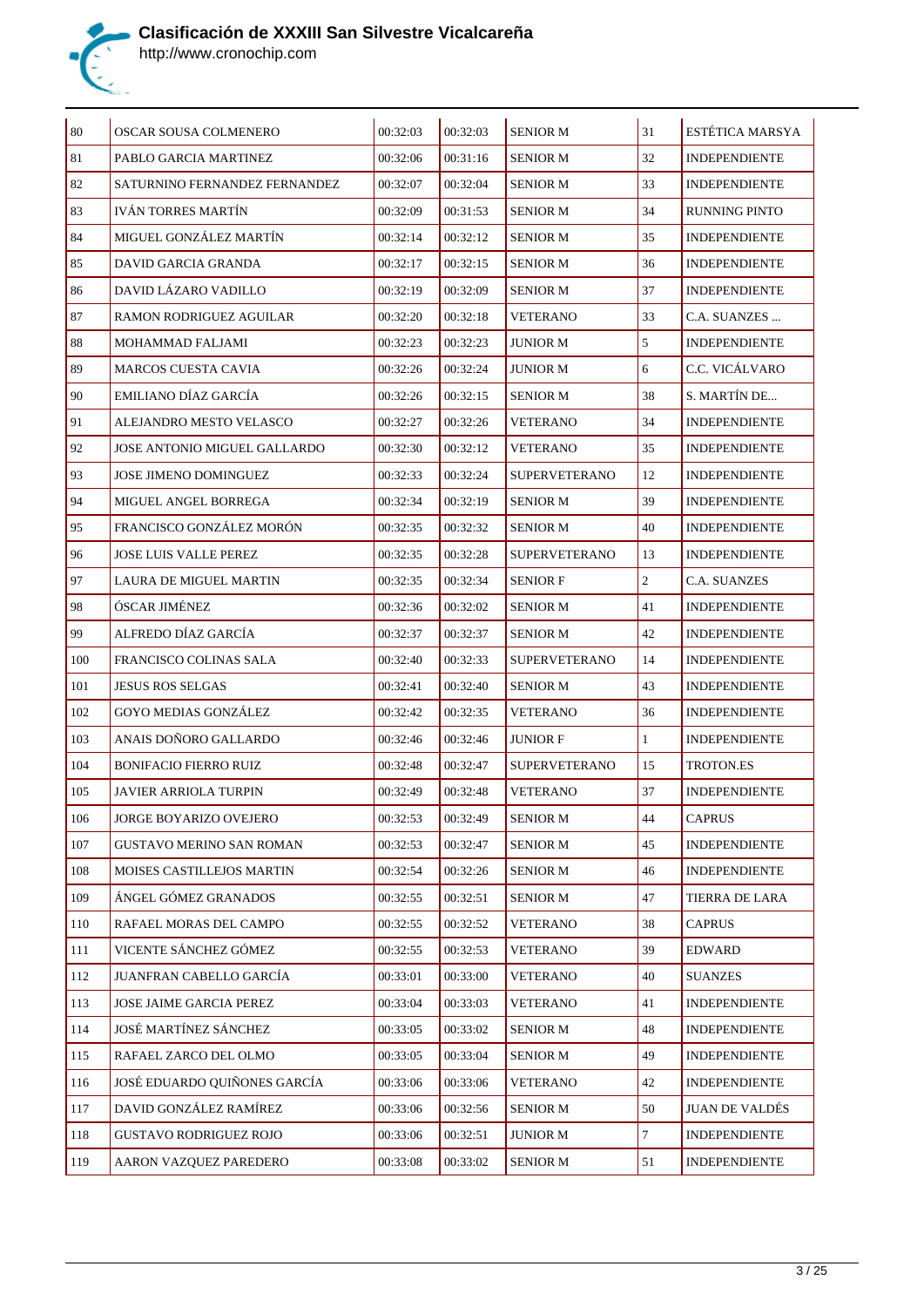

| 80  | OSCAR SOUSA COLMENERO           | 00:32:03 | 00:32:03 | <b>SENIOR M</b>      | 31               | ESTÉTICA MARSYA       |
|-----|---------------------------------|----------|----------|----------------------|------------------|-----------------------|
| 81  | PABLO GARCIA MARTINEZ           | 00:32:06 | 00:31:16 | <b>SENIOR M</b>      | 32               | <b>INDEPENDIENTE</b>  |
| 82  | SATURNINO FERNANDEZ FERNANDEZ   | 00:32:07 | 00:32:04 | <b>SENIOR M</b>      | 33               | <b>INDEPENDIENTE</b>  |
| 83  | <b>IVÁN TORRES MARTÍN</b>       | 00:32:09 | 00:31:53 | <b>SENIOR M</b>      | 34               | <b>RUNNING PINTO</b>  |
| 84  | MIGUEL GONZÁLEZ MARTÍN          | 00:32:14 | 00:32:12 | <b>SENIOR M</b>      | 35               | <b>INDEPENDIENTE</b>  |
| 85  | DAVID GARCIA GRANDA             | 00:32:17 | 00:32:15 | <b>SENIOR M</b>      | 36               | <b>INDEPENDIENTE</b>  |
| 86  | DAVID LÁZARO VADILLO            | 00:32:19 | 00:32:09 | <b>SENIOR M</b>      | 37               | <b>INDEPENDIENTE</b>  |
| 87  | RAMON RODRIGUEZ AGUILAR         | 00:32:20 | 00:32:18 | <b>VETERANO</b>      | 33               | C.A. SUANZES          |
| 88  | MOHAMMAD FALJAMI                | 00:32:23 | 00:32:23 | <b>JUNIOR M</b>      | 5                | <b>INDEPENDIENTE</b>  |
| 89  | <b>MARCOS CUESTA CAVIA</b>      | 00:32:26 | 00:32:24 | <b>JUNIOR M</b>      | 6                | C.C. VICÁLVARO        |
| 90  | EMILIANO DÍAZ GARCÍA            | 00:32:26 | 00:32:15 | <b>SENIOR M</b>      | 38               | S. MARTÍN DE          |
| 91  | ALEJANDRO MESTO VELASCO         | 00:32:27 | 00:32:26 | <b>VETERANO</b>      | 34               | <b>INDEPENDIENTE</b>  |
| 92  | JOSE ANTONIO MIGUEL GALLARDO    | 00:32:30 | 00:32:12 | <b>VETERANO</b>      | 35               | <b>INDEPENDIENTE</b>  |
| 93  | JOSE JIMENO DOMINGUEZ           | 00:32:33 | 00:32:24 | <b>SUPERVETERANO</b> | 12               | <b>INDEPENDIENTE</b>  |
| 94  | MIGUEL ANGEL BORREGA            | 00:32:34 | 00:32:19 | <b>SENIOR M</b>      | 39               | <b>INDEPENDIENTE</b>  |
| 95  | FRANCISCO GONZÁLEZ MORÓN        | 00:32:35 | 00:32:32 | <b>SENIOR M</b>      | 40               | <b>INDEPENDIENTE</b>  |
| 96  | <b>JOSE LUIS VALLE PEREZ</b>    | 00:32:35 | 00:32:28 | <b>SUPERVETERANO</b> | 13               | <b>INDEPENDIENTE</b>  |
| 97  | LAURA DE MIGUEL MARTIN          | 00:32:35 | 00:32:34 | <b>SENIOR F</b>      | $\overline{c}$   | C.A. SUANZES          |
| 98  | ÓSCAR JIMÉNEZ                   | 00:32:36 | 00:32:02 | <b>SENIOR M</b>      | 41               | <b>INDEPENDIENTE</b>  |
| 99  | ALFREDO DÍAZ GARCÍA             | 00:32:37 | 00:32:37 | <b>SENIOR M</b>      | 42               | <b>INDEPENDIENTE</b>  |
| 100 | FRANCISCO COLINAS SALA          | 00:32:40 | 00:32:33 | <b>SUPERVETERANO</b> | 14               | <b>INDEPENDIENTE</b>  |
| 101 | <b>JESUS ROS SELGAS</b>         | 00:32:41 | 00:32:40 | <b>SENIOR M</b>      | 43               | <b>INDEPENDIENTE</b>  |
| 102 | <b>GOYO MEDIAS GONZÁLEZ</b>     | 00:32:42 | 00:32:35 | <b>VETERANO</b>      | 36               | <b>INDEPENDIENTE</b>  |
| 103 | ANAIS DOÑORO GALLARDO           | 00:32:46 | 00:32:46 | <b>JUNIOR F</b>      | 1                | <b>INDEPENDIENTE</b>  |
| 104 | <b>BONIFACIO FIERRO RUIZ</b>    | 00:32:48 | 00:32:47 | <b>SUPERVETERANO</b> | 15               | TROTON.ES             |
| 105 | JAVIER ARRIOLA TURPIN           | 00:32:49 | 00:32:48 | <b>VETERANO</b>      | 37               | <b>INDEPENDIENTE</b>  |
| 106 | JORGE BOYARIZO OVEJERO          | 00:32:53 | 00:32:49 | SENIOR M             | $44\,$           | <b>CAPRUS</b>         |
| 107 | <b>GUSTAVO MERINO SAN ROMAN</b> | 00:32:53 | 00:32:47 | <b>SENIOR M</b>      | 45               | <b>INDEPENDIENTE</b>  |
| 108 | MOISES CASTILLEJOS MARTIN       | 00:32:54 | 00:32:26 | <b>SENIOR M</b>      | 46               | <b>INDEPENDIENTE</b>  |
| 109 | ÁNGEL GÓMEZ GRANADOS            | 00:32:55 | 00:32:51 | <b>SENIOR M</b>      | 47               | TIERRA DE LARA        |
| 110 | RAFAEL MORAS DEL CAMPO          | 00:32:55 | 00:32:52 | <b>VETERANO</b>      | 38               | <b>CAPRUS</b>         |
| 111 | VICENTE SÁNCHEZ GÓMEZ           | 00:32:55 | 00:32:53 | <b>VETERANO</b>      | 39               | <b>EDWARD</b>         |
| 112 | JUANFRAN CABELLO GARCÍA         | 00:33:01 | 00:33:00 | <b>VETERANO</b>      | 40               | <b>SUANZES</b>        |
| 113 | JOSE JAIME GARCIA PEREZ         | 00:33:04 | 00:33:03 | <b>VETERANO</b>      | 41               | <b>INDEPENDIENTE</b>  |
| 114 | JOSÉ MARTÍNEZ SÁNCHEZ           | 00:33:05 | 00:33:02 | <b>SENIOR M</b>      | 48               | <b>INDEPENDIENTE</b>  |
| 115 | RAFAEL ZARCO DEL OLMO           | 00:33:05 | 00:33:04 | <b>SENIOR M</b>      | 49               | <b>INDEPENDIENTE</b>  |
| 116 | JOSÉ EDUARDO QUIÑONES GARCÍA    | 00:33:06 | 00:33:06 | <b>VETERANO</b>      | 42               | <b>INDEPENDIENTE</b>  |
| 117 | DAVID GONZÁLEZ RAMÍREZ          | 00:33:06 | 00:32:56 | <b>SENIOR M</b>      | 50               | <b>JUAN DE VALDÉS</b> |
| 118 | <b>GUSTAVO RODRIGUEZ ROJO</b>   | 00:33:06 | 00:32:51 | <b>JUNIOR M</b>      | $\boldsymbol{7}$ | <b>INDEPENDIENTE</b>  |
| 119 | AARON VAZQUEZ PAREDERO          | 00:33:08 | 00:33:02 | <b>SENIOR M</b>      | 51               | <b>INDEPENDIENTE</b>  |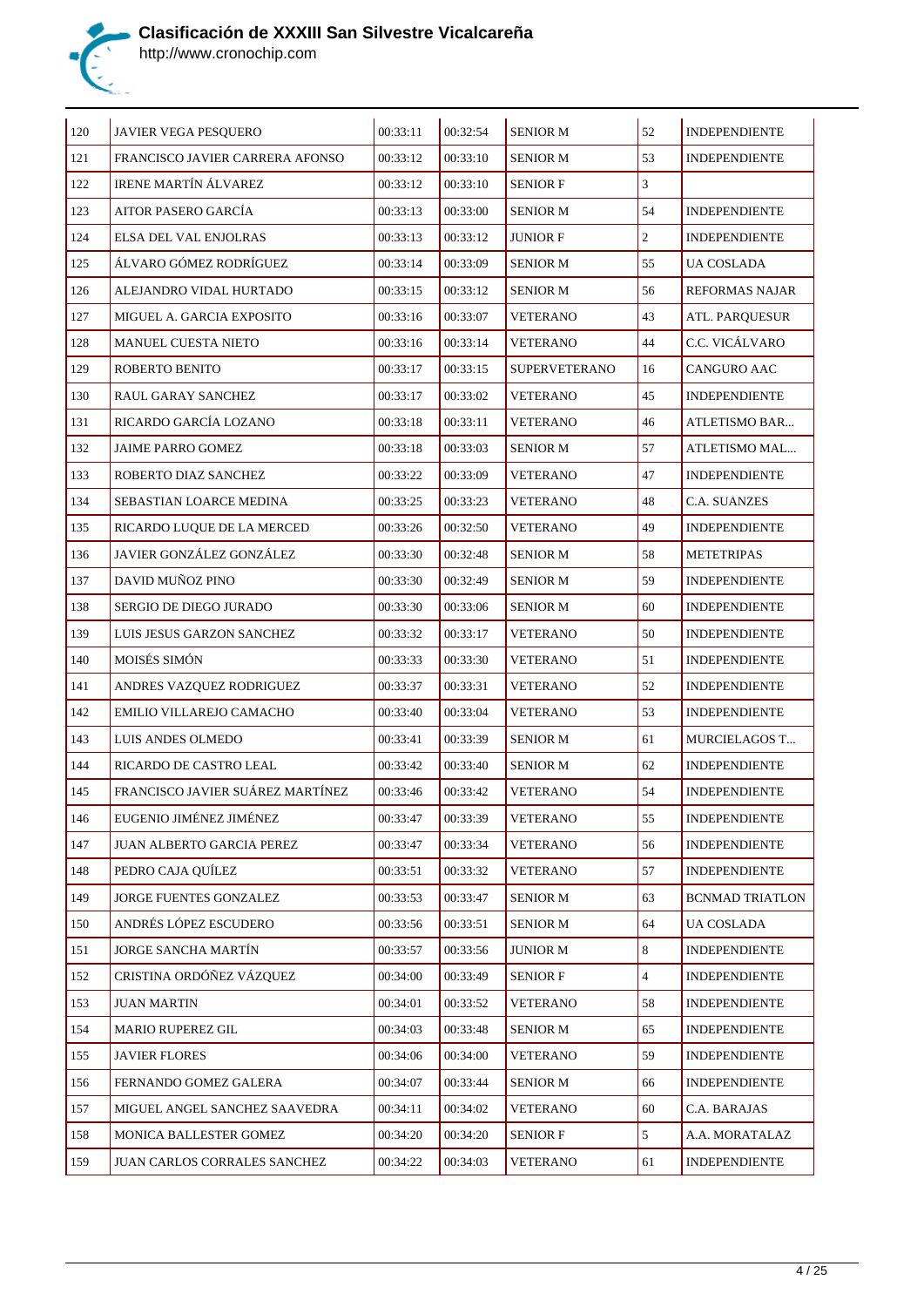

| 120 | JAVIER VEGA PESQUERO             | 00:33:11 | 00:32:54 | <b>SENIOR M</b>      | 52             | <b>INDEPENDIENTE</b>   |
|-----|----------------------------------|----------|----------|----------------------|----------------|------------------------|
| 121 | FRANCISCO JAVIER CARRERA AFONSO  | 00:33:12 | 00:33:10 | <b>SENIOR M</b>      | 53             | <b>INDEPENDIENTE</b>   |
| 122 | <b>IRENE MARTÍN ÁLVAREZ</b>      | 00:33:12 | 00:33:10 | <b>SENIOR F</b>      | 3              |                        |
| 123 | AITOR PASERO GARCÍA              | 00:33:13 | 00:33:00 | <b>SENIOR M</b>      | 54             | <b>INDEPENDIENTE</b>   |
| 124 | ELSA DEL VAL ENJOLRAS            | 00:33:13 | 00:33:12 | <b>JUNIOR F</b>      | $\overline{2}$ | <b>INDEPENDIENTE</b>   |
| 125 | ÁLVARO GÓMEZ RODRÍGUEZ           | 00:33:14 | 00:33:09 | <b>SENIOR M</b>      | 55             | UA COSLADA             |
| 126 | ALEJANDRO VIDAL HURTADO          | 00:33:15 | 00:33:12 | <b>SENIOR M</b>      | 56             | <b>REFORMAS NAJAR</b>  |
| 127 | MIGUEL A. GARCIA EXPOSITO        | 00:33:16 | 00:33:07 | <b>VETERANO</b>      | 43             | ATL. PARQUESUR         |
| 128 | <b>MANUEL CUESTA NIETO</b>       | 00:33:16 | 00:33:14 | <b>VETERANO</b>      | 44             | C.C. VICÁLVARO         |
| 129 | ROBERTO BENITO                   | 00:33:17 | 00:33:15 | <b>SUPERVETERANO</b> | 16             | CANGURO AAC            |
| 130 | RAUL GARAY SANCHEZ               | 00:33:17 | 00:33:02 | <b>VETERANO</b>      | 45             | <b>INDEPENDIENTE</b>   |
| 131 | RICARDO GARCÍA LOZANO            | 00:33:18 | 00:33:11 | <b>VETERANO</b>      | 46             | ATLETISMO BAR          |
| 132 | <b>JAIME PARRO GOMEZ</b>         | 00:33:18 | 00:33:03 | <b>SENIOR M</b>      | 57             | ATLETISMO MAL          |
| 133 | ROBERTO DIAZ SANCHEZ             | 00:33:22 | 00:33:09 | <b>VETERANO</b>      | 47             | <b>INDEPENDIENTE</b>   |
| 134 | SEBASTIAN LOARCE MEDINA          | 00:33:25 | 00:33:23 | <b>VETERANO</b>      | 48             | <b>C.A. SUANZES</b>    |
| 135 | RICARDO LUQUE DE LA MERCED       | 00:33:26 | 00:32:50 | <b>VETERANO</b>      | 49             | <b>INDEPENDIENTE</b>   |
| 136 | JAVIER GONZÁLEZ GONZÁLEZ         | 00:33:30 | 00:32:48 | <b>SENIOR M</b>      | 58             | <b>METETRIPAS</b>      |
| 137 | DAVID MUÑOZ PINO                 | 00:33:30 | 00:32:49 | SENIOR M             | 59             | <b>INDEPENDIENTE</b>   |
| 138 | SERGIO DE DIEGO JURADO           | 00:33:30 | 00:33:06 | <b>SENIOR M</b>      | 60             | <b>INDEPENDIENTE</b>   |
| 139 | LUIS JESUS GARZON SANCHEZ        | 00:33:32 | 00:33:17 | <b>VETERANO</b>      | 50             | <b>INDEPENDIENTE</b>   |
| 140 | MOISÉS SIMÓN                     | 00:33:33 | 00:33:30 | <b>VETERANO</b>      | 51             | <b>INDEPENDIENTE</b>   |
| 141 | ANDRES VAZQUEZ RODRIGUEZ         | 00:33:37 | 00:33:31 | <b>VETERANO</b>      | 52             | <b>INDEPENDIENTE</b>   |
| 142 | EMILIO VILLAREJO CAMACHO         | 00:33:40 | 00:33:04 | <b>VETERANO</b>      | 53             | <b>INDEPENDIENTE</b>   |
| 143 | LUIS ANDES OLMEDO                | 00:33:41 | 00:33:39 | <b>SENIOR M</b>      | 61             | <b>MURCIELAGOS T</b>   |
| 144 | RICARDO DE CASTRO LEAL           | 00:33:42 | 00:33:40 | <b>SENIOR M</b>      | 62             | <b>INDEPENDIENTE</b>   |
| 145 | FRANCISCO JAVIER SUÁREZ MARTÍNEZ | 00:33:46 | 00:33:42 | <b>VETERANO</b>      | 54             | <b>INDEPENDIENTE</b>   |
| 146 | EUGENIO JIMÉNEZ JIMÉNEZ          | 00:33:47 | 00:33:39 | <b>VETERANO</b>      | 55             | <b>INDEPENDIENTE</b>   |
| 147 | JUAN ALBERTO GARCIA PEREZ        | 00:33:47 | 00:33:34 | <b>VETERANO</b>      | 56             | INDEPENDIENTE          |
| 148 | PEDRO CAJA QUÍLEZ                | 00:33:51 | 00:33:32 | <b>VETERANO</b>      | 57             | <b>INDEPENDIENTE</b>   |
| 149 | JORGE FUENTES GONZALEZ           | 00:33:53 | 00:33:47 | <b>SENIOR M</b>      | 63             | <b>BCNMAD TRIATLON</b> |
| 150 | ANDRÉS LÓPEZ ESCUDERO            | 00:33:56 | 00:33:51 | <b>SENIOR M</b>      | 64             | <b>UA COSLADA</b>      |
| 151 | <b>JORGE SANCHA MARTÍN</b>       | 00:33:57 | 00:33:56 | <b>JUNIOR M</b>      | 8              | <b>INDEPENDIENTE</b>   |
| 152 | CRISTINA ORDÓÑEZ VÁZQUEZ         | 00:34:00 | 00:33:49 | <b>SENIOR F</b>      | $\overline{4}$ | <b>INDEPENDIENTE</b>   |
| 153 | <b>JUAN MARTIN</b>               | 00:34:01 | 00:33:52 | <b>VETERANO</b>      | 58             | <b>INDEPENDIENTE</b>   |
| 154 | <b>MARIO RUPEREZ GIL</b>         | 00:34:03 | 00:33:48 | <b>SENIOR M</b>      | 65             | <b>INDEPENDIENTE</b>   |
| 155 | <b>JAVIER FLORES</b>             | 00:34:06 | 00:34:00 | <b>VETERANO</b>      | 59             | <b>INDEPENDIENTE</b>   |
| 156 | FERNANDO GOMEZ GALERA            | 00:34:07 | 00:33:44 | <b>SENIOR M</b>      | 66             | <b>INDEPENDIENTE</b>   |
| 157 | MIGUEL ANGEL SANCHEZ SAAVEDRA    | 00:34:11 | 00:34:02 | <b>VETERANO</b>      | 60             | C.A. BARAJAS           |
| 158 | MONICA BALLESTER GOMEZ           | 00:34:20 | 00:34:20 | <b>SENIOR F</b>      | 5              | A.A. MORATALAZ         |
| 159 | JUAN CARLOS CORRALES SANCHEZ     | 00:34:22 | 00:34:03 | <b>VETERANO</b>      | 61             | <b>INDEPENDIENTE</b>   |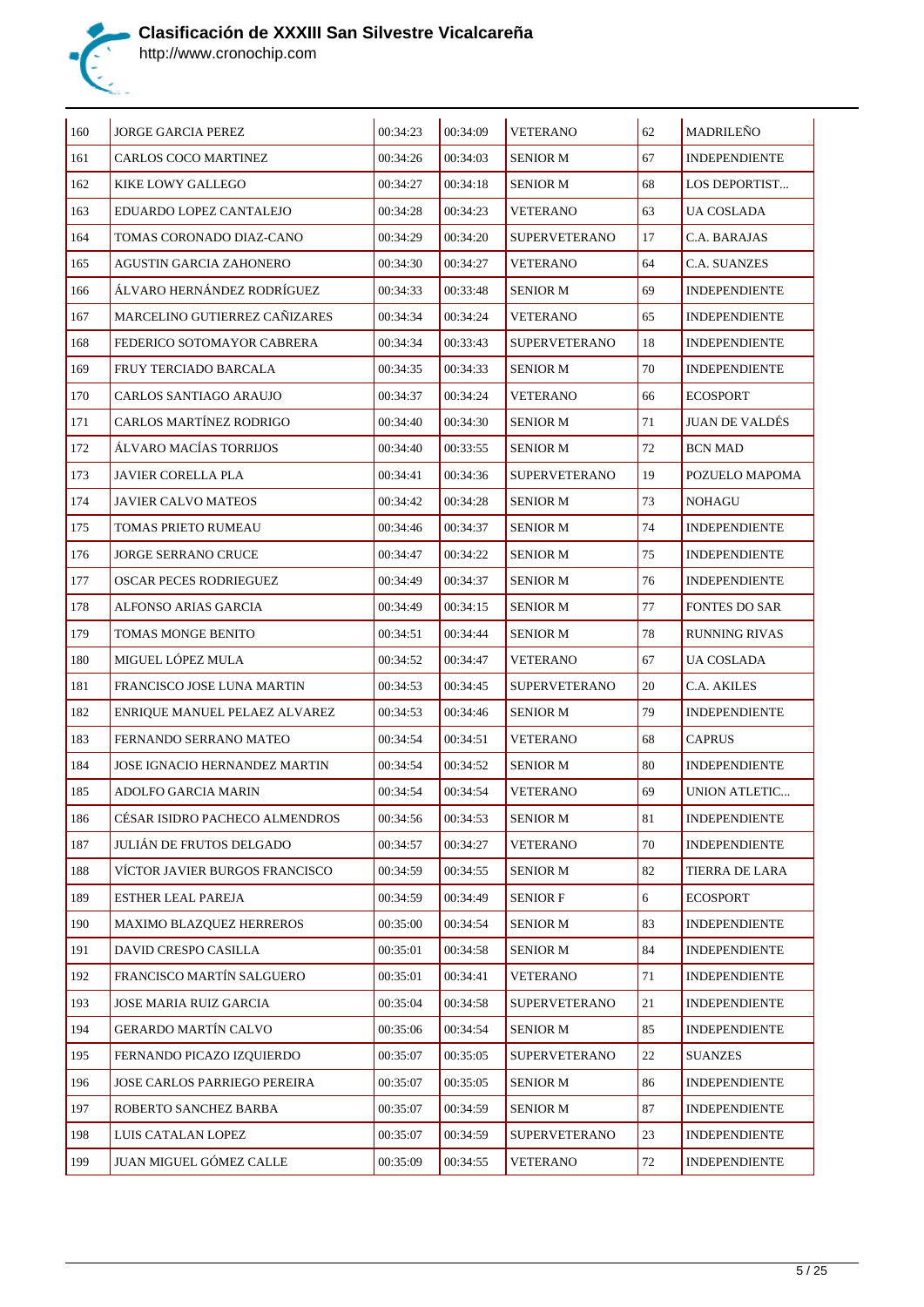

| $\vert$ 160    | <b>JORGE GARCIA PEREZ</b>       | 00:34:23 | 00:34:09 | <b>VETERANO</b>      | 62         | <b>MADRILEÑO</b>      |
|----------------|---------------------------------|----------|----------|----------------------|------------|-----------------------|
| <sup>161</sup> | CARLOS COCO MARTINEZ            | 00:34:26 | 00:34:03 | <b>SENIOR M</b>      | 67         | <b>INDEPENDIENTE</b>  |
| 162            | KIKE LOWY GALLEGO               | 00:34:27 | 00:34:18 | <b>SENIOR M</b>      | 68         | LOS DEPORTIST         |
| 163            | EDUARDO LOPEZ CANTALEJO         | 00:34:28 | 00:34:23 | VETERANO             | 63         | UA COSLADA            |
| 164            | TOMAS CORONADO DIAZ-CANO        | 00:34:29 | 00:34:20 | <b>SUPERVETERANO</b> | 17         | C.A. BARAJAS          |
| 165            | AGUSTIN GARCIA ZAHONERO         | 00:34:30 | 00:34:27 | <b>VETERANO</b>      | 64         | C.A. SUANZES          |
| 166            | ÁLVARO HERNÁNDEZ RODRÍGUEZ      | 00:34:33 | 00:33:48 | <b>SENIOR M</b>      | 69         | <b>INDEPENDIENTE</b>  |
| <sup>167</sup> | MARCELINO GUTIERREZ CAÑIZARES   | 00:34:34 | 00:34:24 | <b>VETERANO</b>      | 65         | <b>INDEPENDIENTE</b>  |
| 168            | FEDERICO SOTOMAYOR CABRERA      | 00:34:34 | 00:33:43 | <b>SUPERVETERANO</b> | 18         | <b>INDEPENDIENTE</b>  |
| 169            | FRUY TERCIADO BARCALA           | 00:34:35 | 00:34:33 | SENIOR M             | 70         | <b>INDEPENDIENTE</b>  |
| 170            | CARLOS SANTIAGO ARAUJO          | 00:34:37 | 00:34:24 | VETERANO             | 66         | <b>ECOSPORT</b>       |
| <sup>171</sup> | CARLOS MARTÍNEZ RODRIGO         | 00:34:40 | 00:34:30 | <b>SENIOR M</b>      | 71         | <b>JUAN DE VALDÉS</b> |
| 172            | ÁLVARO MACÍAS TORRIJOS          | 00:34:40 | 00:33:55 | <b>SENIOR M</b>      | 72         | <b>BCN MAD</b>        |
| 173            | <b>JAVIER CORELLA PLA</b>       | 00:34:41 | 00:34:36 | <b>SUPERVETERANO</b> | 19         | POZUELO MAPOMA        |
| 174            | JAVIER CALVO MATEOS             | 00:34:42 | 00:34:28 | SENIOR M             | 73         | NOHAGU                |
| <sup>175</sup> | TOMAS PRIETO RUMEAU             | 00:34:46 | 00:34:37 | <b>SENIOR M</b>      | 74         | <b>INDEPENDIENTE</b>  |
| 176            | <b>JORGE SERRANO CRUCE</b>      | 00:34:47 | 00:34:22 | <b>SENIOR M</b>      | 75         | <b>INDEPENDIENTE</b>  |
| <sup>177</sup> | <b>OSCAR PECES RODRIEGUEZ</b>   | 00:34:49 | 00:34:37 | <b>SENIOR M</b>      | 76         | <b>INDEPENDIENTE</b>  |
| 178            | ALFONSO ARIAS GARCIA            | 00:34:49 | 00:34:15 | <b>SENIOR M</b>      | 77         | <b>FONTES DO SAR</b>  |
| 179            | TOMAS MONGE BENITO              | 00:34:51 | 00:34:44 | <b>SENIOR M</b>      | 78         | <b>RUNNING RIVAS</b>  |
| 180            | MIGUEL LÓPEZ MULA               | 00:34:52 | 00:34:47 | VETERANO             | 67         | UA COSLADA            |
| 181            | FRANCISCO JOSE LUNA MARTIN      | 00:34:53 | 00:34:45 | <b>SUPERVETERANO</b> | 20         | C.A. AKILES           |
| 182            | ENRIQUE MANUEL PELAEZ ALVAREZ   | 00:34:53 | 00:34:46 | <b>SENIOR M</b>      | 79         | <b>INDEPENDIENTE</b>  |
| 183            | FERNANDO SERRANO MATEO          | 00:34:54 | 00:34:51 | <b>VETERANO</b>      | 68         | CAPRUS                |
| 184            | JOSE IGNACIO HERNANDEZ MARTIN   | 00:34:54 | 00:34:52 | <b>SENIOR M</b>      | 80         | <b>INDEPENDIENTE</b>  |
| 185            | ADOLFO GARCIA MARIN             | 00:34:54 | 00:34:54 | <b>VETERANO</b>      | 69         | UNION ATLETIC         |
| 186            | CÉSAR ISIDRO PACHECO ALMENDROS  | 00:34:56 | 00:34:53 | <b>SENIOR M</b>      | 81         | <b>INDEPENDIENTE</b>  |
| 187            | JULIÁN DE FRUTOS DELGADO        | 00:34:57 | 00:34:27 | <b>VETERANO</b>      | $70\,$     | <b>INDEPENDIENTE</b>  |
| 188            | VÍCTOR JAVIER BURGOS FRANCISCO  | 00:34:59 | 00:34:55 | <b>SENIOR M</b>      | 82         | TIERRA DE LARA        |
| 189            | ESTHER LEAL PAREJA              | 00:34:59 | 00:34:49 | <b>SENIOR F</b>      | $\sqrt{6}$ | <b>ECOSPORT</b>       |
| 190            | <b>MAXIMO BLAZQUEZ HERREROS</b> | 00:35:00 | 00:34:54 | <b>SENIOR M</b>      | 83         | <b>INDEPENDIENTE</b>  |
| 191            | DAVID CRESPO CASILLA            | 00:35:01 | 00:34:58 | <b>SENIOR M</b>      | 84         | <b>INDEPENDIENTE</b>  |
| 192            | FRANCISCO MARTÍN SALGUERO       | 00:35:01 | 00:34:41 | <b>VETERANO</b>      | 71         | INDEPENDIENTE         |
| 193            | JOSE MARIA RUIZ GARCIA          | 00:35:04 | 00:34:58 | <b>SUPERVETERANO</b> | 21         | <b>INDEPENDIENTE</b>  |
| 194            | GERARDO MARTÍN CALVO            | 00:35:06 | 00:34:54 | <b>SENIOR M</b>      | 85         | <b>INDEPENDIENTE</b>  |
| 195            | FERNANDO PICAZO IZQUIERDO       | 00:35:07 | 00:35:05 | <b>SUPERVETERANO</b> | 22         | <b>SUANZES</b>        |
| 196            | JOSE CARLOS PARRIEGO PEREIRA    | 00:35:07 | 00:35:05 | <b>SENIOR M</b>      | 86         | <b>INDEPENDIENTE</b>  |
| 197            | ROBERTO SANCHEZ BARBA           | 00:35:07 | 00:34:59 | <b>SENIOR M</b>      | 87         | <b>INDEPENDIENTE</b>  |
| 198            | LUIS CATALAN LOPEZ              | 00:35:07 | 00:34:59 | <b>SUPERVETERANO</b> | 23         | <b>INDEPENDIENTE</b>  |
| 199            | JUAN MIGUEL GÓMEZ CALLE         | 00:35:09 | 00:34:55 | <b>VETERANO</b>      | 72         | <b>INDEPENDIENTE</b>  |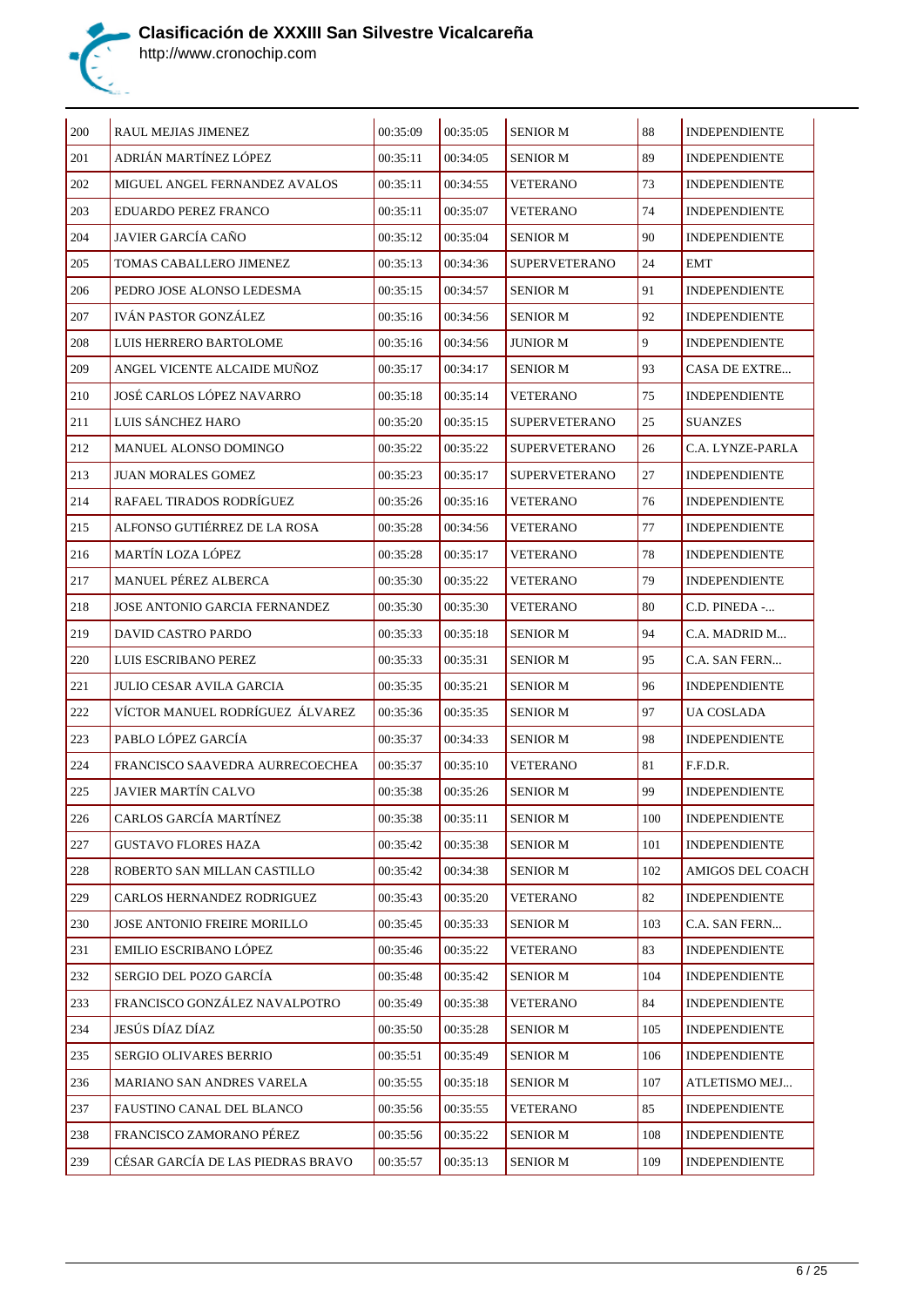

| 200     | RAUL MEJIAS JIMENEZ               | 00:35:09 | 00:35:05 | <b>SENIOR M</b>      | 88  | <b>INDEPENDIENTE</b> |
|---------|-----------------------------------|----------|----------|----------------------|-----|----------------------|
| 201     | ADRIÁN MARTÍNEZ LÓPEZ             | 00:35:11 | 00:34:05 | <b>SENIOR M</b>      | 89  | <b>INDEPENDIENTE</b> |
| 202     | MIGUEL ANGEL FERNANDEZ AVALOS     | 00:35:11 | 00:34:55 | <b>VETERANO</b>      | 73  | <b>INDEPENDIENTE</b> |
| 203     | EDUARDO PEREZ FRANCO              | 00:35:11 | 00:35:07 | <b>VETERANO</b>      | 74  | <b>INDEPENDIENTE</b> |
| 204     | JAVIER GARCÍA CAÑO                | 00:35:12 | 00:35:04 | <b>SENIOR M</b>      | 90  | <b>INDEPENDIENTE</b> |
| 205     | TOMAS CABALLERO JIMENEZ           | 00:35:13 | 00:34:36 | <b>SUPERVETERANO</b> | 24  | <b>EMT</b>           |
| 206     | PEDRO JOSE ALONSO LEDESMA         | 00:35:15 | 00:34:57 | <b>SENIOR M</b>      | 91  | <b>INDEPENDIENTE</b> |
| 207     | IVÁN PASTOR GONZÁLEZ              | 00:35:16 | 00:34:56 | <b>SENIOR M</b>      | 92  | <b>INDEPENDIENTE</b> |
| 208     | LUIS HERRERO BARTOLOME            | 00:35:16 | 00:34:56 | JUNIOR M             | 9   | <b>INDEPENDIENTE</b> |
| 209     | ANGEL VICENTE ALCAIDE MUNOZ       | 00:35:17 | 00:34:17 | <b>SENIOR M</b>      | 93  | CASA DE EXTRE        |
| 210     | JOSÉ CARLOS LÓPEZ NAVARRO         | 00:35:18 | 00:35:14 | <b>VETERANO</b>      | 75  | <b>INDEPENDIENTE</b> |
| 211     | LUIS SÁNCHEZ HARO                 | 00:35:20 | 00:35:15 | <b>SUPERVETERANO</b> | 25  | <b>SUANZES</b>       |
| 212     | MANUEL ALONSO DOMINGO             | 00:35:22 | 00:35:22 | SUPERVETERANO        | 26  | C.A. LYNZE-PARLA     |
| 213     | JUAN MORALES GOMEZ                | 00:35:23 | 00:35:17 | <b>SUPERVETERANO</b> | 27  | <b>INDEPENDIENTE</b> |
| 214     | RAFAEL TIRADOS RODRÍGUEZ          | 00:35:26 | 00:35:16 | <b>VETERANO</b>      | 76  | <b>INDEPENDIENTE</b> |
| 215     | ALFONSO GUTIÉRREZ DE LA ROSA      | 00:35:28 | 00:34:56 | <b>VETERANO</b>      | 77  | <b>INDEPENDIENTE</b> |
| 216     | MARTÍN LOZA LÓPEZ                 | 00:35:28 | 00:35:17 | <b>VETERANO</b>      | 78  | <b>INDEPENDIENTE</b> |
| 217     | MANUEL PÉREZ ALBERCA              | 00:35:30 | 00:35:22 | <b>VETERANO</b>      | 79  | <b>INDEPENDIENTE</b> |
| 218     | JOSE ANTONIO GARCIA FERNANDEZ     | 00:35:30 | 00:35:30 | <b>VETERANO</b>      | 80  | C.D. PINEDA -        |
| 219     | DAVID CASTRO PARDO                | 00:35:33 | 00:35:18 | <b>SENIOR M</b>      | 94  | C.A. MADRID M        |
| 220     | LUIS ESCRIBANO PEREZ              | 00:35:33 | 00:35:31 | <b>SENIOR M</b>      | 95  | C.A. SAN FERN        |
| 221     | JULIO CESAR AVILA GARCIA          | 00:35:35 | 00:35:21 | <b>SENIOR M</b>      | 96  | <b>INDEPENDIENTE</b> |
| 222     | VÍCTOR MANUEL RODRÍGUEZ ÁLVAREZ   | 00:35:36 | 00:35:35 | <b>SENIOR M</b>      | 97  | UA COSLADA           |
| 223     | PABLO LÓPEZ GARCÍA                | 00:35:37 | 00:34:33 | <b>SENIOR M</b>      | 98  | <b>INDEPENDIENTE</b> |
| 224     | FRANCISCO SAAVEDRA AURRECOECHEA   | 00:35:37 | 00:35:10 | <b>VETERANO</b>      | 81  | F.F.D.R.             |
| 225     | <b>JAVIER MARTÍN CALVO</b>        | 00:35:38 | 00:35:26 | <b>SENIOR M</b>      | 99  | <b>INDEPENDIENTE</b> |
| $226\,$ | CARLOS GARCÍA MARTÍNEZ            | 00:35:38 | 00:35:11 | <b>SENIOR M</b>      | 100 | <b>INDEPENDIENTE</b> |
| 227     | <b>GUSTAVO FLORES HAZA</b>        | 00:35:42 | 00:35:38 | <b>SENIOR M</b>      | 101 | <b>INDEPENDIENTE</b> |
| 228     | ROBERTO SAN MILLAN CASTILLO       | 00:35:42 | 00:34:38 | <b>SENIOR M</b>      | 102 | AMIGOS DEL COACH     |
| $229\,$ | CARLOS HERNANDEZ RODRIGUEZ        | 00:35:43 | 00:35:20 | <b>VETERANO</b>      | 82  | <b>INDEPENDIENTE</b> |
| 230     | JOSE ANTONIO FREIRE MORILLO       | 00:35:45 | 00:35:33 | <b>SENIOR M</b>      | 103 | C.A. SAN FERN        |
| 231     | EMILIO ESCRIBANO LÓPEZ            | 00:35:46 | 00:35:22 | <b>VETERANO</b>      | 83  | <b>INDEPENDIENTE</b> |
| 232     | SERGIO DEL POZO GARCÍA            | 00:35:48 | 00:35:42 | <b>SENIOR M</b>      | 104 | <b>INDEPENDIENTE</b> |
| 233     | FRANCISCO GONZÁLEZ NAVALPOTRO     | 00:35:49 | 00:35:38 | <b>VETERANO</b>      | 84  | <b>INDEPENDIENTE</b> |
| 234     | JESÚS DÍAZ DÍAZ                   | 00:35:50 | 00:35:28 | <b>SENIOR M</b>      | 105 | <b>INDEPENDIENTE</b> |
| 235     | SERGIO OLIVARES BERRIO            | 00:35:51 | 00:35:49 | <b>SENIOR M</b>      | 106 | <b>INDEPENDIENTE</b> |
| 236     | MARIANO SAN ANDRES VARELA         | 00:35:55 | 00:35:18 | <b>SENIOR M</b>      | 107 | ATLETISMO MEJ        |
| 237     | FAUSTINO CANAL DEL BLANCO         | 00:35:56 | 00:35:55 | <b>VETERANO</b>      | 85  | <b>INDEPENDIENTE</b> |
| 238     | FRANCISCO ZAMORANO PÉREZ          | 00:35:56 | 00:35:22 | <b>SENIOR M</b>      | 108 | <b>INDEPENDIENTE</b> |
| 239     | CÉSAR GARCÍA DE LAS PIEDRAS BRAVO | 00:35:57 | 00:35:13 | <b>SENIOR M</b>      | 109 | <b>INDEPENDIENTE</b> |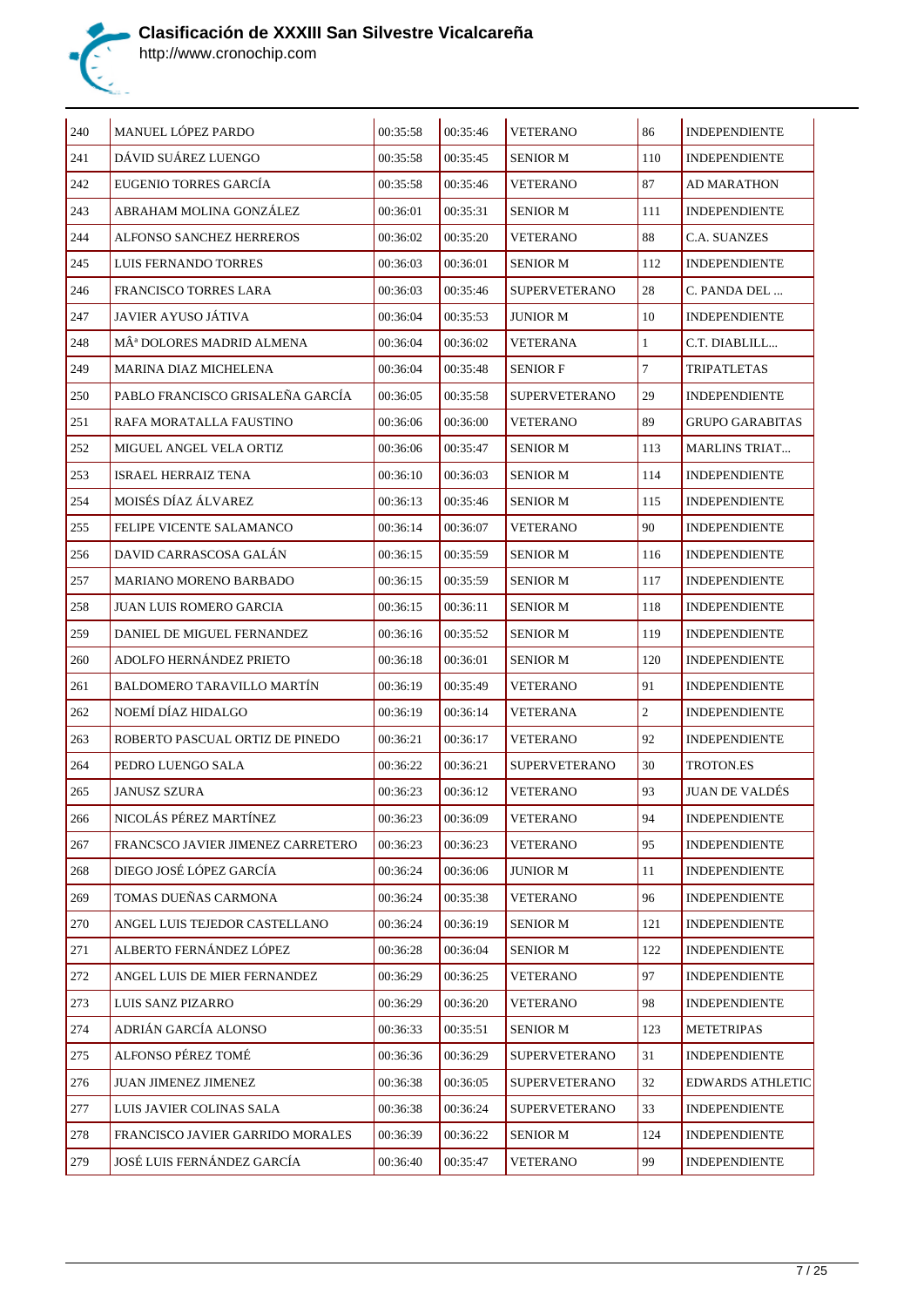

| 240 | MANUEL LÓPEZ PARDO                    | 00:35:58 | 00:35:46 | <b>VETERANO</b>      | 86             | <b>INDEPENDIENTE</b>    |
|-----|---------------------------------------|----------|----------|----------------------|----------------|-------------------------|
| 241 | DÁVID SUÁREZ LUENGO                   | 00:35:58 | 00:35:45 | <b>SENIOR M</b>      | 110            | <b>INDEPENDIENTE</b>    |
| 242 | EUGENIO TORRES GARCÍA                 | 00:35:58 | 00:35:46 | <b>VETERANO</b>      | 87             | AD MARATHON             |
| 243 | ABRAHAM MOLINA GONZÁLEZ               | 00:36:01 | 00:35:31 | <b>SENIOR M</b>      | 111            | <b>INDEPENDIENTE</b>    |
| 244 | ALFONSO SANCHEZ HERREROS              | 00:36:02 | 00:35:20 | <b>VETERANO</b>      | 88             | C.A. SUANZES            |
| 245 | LUIS FERNANDO TORRES                  | 00:36:03 | 00:36:01 | <b>SENIOR M</b>      | 112            | <b>INDEPENDIENTE</b>    |
| 246 | FRANCISCO TORRES LARA                 | 00:36:03 | 00:35:46 | <b>SUPERVETERANO</b> | 28             | C. PANDA DEL            |
| 247 | JAVIER AYUSO JÁTIVA                   | 00:36:04 | 00:35:53 | JUNIOR M             | 10             | <b>INDEPENDIENTE</b>    |
| 248 | MÂ <sup>ª</sup> DOLORES MADRID ALMENA | 00:36:04 | 00:36:02 | VETERANA             | $\mathbf{1}$   | C.T. DIABLILL           |
| 249 | MARINA DIAZ MICHELENA                 | 00:36:04 | 00:35:48 | <b>SENIOR F</b>      | $\tau$         | <b>TRIPATLETAS</b>      |
| 250 | PABLO FRANCISCO GRISALEÑA GARCÍA      | 00:36:05 | 00:35:58 | <b>SUPERVETERANO</b> | 29             | <b>INDEPENDIENTE</b>    |
| 251 | RAFA MORATALLA FAUSTINO               | 00:36:06 | 00:36:00 | <b>VETERANO</b>      | 89             | <b>GRUPO GARABITAS</b>  |
| 252 | MIGUEL ANGEL VELA ORTIZ               | 00:36:06 | 00:35:47 | <b>SENIOR M</b>      | 113            | <b>MARLINS TRIAT</b>    |
| 253 | ISRAEL HERRAIZ TENA                   | 00:36:10 | 00:36:03 | <b>SENIOR M</b>      | 114            | <b>INDEPENDIENTE</b>    |
| 254 | MOISÉS DÍAZ ÁLVAREZ                   | 00:36:13 | 00:35:46 | <b>SENIOR M</b>      | 115            | <b>INDEPENDIENTE</b>    |
| 255 | FELIPE VICENTE SALAMANCO              | 00:36:14 | 00:36:07 | <b>VETERANO</b>      | 90             | <b>INDEPENDIENTE</b>    |
| 256 | DAVID CARRASCOSA GALÁN                | 00:36:15 | 00:35:59 | <b>SENIOR M</b>      | 116            | <b>INDEPENDIENTE</b>    |
| 257 | MARIANO MORENO BARBADO                | 00:36:15 | 00:35:59 | <b>SENIOR M</b>      | 117            | <b>INDEPENDIENTE</b>    |
| 258 | JUAN LUIS ROMERO GARCIA               | 00:36:15 | 00:36:11 | <b>SENIOR M</b>      | 118            | <b>INDEPENDIENTE</b>    |
| 259 | DANIEL DE MIGUEL FERNANDEZ            | 00:36:16 | 00:35:52 | <b>SENIOR M</b>      | 119            | <b>INDEPENDIENTE</b>    |
| 260 | ADOLFO HERNÁNDEZ PRIETO               | 00:36:18 | 00:36:01 | <b>SENIOR M</b>      | 120            | <b>INDEPENDIENTE</b>    |
| 261 | BALDOMERO TARAVILLO MARTÍN            | 00:36:19 | 00:35:49 | <b>VETERANO</b>      | 91             | <b>INDEPENDIENTE</b>    |
| 262 | NOEMÍ DÍAZ HIDALGO                    | 00:36:19 | 00:36:14 | <b>VETERANA</b>      | $\overline{2}$ | <b>INDEPENDIENTE</b>    |
| 263 | ROBERTO PASCUAL ORTIZ DE PINEDO       | 00:36:21 | 00:36:17 | VETERANO             | 92             | <b>INDEPENDIENTE</b>    |
| 264 | PEDRO LUENGO SALA                     | 00:36:22 | 00:36:21 | <b>SUPERVETERANO</b> | 30             | <b>TROTON.ES</b>        |
| 265 | <b>JANUSZ SZURA</b>                   | 00:36:23 | 00:36:12 | <b>VETERANO</b>      | 93             | <b>JUAN DE VALDÉS</b>   |
| 266 | NICOLÁS PÉREZ MARTÍNEZ                | 00:36:23 | 00:36:09 | <b>VETERANO</b>      | 94             | <b>INDEPENDIENTE</b>    |
| 267 | FRANCSCO JAVIER JIMENEZ CARRETERO     | 00:36:23 | 00:36:23 | <b>VETERANO</b>      | 95             | <b>INDEPENDIENTE</b>    |
| 268 | DIEGO JOSÉ LÓPEZ GARCÍA               | 00:36:24 | 00:36:06 | <b>JUNIOR M</b>      | 11             | <b>INDEPENDIENTE</b>    |
| 269 | TOMAS DUEÑAS CARMONA                  | 00:36:24 | 00:35:38 | VETERANO             | 96             | <b>INDEPENDIENTE</b>    |
| 270 | ANGEL LUIS TEJEDOR CASTELLANO         | 00:36:24 | 00:36:19 | <b>SENIOR M</b>      | 121            | <b>INDEPENDIENTE</b>    |
| 271 | ALBERTO FERNÁNDEZ LÓPEZ               | 00:36:28 | 00:36:04 | <b>SENIOR M</b>      | 122            | <b>INDEPENDIENTE</b>    |
| 272 | ANGEL LUIS DE MIER FERNANDEZ          | 00:36:29 | 00:36:25 | VETERANO             | 97             | <b>INDEPENDIENTE</b>    |
| 273 | LUIS SANZ PIZARRO                     | 00:36:29 | 00:36:20 | <b>VETERANO</b>      | 98             | <b>INDEPENDIENTE</b>    |
| 274 | ADRIÁN GARCÍA ALONSO                  | 00:36:33 | 00:35:51 | <b>SENIOR M</b>      | 123            | <b>METETRIPAS</b>       |
| 275 | ALFONSO PÉREZ TOMÉ                    | 00:36:36 | 00:36:29 | <b>SUPERVETERANO</b> | 31             | <b>INDEPENDIENTE</b>    |
| 276 | JUAN JIMENEZ JIMENEZ                  | 00:36:38 | 00:36:05 | <b>SUPERVETERANO</b> | 32             | <b>EDWARDS ATHLETIC</b> |
| 277 | LUIS JAVIER COLINAS SALA              | 00:36:38 | 00:36:24 | <b>SUPERVETERANO</b> | 33             | <b>INDEPENDIENTE</b>    |
| 278 | FRANCISCO JAVIER GARRIDO MORALES      | 00:36:39 | 00:36:22 | <b>SENIOR M</b>      | 124            | <b>INDEPENDIENTE</b>    |
| 279 | JOSÉ LUIS FERNÁNDEZ GARCÍA            | 00:36:40 | 00:35:47 | <b>VETERANO</b>      | 99             | <b>INDEPENDIENTE</b>    |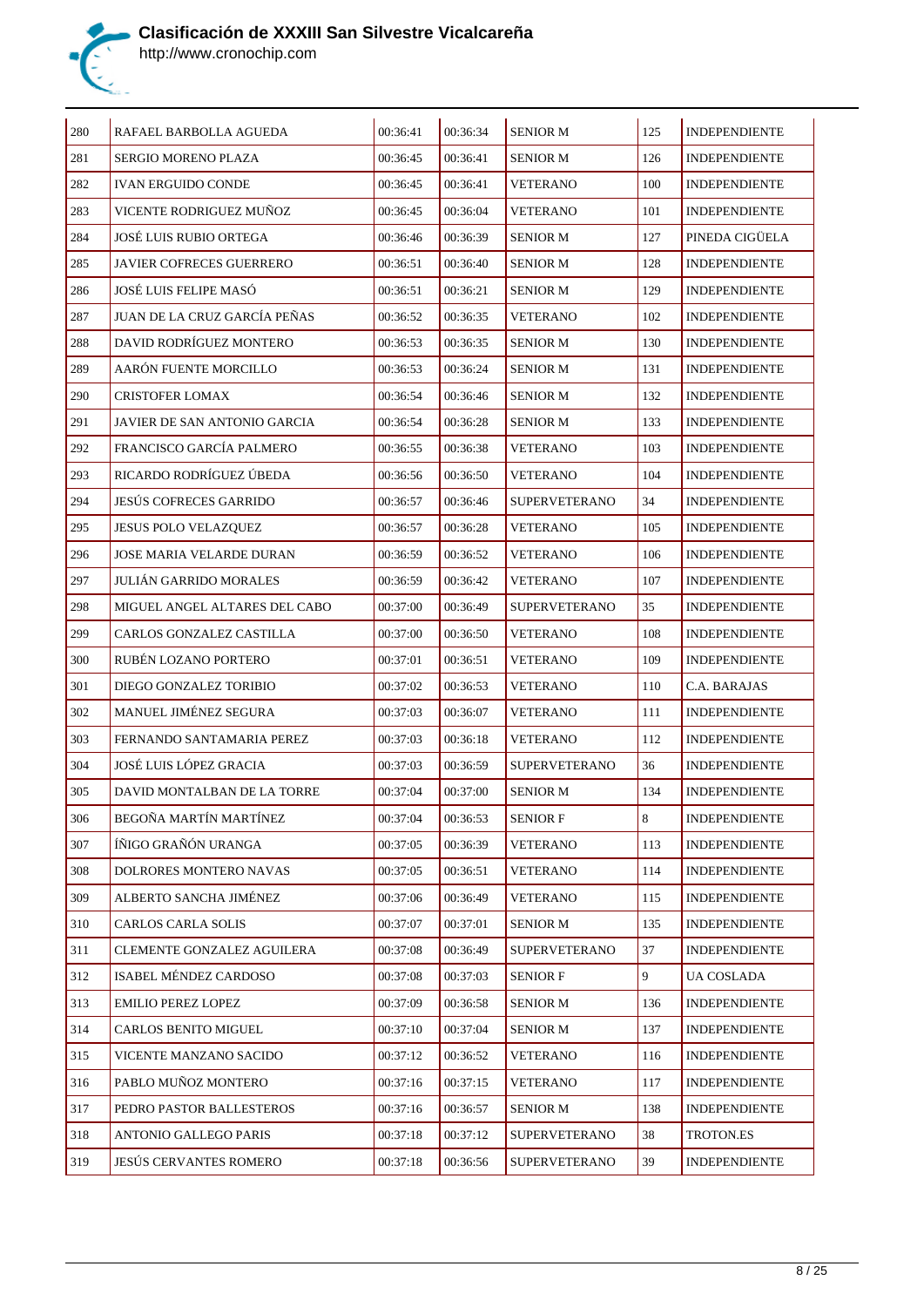

| 280     | RAFAEL BARBOLLA AGUEDA          | 00:36:41 | 00:36:34 | <b>SENIOR M</b>      | 125         | <b>INDEPENDIENTE</b> |
|---------|---------------------------------|----------|----------|----------------------|-------------|----------------------|
| 281     | SERGIO MORENO PLAZA             | 00:36:45 | 00:36:41 | <b>SENIOR M</b>      | 126         | <b>INDEPENDIENTE</b> |
| 282     | <b>IVAN ERGUIDO CONDE</b>       | 00:36:45 | 00:36:41 | <b>VETERANO</b>      | 100         | <b>INDEPENDIENTE</b> |
| 283     | VICENTE RODRIGUEZ MUÑOZ         | 00:36:45 | 00:36:04 | <b>VETERANO</b>      | 101         | <b>INDEPENDIENTE</b> |
| 284     | <b>JOSÉ LUIS RUBIO ORTEGA</b>   | 00:36:46 | 00:36:39 | <b>SENIOR M</b>      | 127         | PINEDA CIGÜELA       |
| 285     | <b>JAVIER COFRECES GUERRERO</b> | 00:36:51 | 00:36:40 | <b>SENIOR M</b>      | 128         | <b>INDEPENDIENTE</b> |
| 286     | JOSÉ LUIS FELIPE MASÓ           | 00:36:51 | 00:36:21 | <b>SENIOR M</b>      | 129         | <b>INDEPENDIENTE</b> |
| 287     | JUAN DE LA CRUZ GARCÍA PEÑAS    | 00:36:52 | 00:36:35 | <b>VETERANO</b>      | 102         | <b>INDEPENDIENTE</b> |
| 288     | DAVID RODRÍGUEZ MONTERO         | 00:36:53 | 00:36:35 | <b>SENIOR M</b>      | 130         | <b>INDEPENDIENTE</b> |
| 289     | AARÓN FUENTE MORCILLO           | 00:36:53 | 00:36:24 | <b>SENIOR M</b>      | 131         | <b>INDEPENDIENTE</b> |
| 290     | CRISTOFER LOMAX                 | 00:36:54 | 00:36:46 | <b>SENIOR M</b>      | 132         | <b>INDEPENDIENTE</b> |
| 291     | JAVIER DE SAN ANTONIO GARCIA    | 00:36:54 | 00:36:28 | <b>SENIOR M</b>      | 133         | <b>INDEPENDIENTE</b> |
| 292     | FRANCISCO GARCÍA PALMERO        | 00:36:55 | 00:36:38 | VETERANO             | 103         | <b>INDEPENDIENTE</b> |
| 293     | RICARDO RODRÍGUEZ ÚBEDA         | 00:36:56 | 00:36:50 | <b>VETERANO</b>      | 104         | <b>INDEPENDIENTE</b> |
| 294     | <b>JESÚS COFRECES GARRIDO</b>   | 00:36:57 | 00:36:46 | <b>SUPERVETERANO</b> | 34          | <b>INDEPENDIENTE</b> |
| 295     | JESUS POLO VELAZQUEZ            | 00:36:57 | 00:36:28 | <b>VETERANO</b>      | 105         | INDEPENDIENTE        |
| 296     | JOSE MARIA VELARDE DURAN        | 00:36:59 | 00:36:52 | VETERANO             | 106         | <b>INDEPENDIENTE</b> |
| 297     | <b>JULIÁN GARRIDO MORALES</b>   | 00:36:59 | 00:36:42 | VETERANO             | 107         | <b>INDEPENDIENTE</b> |
| 298     | MIGUEL ANGEL ALTARES DEL CABO   | 00:37:00 | 00:36:49 | <b>SUPERVETERANO</b> | 35          | <b>INDEPENDIENTE</b> |
| 299     | CARLOS GONZALEZ CASTILLA        | 00:37:00 | 00:36:50 | VETERANO             | 108         | <b>INDEPENDIENTE</b> |
| 300     | RUBÉN LOZANO PORTERO            | 00:37:01 | 00:36:51 | <b>VETERANO</b>      | 109         | <b>INDEPENDIENTE</b> |
| 301     | DIEGO GONZALEZ TORIBIO          | 00:37:02 | 00:36:53 | <b>VETERANO</b>      | 110         | C.A. BARAJAS         |
| 302     | MANUEL JIMÉNEZ SEGURA           | 00:37:03 | 00:36:07 | VETERANO             | 111         | <b>INDEPENDIENTE</b> |
| 303     | FERNANDO SANTAMARIA PEREZ       | 00:37:03 | 00:36:18 | VETERANO             | 112         | <b>INDEPENDIENTE</b> |
| 304     | JOSÉ LUIS LÓPEZ GRACIA          | 00:37:03 | 00:36:59 | <b>SUPERVETERANO</b> | 36          | <b>INDEPENDIENTE</b> |
| 305     | DAVID MONTALBAN DE LA TORRE     | 00:37:04 | 00:37:00 | <b>SENIOR M</b>      | 134         | <b>INDEPENDIENTE</b> |
| 306     | BEGOÑA MARTÍN MARTÍNEZ          | 00:37:04 | 00:36:53 | <b>SENIOR F</b>      | $\boxed{8}$ | <b>INDEPENDIENTE</b> |
| $307\,$ | ÍÑIGO GRAÑÓN URANGA             | 00:37:05 | 00:36:39 | <b>VETERANO</b>      | 113         | <b>INDEPENDIENTE</b> |
| 308     | DOLRORES MONTERO NAVAS          | 00:37:05 | 00:36:51 | <b>VETERANO</b>      | 114         | <b>INDEPENDIENTE</b> |
| 309     | ALBERTO SANCHA JIMÉNEZ          | 00:37:06 | 00:36:49 | <b>VETERANO</b>      | 115         | <b>INDEPENDIENTE</b> |
| 310     | CARLOS CARLA SOLIS              | 00:37:07 | 00:37:01 | <b>SENIOR M</b>      | 135         | <b>INDEPENDIENTE</b> |
| 311     | CLEMENTE GONZALEZ AGUILERA      | 00:37:08 | 00:36:49 | <b>SUPERVETERANO</b> | 37          | <b>INDEPENDIENTE</b> |
| 312     | ISABEL MÉNDEZ CARDOSO           | 00:37:08 | 00:37:03 | <b>SENIOR F</b>      | 9           | UA COSLADA           |
| 313     | <b>EMILIO PEREZ LOPEZ</b>       | 00:37:09 | 00:36:58 | <b>SENIOR M</b>      | 136         | <b>INDEPENDIENTE</b> |
| 314     | CARLOS BENITO MIGUEL            | 00:37:10 | 00:37:04 | <b>SENIOR M</b>      | 137         | <b>INDEPENDIENTE</b> |
| 315     | VICENTE MANZANO SACIDO          | 00:37:12 | 00:36:52 | <b>VETERANO</b>      | 116         | <b>INDEPENDIENTE</b> |
| 316     | PABLO MUÑOZ MONTERO             | 00:37:16 | 00:37:15 | <b>VETERANO</b>      | 117         | <b>INDEPENDIENTE</b> |
| 317     | PEDRO PASTOR BALLESTEROS        | 00:37:16 | 00:36:57 | <b>SENIOR M</b>      | 138         | <b>INDEPENDIENTE</b> |
| 318     | ANTONIO GALLEGO PARIS           | 00:37:18 | 00:37:12 | <b>SUPERVETERANO</b> | 38          | TROTON.ES            |
| 319     | JESÚS CERVANTES ROMERO          | 00:37:18 | 00:36:56 | <b>SUPERVETERANO</b> | 39          | <b>INDEPENDIENTE</b> |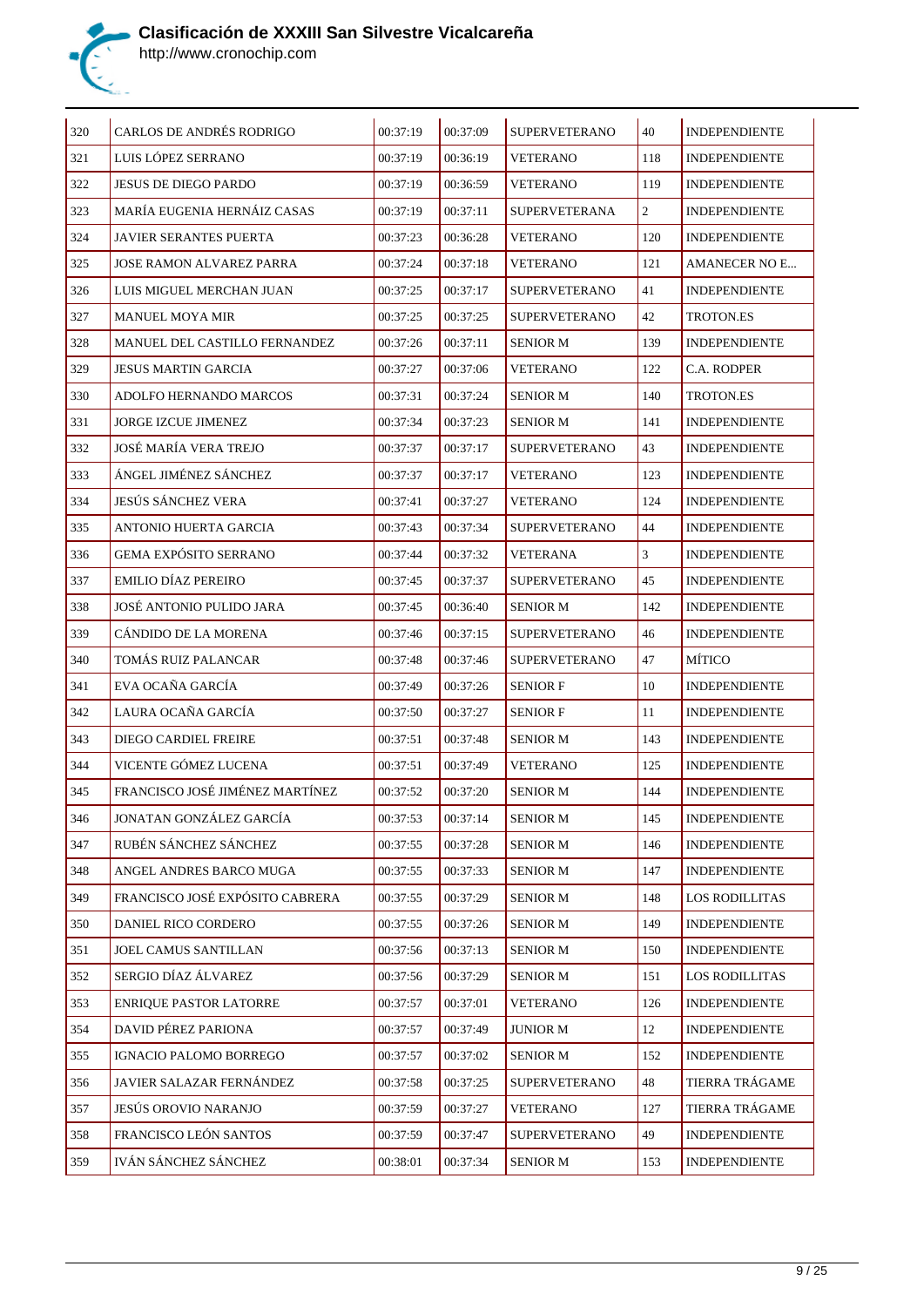

| 320 | CARLOS DE ANDRÉS RODRIGO                                   | 00:37:19             | 00:37:09 | <b>SUPERVETERANO</b>                    | 40  | <b>INDEPENDIENTE</b>                         |
|-----|------------------------------------------------------------|----------------------|----------|-----------------------------------------|-----|----------------------------------------------|
| 321 | LUIS LÓPEZ SERRANO                                         | 00:37:19             | 00:36:19 | <b>VETERANO</b>                         | 118 | <b>INDEPENDIENTE</b>                         |
| 322 |                                                            |                      |          |                                         | 119 |                                              |
| 323 | <b>JESUS DE DIEGO PARDO</b><br>MARÍA EUGENIA HERNÁIZ CASAS | 00:37:19<br>00:37:19 | 00:36:59 | <b>VETERANO</b><br><b>SUPERVETERANA</b> | 2   | <b>INDEPENDIENTE</b><br><b>INDEPENDIENTE</b> |
|     |                                                            |                      | 00:37:11 |                                         |     |                                              |
| 324 | <b>JAVIER SERANTES PUERTA</b>                              | 00:37:23             | 00:36:28 | <b>VETERANO</b>                         | 120 | <b>INDEPENDIENTE</b>                         |
| 325 | <b>JOSE RAMON ALVAREZ PARRA</b>                            | 00:37:24             | 00:37:18 | <b>VETERANO</b>                         | 121 | <b>AMANECER NO E</b>                         |
| 326 | LUIS MIGUEL MERCHAN JUAN                                   | 00:37:25             | 00:37:17 | <b>SUPERVETERANO</b>                    | 41  | <b>INDEPENDIENTE</b>                         |
| 327 | <b>MANUEL MOYA MIR</b>                                     | 00:37:25             | 00:37:25 | <b>SUPERVETERANO</b>                    | 42  | <b>TROTON.ES</b>                             |
| 328 | MANUEL DEL CASTILLO FERNANDEZ                              | 00:37:26             | 00:37:11 | <b>SENIOR M</b>                         | 139 | <b>INDEPENDIENTE</b>                         |
| 329 | JESUS MARTIN GARCIA                                        | 00:37:27             | 00:37:06 | <b>VETERANO</b>                         | 122 | C.A. RODPER                                  |
| 330 | ADOLFO HERNANDO MARCOS                                     | 00:37:31             | 00:37:24 | <b>SENIOR M</b>                         | 140 | TROTON.ES                                    |
| 331 | <b>JORGE IZCUE JIMENEZ</b>                                 | 00:37:34             | 00:37:23 | SENIOR M                                | 141 | <b>INDEPENDIENTE</b>                         |
| 332 | JOSÉ MARÍA VERA TREJO                                      | 00:37:37             | 00:37:17 | SUPERVETERANO                           | 43  | <b>INDEPENDIENTE</b>                         |
| 333 | ÁNGEL JIMÉNEZ SÁNCHEZ                                      | 00:37:37             | 00:37:17 | <b>VETERANO</b>                         | 123 | <b>INDEPENDIENTE</b>                         |
| 334 | JESÚS SÁNCHEZ VERA                                         | 00:37:41             | 00:37:27 | <b>VETERANO</b>                         | 124 | <b>INDEPENDIENTE</b>                         |
| 335 | ANTONIO HUERTA GARCIA                                      | 00:37:43             | 00:37:34 | <b>SUPERVETERANO</b>                    | 44  | <b>INDEPENDIENTE</b>                         |
| 336 | <b>GEMA EXPÓSITO SERRANO</b>                               | 00:37:44             | 00:37:32 | VETERANA                                | 3   | <b>INDEPENDIENTE</b>                         |
| 337 | <b>EMILIO DÍAZ PEREIRO</b>                                 | 00:37:45             | 00:37:37 | <b>SUPERVETERANO</b>                    | 45  | <b>INDEPENDIENTE</b>                         |
| 338 | JOSÉ ANTONIO PULIDO JARA                                   | 00:37:45             | 00:36:40 | <b>SENIOR M</b>                         | 142 | <b>INDEPENDIENTE</b>                         |
| 339 | CANDIDO DE LA MORENA                                       | 00:37:46             | 00:37:15 | <b>SUPERVETERANO</b>                    | 46  | <b>INDEPENDIENTE</b>                         |
| 340 | TOMÁS RUIZ PALANCAR                                        | 00:37:48             | 00:37:46 | <b>SUPERVETERANO</b>                    | 47  | MÍTICO                                       |
| 341 | EVA OCAÑA GARCÍA                                           | 00:37:49             | 00:37:26 | <b>SENIOR F</b>                         | 10  | <b>INDEPENDIENTE</b>                         |
| 342 | LAURA OCAÑA GARCÍA                                         | 00:37:50             | 00:37:27 | <b>SENIOR F</b>                         | 11  | <b>INDEPENDIENTE</b>                         |
| 343 | DIEGO CARDIEL FREIRE                                       | 00:37:51             | 00:37:48 | SENIOR M                                | 143 | <b>INDEPENDIENTE</b>                         |
| 344 | VICENTE GÓMEZ LUCENA                                       | 00:37:51             | 00:37:49 | <b>VETERANO</b>                         | 125 | <b>INDEPENDIENTE</b>                         |
| 345 | FRANCISCO JOSÉ JIMÉNEZ MARTÍNEZ                            | 00:37:52             | 00:37:20 | <b>SENIOR M</b>                         | 144 | <b>INDEPENDIENTE</b>                         |
| 346 | JONATAN GONZÁLEZ GARCÍA                                    | 00:37:53             | 00:37:14 | SENIOR M                                | 145 | INDEPENDIENTE                                |
| 347 | RUBÉN SÁNCHEZ SÁNCHEZ                                      | 00:37:55             | 00:37:28 | <b>SENIOR M</b>                         | 146 | <b>INDEPENDIENTE</b>                         |
| 348 | ANGEL ANDRES BARCO MUGA                                    | 00:37:55             | 00:37:33 | <b>SENIOR M</b>                         | 147 | <b>INDEPENDIENTE</b>                         |
| 349 | FRANCISCO JOSÉ EXPÓSITO CABRERA                            | 00:37:55             | 00:37:29 | <b>SENIOR M</b>                         | 148 | <b>LOS RODILLITAS</b>                        |
| 350 | DANIEL RICO CORDERO                                        | 00:37:55             | 00:37:26 | <b>SENIOR M</b>                         | 149 | <b>INDEPENDIENTE</b>                         |
| 351 | JOEL CAMUS SANTILLAN                                       | 00:37:56             | 00:37:13 | <b>SENIOR M</b>                         | 150 | <b>INDEPENDIENTE</b>                         |
| 352 | SERGIO DÍAZ ÁLVAREZ                                        | 00:37:56             | 00:37:29 | <b>SENIOR M</b>                         | 151 | <b>LOS RODILLITAS</b>                        |
| 353 | <b>ENRIQUE PASTOR LATORRE</b>                              | 00:37:57             | 00:37:01 | <b>VETERANO</b>                         | 126 | <b>INDEPENDIENTE</b>                         |
| 354 | DAVID PÉREZ PARIONA                                        | 00:37:57             | 00:37:49 | <b>JUNIOR M</b>                         | 12  | <b>INDEPENDIENTE</b>                         |
| 355 | IGNACIO PALOMO BORREGO                                     | 00:37:57             | 00:37:02 | <b>SENIOR M</b>                         | 152 | <b>INDEPENDIENTE</b>                         |
| 356 | JAVIER SALAZAR FERNÁNDEZ                                   | 00:37:58             | 00:37:25 | <b>SUPERVETERANO</b>                    | 48  | TIERRA TRÁGAME                               |
| 357 | JESÚS OROVIO NARANJO                                       | 00:37:59             | 00:37:27 | <b>VETERANO</b>                         | 127 | TIERRA TRÁGAME                               |
| 358 | FRANCISCO LEÓN SANTOS                                      | 00:37:59             | 00:37:47 | <b>SUPERVETERANO</b>                    | 49  | <b>INDEPENDIENTE</b>                         |
| 359 | IVÁN SÁNCHEZ SÁNCHEZ                                       | 00:38:01             | 00:37:34 | <b>SENIOR M</b>                         | 153 | <b>INDEPENDIENTE</b>                         |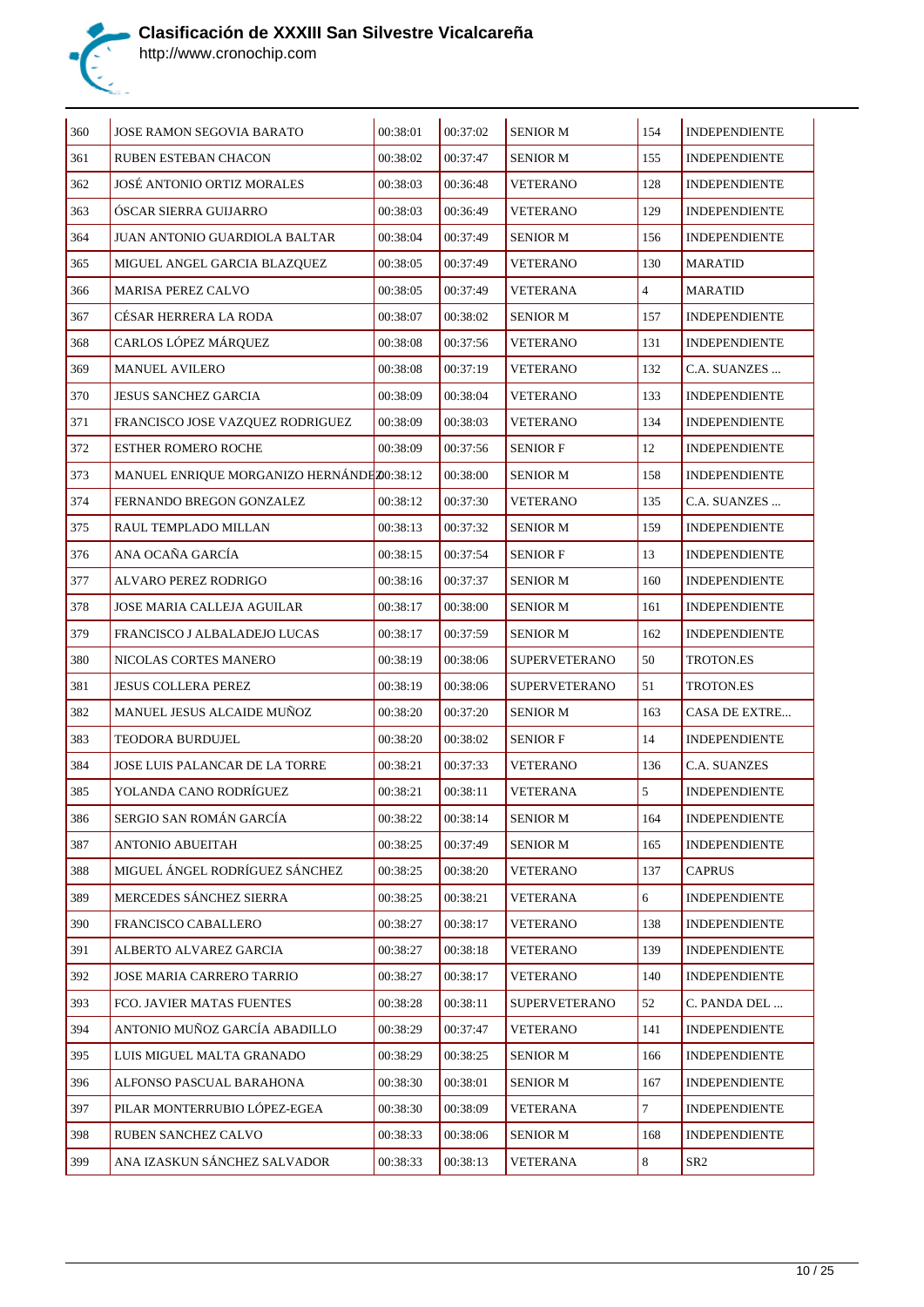

| 360 | JOSE RAMON SEGOVIA BARATO                 | 00:38:01 | 00:37:02 | <b>SENIOR M</b>      | 154            | <b>INDEPENDIENTE</b> |
|-----|-------------------------------------------|----------|----------|----------------------|----------------|----------------------|
| 361 | <b>RUBEN ESTEBAN CHACON</b>               | 00:38:02 | 00:37:47 | <b>SENIOR M</b>      | 155            | <b>INDEPENDIENTE</b> |
| 362 | JOSÉ ANTONIO ORTIZ MORALES                | 00:38:03 | 00:36:48 | <b>VETERANO</b>      | 128            | <b>INDEPENDIENTE</b> |
| 363 | ÓSCAR SIERRA GUIJARRO                     | 00:38:03 | 00:36:49 | <b>VETERANO</b>      | 129            | <b>INDEPENDIENTE</b> |
| 364 | JUAN ANTONIO GUARDIOLA BALTAR             | 00:38:04 | 00:37:49 | <b>SENIOR M</b>      | 156            | <b>INDEPENDIENTE</b> |
| 365 | MIGUEL ANGEL GARCIA BLAZQUEZ              | 00:38:05 | 00:37:49 | VETERANO             | 130            | <b>MARATID</b>       |
| 366 | <b>MARISA PEREZ CALVO</b>                 | 00:38:05 | 00:37:49 | VETERANA             | $\overline{4}$ | MARATID              |
| 367 | CÉSAR HERRERA LA RODA                     | 00:38:07 | 00:38:02 | <b>SENIOR M</b>      | 157            | <b>INDEPENDIENTE</b> |
| 368 | CARLOS LÓPEZ MÁRQUEZ                      | 00:38:08 | 00:37:56 | <b>VETERANO</b>      | 131            | <b>INDEPENDIENTE</b> |
| 369 | <b>MANUEL AVILERO</b>                     | 00:38:08 | 00:37:19 | VETERANO             | 132            | C.A. SUANZES         |
| 370 | <b>JESUS SANCHEZ GARCIA</b>               | 00:38:09 | 00:38:04 | <b>VETERANO</b>      | 133            | <b>INDEPENDIENTE</b> |
| 371 | FRANCISCO JOSE VAZQUEZ RODRIGUEZ          | 00:38:09 | 00:38:03 | VETERANO             | 134            | <b>INDEPENDIENTE</b> |
| 372 | ESTHER ROMERO ROCHE                       | 00:38:09 | 00:37:56 | <b>SENIOR F</b>      | 12             | <b>INDEPENDIENTE</b> |
| 373 | MANUEL ENRIQUE MORGANIZO HERNÁNDEZ0:38:12 |          | 00:38:00 | <b>SENIOR M</b>      | 158            | <b>INDEPENDIENTE</b> |
| 374 | FERNANDO BREGON GONZALEZ                  | 00:38:12 | 00:37:30 | <b>VETERANO</b>      | 135            | C.A. SUANZES         |
| 375 | RAUL TEMPLADO MILLAN                      | 00:38:13 | 00:37:32 | <b>SENIOR M</b>      | 159            | <b>INDEPENDIENTE</b> |
| 376 | ANA OCAÑA GARCÍA                          | 00:38:15 | 00:37:54 | <b>SENIOR F</b>      | 13             | <b>INDEPENDIENTE</b> |
| 377 | ALVARO PEREZ RODRIGO                      | 00:38:16 | 00:37:37 | <b>SENIOR M</b>      | 160            | <b>INDEPENDIENTE</b> |
| 378 | JOSE MARIA CALLEJA AGUILAR                | 00:38:17 | 00:38:00 | <b>SENIOR M</b>      | 161            | <b>INDEPENDIENTE</b> |
| 379 | FRANCISCO J ALBALADEJO LUCAS              | 00:38:17 | 00:37:59 | <b>SENIOR M</b>      | 162            | <b>INDEPENDIENTE</b> |
| 380 | NICOLAS CORTES MANERO                     | 00:38:19 | 00:38:06 | <b>SUPERVETERANO</b> | 50             | TROTON.ES            |
| 381 | JESUS COLLERA PEREZ                       | 00:38:19 | 00:38:06 | <b>SUPERVETERANO</b> | 51             | TROTON.ES            |
| 382 | MANUEL JESUS ALCAIDE MUÑOZ                | 00:38:20 | 00:37:20 | <b>SENIOR M</b>      | 163            | CASA DE EXTRE        |
| 383 | TEODORA BURDUJEL                          | 00:38:20 | 00:38:02 | <b>SENIOR F</b>      | 14             | <b>INDEPENDIENTE</b> |
| 384 | JOSE LUIS PALANCAR DE LA TORRE            | 00:38:21 | 00:37:33 | VETERANO             | 136            | C.A. SUANZES         |
| 385 | YOLANDA CANO RODRÍGUEZ                    | 00:38:21 | 00:38:11 | VETERANA             | 5              | <b>INDEPENDIENTE</b> |
| 386 | SERGIO SAN ROMÁN GARCÍA                   | 00:38:22 | 00:38:14 | <b>SENIOR M</b>      | 164            | <b>INDEPENDIENTE</b> |
| 387 | ANTONIO ABUEITAH                          | 00:38:25 | 00:37:49 | SENIOR M             | 165            | <b>INDEPENDIENTE</b> |
| 388 | MIGUEL ÁNGEL RODRÍGUEZ SÁNCHEZ            | 00:38:25 | 00:38:20 | <b>VETERANO</b>      | 137            | <b>CAPRUS</b>        |
| 389 | MERCEDES SÁNCHEZ SIERRA                   | 00:38:25 | 00:38:21 | <b>VETERANA</b>      | 6              | <b>INDEPENDIENTE</b> |
| 390 | FRANCISCO CABALLERO                       | 00:38:27 | 00:38:17 | <b>VETERANO</b>      | 138            | <b>INDEPENDIENTE</b> |
| 391 | ALBERTO ALVAREZ GARCIA                    | 00:38:27 | 00:38:18 | <b>VETERANO</b>      | 139            | <b>INDEPENDIENTE</b> |
| 392 | JOSE MARIA CARRERO TARRIO                 | 00:38:27 | 00:38:17 | <b>VETERANO</b>      | 140            | <b>INDEPENDIENTE</b> |
| 393 | FCO. JAVIER MATAS FUENTES                 | 00:38:28 | 00:38:11 | <b>SUPERVETERANO</b> | 52             | C. PANDA DEL         |
| 394 | ANTONIO MUÑOZ GARCÍA ABADILLO             | 00:38:29 | 00:37:47 | <b>VETERANO</b>      | 141            | <b>INDEPENDIENTE</b> |
| 395 | LUIS MIGUEL MALTA GRANADO                 | 00:38:29 | 00:38:25 | <b>SENIOR M</b>      | 166            | <b>INDEPENDIENTE</b> |
| 396 | ALFONSO PASCUAL BARAHONA                  | 00:38:30 | 00:38:01 | <b>SENIOR M</b>      | 167            | <b>INDEPENDIENTE</b> |
| 397 | PILAR MONTERRUBIO LÓPEZ-EGEA              | 00:38:30 | 00:38:09 | VETERANA             | $\tau$         | <b>INDEPENDIENTE</b> |
| 398 | RUBEN SANCHEZ CALVO                       | 00:38:33 | 00:38:06 | <b>SENIOR M</b>      | 168            | <b>INDEPENDIENTE</b> |
| 399 | ANA IZASKUN SÁNCHEZ SALVADOR              | 00:38:33 | 00:38:13 | <b>VETERANA</b>      | 8              | SR <sub>2</sub>      |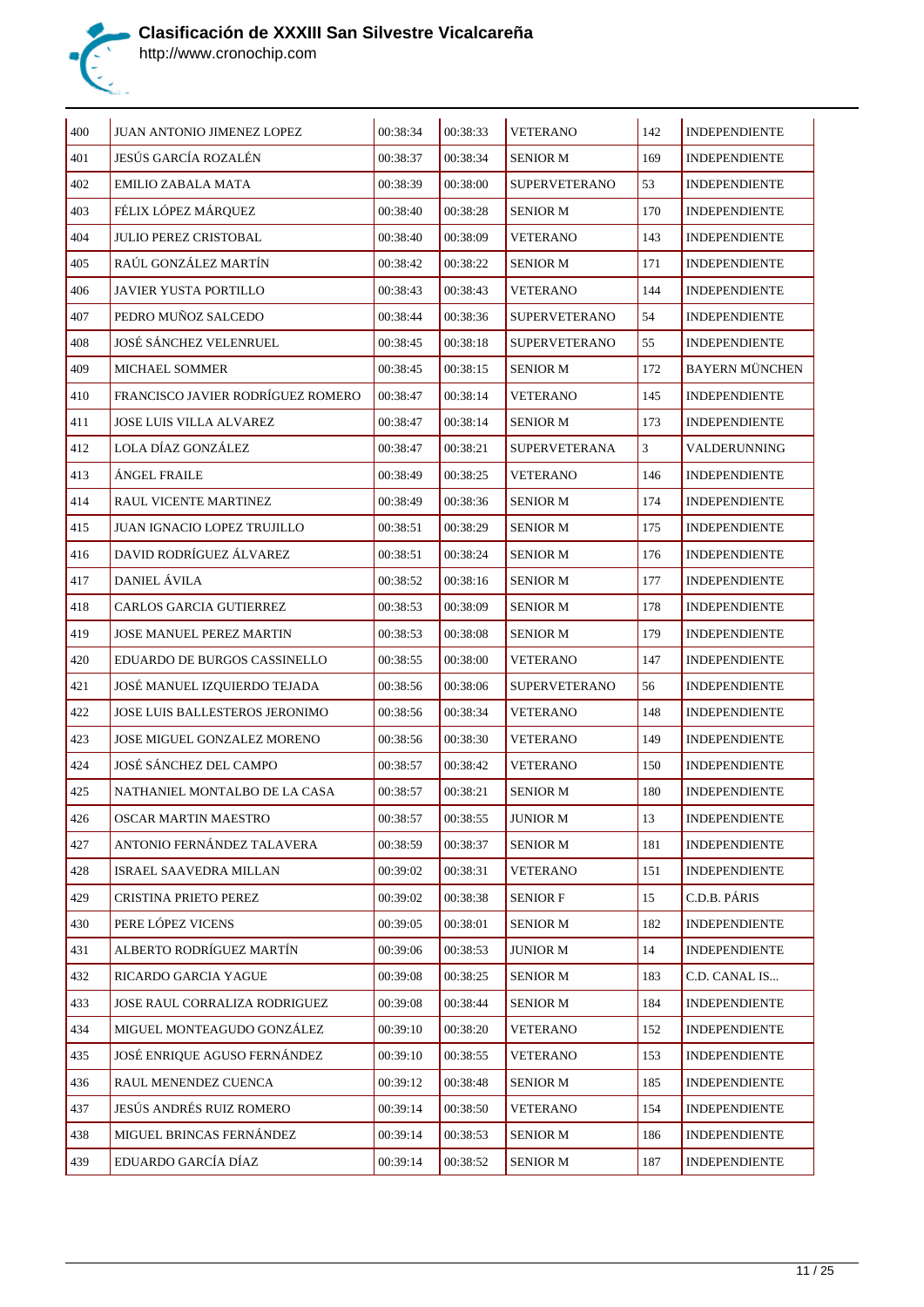

| 400 | JUAN ANTONIO JIMENEZ LOPEZ        | 00:38:34 | 00:38:33 | <b>VETERANO</b>      | 142 | <b>INDEPENDIENTE</b>  |
|-----|-----------------------------------|----------|----------|----------------------|-----|-----------------------|
| 401 | JESÚS GARCÍA ROZALÉN              | 00:38:37 | 00:38:34 | <b>SENIOR M</b>      | 169 | <b>INDEPENDIENTE</b>  |
| 402 | EMILIO ZABALA MATA                | 00:38:39 | 00:38:00 | SUPERVETERANO        | 53  | <b>INDEPENDIENTE</b>  |
| 403 | FÉLIX LÓPEZ MÁRQUEZ               | 00:38:40 | 00:38:28 | <b>SENIOR M</b>      | 170 | <b>INDEPENDIENTE</b>  |
| 404 | <b>JULIO PEREZ CRISTOBAL</b>      | 00:38:40 | 00:38:09 | <b>VETERANO</b>      | 143 | <b>INDEPENDIENTE</b>  |
| 405 | RAÚL GONZÁLEZ MARTÍN              | 00:38:42 | 00:38:22 | <b>SENIOR M</b>      | 171 | <b>INDEPENDIENTE</b>  |
| 406 | <b>JAVIER YUSTA PORTILLO</b>      | 00:38:43 | 00:38:43 | <b>VETERANO</b>      | 144 | <b>INDEPENDIENTE</b>  |
| 407 | PEDRO MUÑOZ SALCEDO               | 00:38:44 | 00:38:36 | <b>SUPERVETERANO</b> | 54  | <b>INDEPENDIENTE</b>  |
| 408 | JOSÉ SÁNCHEZ VELENRUEL            | 00:38:45 | 00:38:18 | <b>SUPERVETERANO</b> | 55  | <b>INDEPENDIENTE</b>  |
| 409 | <b>MICHAEL SOMMER</b>             | 00:38:45 | 00:38:15 | <b>SENIOR M</b>      | 172 | <b>BAYERN MÜNCHEN</b> |
| 410 | FRANCISCO JAVIER RODRÍGUEZ ROMERO | 00:38:47 | 00:38:14 | <b>VETERANO</b>      | 145 | <b>INDEPENDIENTE</b>  |
| 411 | JOSE LUIS VILLA ALVAREZ           | 00:38:47 | 00:38:14 | <b>SENIOR M</b>      | 173 | <b>INDEPENDIENTE</b>  |
| 412 | LOLA DÍAZ GONZÁLEZ                | 00:38:47 | 00:38:21 | SUPERVETERANA        | 3   | VALDERUNNING          |
| 413 | ÁNGEL FRAILE                      | 00:38:49 | 00:38:25 | <b>VETERANO</b>      | 146 | <b>INDEPENDIENTE</b>  |
| 414 | RAUL VICENTE MARTINEZ             | 00:38:49 | 00:38:36 | <b>SENIOR M</b>      | 174 | <b>INDEPENDIENTE</b>  |
| 415 | JUAN IGNACIO LOPEZ TRUJILLO       | 00:38:51 | 00:38:29 | <b>SENIOR M</b>      | 175 | <b>INDEPENDIENTE</b>  |
| 416 | DAVID RODRÍGUEZ ÁLVAREZ           | 00:38:51 | 00:38:24 | <b>SENIOR M</b>      | 176 | <b>INDEPENDIENTE</b>  |
| 417 | DANIEL ÁVILA                      | 00:38:52 | 00:38:16 | <b>SENIOR M</b>      | 177 | <b>INDEPENDIENTE</b>  |
| 418 | CARLOS GARCIA GUTIERREZ           | 00:38:53 | 00:38:09 | <b>SENIOR M</b>      | 178 | <b>INDEPENDIENTE</b>  |
| 419 | JOSE MANUEL PEREZ MARTIN          | 00:38:53 | 00:38:08 | <b>SENIOR M</b>      | 179 | <b>INDEPENDIENTE</b>  |
| 420 | EDUARDO DE BURGOS CASSINELLO      | 00:38:55 | 00:38:00 | <b>VETERANO</b>      | 147 | <b>INDEPENDIENTE</b>  |
| 421 | JOSÉ MANUEL IZQUIERDO TEJADA      | 00:38:56 | 00:38:06 | <b>SUPERVETERANO</b> | 56  | <b>INDEPENDIENTE</b>  |
| 422 | JOSE LUIS BALLESTEROS JERONIMO    | 00:38:56 | 00:38:34 | <b>VETERANO</b>      | 148 | <b>INDEPENDIENTE</b>  |
| 423 | JOSE MIGUEL GONZALEZ MORENO       | 00:38:56 | 00:38:30 | <b>VETERANO</b>      | 149 | <b>INDEPENDIENTE</b>  |
| 424 | JOSÉ SÁNCHEZ DEL CAMPO            | 00:38:57 | 00:38:42 | <b>VETERANO</b>      | 150 | <b>INDEPENDIENTE</b>  |
| 425 | NATHANIEL MONTALBO DE LA CASA     | 00:38:57 | 00:38:21 | <b>SENIOR M</b>      | 180 | <b>INDEPENDIENTE</b>  |
| 426 | <b>OSCAR MARTIN MAESTRO</b>       | 00:38:57 | 00:38:55 | <b>JUNIOR M</b>      | 13  | <b>INDEPENDIENTE</b>  |
| 427 | ANTONIO FERNÁNDEZ TALAVERA        | 00:38:59 | 00:38:37 | SENIOR M             | 181 | <b>INDEPENDIENTE</b>  |
| 428 | ISRAEL SAAVEDRA MILLAN            | 00:39:02 | 00:38:31 | <b>VETERANO</b>      | 151 | <b>INDEPENDIENTE</b>  |
| 429 | CRISTINA PRIETO PEREZ             | 00:39:02 | 00:38:38 | <b>SENIOR F</b>      | 15  | C.D.B. PÁRIS          |
| 430 | PERE LÓPEZ VICENS                 | 00:39:05 | 00:38:01 | <b>SENIOR M</b>      | 182 | <b>INDEPENDIENTE</b>  |
| 431 | ALBERTO RODRÍGUEZ MARTÍN          | 00:39:06 | 00:38:53 | JUNIOR M             | 14  | <b>INDEPENDIENTE</b>  |
| 432 | RICARDO GARCIA YAGUE              | 00:39:08 | 00:38:25 | <b>SENIOR M</b>      | 183 | C.D. CANAL IS         |
| 433 | JOSE RAUL CORRALIZA RODRIGUEZ     | 00:39:08 | 00:38:44 | <b>SENIOR M</b>      | 184 | <b>INDEPENDIENTE</b>  |
| 434 | MIGUEL MONTEAGUDO GONZÁLEZ        | 00:39:10 | 00:38:20 | <b>VETERANO</b>      | 152 | <b>INDEPENDIENTE</b>  |
| 435 | JOSÉ ENRIQUE AGUSO FERNÁNDEZ      | 00:39:10 | 00:38:55 | <b>VETERANO</b>      | 153 | <b>INDEPENDIENTE</b>  |
| 436 | RAUL MENENDEZ CUENCA              | 00:39:12 | 00:38:48 | <b>SENIOR M</b>      | 185 | <b>INDEPENDIENTE</b>  |
| 437 | JESÚS ANDRÉS RUIZ ROMERO          | 00:39:14 | 00:38:50 | <b>VETERANO</b>      | 154 | <b>INDEPENDIENTE</b>  |
| 438 | MIGUEL BRINCAS FERNÁNDEZ          | 00:39:14 | 00:38:53 | <b>SENIOR M</b>      | 186 | <b>INDEPENDIENTE</b>  |
| 439 | EDUARDO GARCÍA DÍAZ               | 00:39:14 | 00:38:52 | <b>SENIOR M</b>      | 187 | <b>INDEPENDIENTE</b>  |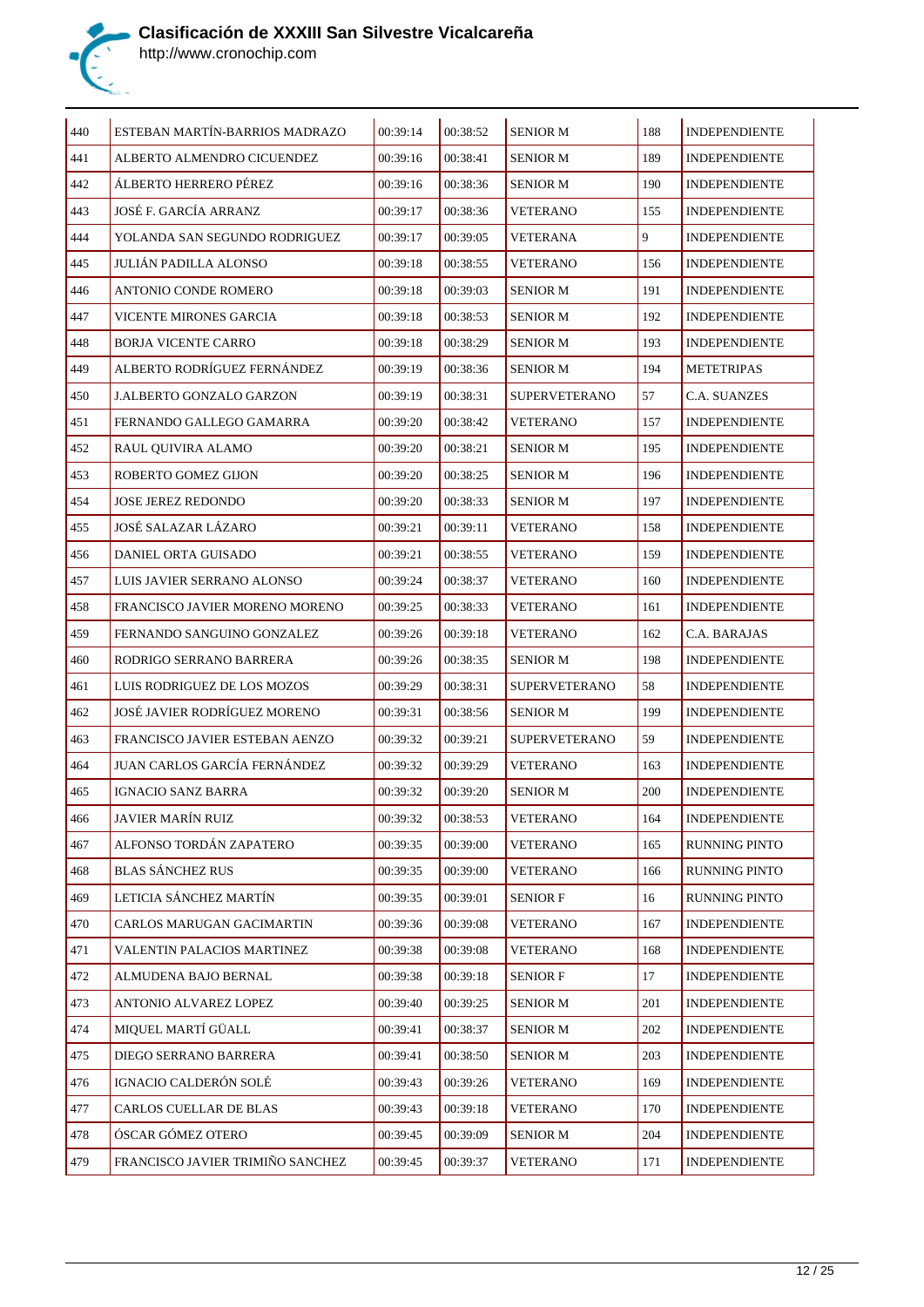

| 440 | ESTEBAN MARTÍN-BARRIOS MADRAZO   | 00:39:14 | 00:38:52 | <b>SENIOR M</b>      | 188 | <b>INDEPENDIENTE</b> |
|-----|----------------------------------|----------|----------|----------------------|-----|----------------------|
| 441 | ALBERTO ALMENDRO CICUENDEZ       | 00:39:16 | 00:38:41 | <b>SENIOR M</b>      | 189 | <b>INDEPENDIENTE</b> |
| 442 | ÁLBERTO HERRERO PÉREZ            | 00:39:16 | 00:38:36 | <b>SENIOR M</b>      | 190 | <b>INDEPENDIENTE</b> |
| 443 | JOSÉ F. GARCÍA ARRANZ            | 00:39:17 | 00:38:36 | <b>VETERANO</b>      | 155 | <b>INDEPENDIENTE</b> |
| 444 | YOLANDA SAN SEGUNDO RODRIGUEZ    | 00:39:17 | 00:39:05 | VETERANA             | 9   | <b>INDEPENDIENTE</b> |
| 445 | JULIÁN PADILLA ALONSO            | 00:39:18 | 00:38:55 | VETERANO             | 156 | <b>INDEPENDIENTE</b> |
| 446 | ANTONIO CONDE ROMERO             | 00:39:18 | 00:39:03 | <b>SENIOR M</b>      | 191 | <b>INDEPENDIENTE</b> |
| 447 | VICENTE MIRONES GARCIA           | 00:39:18 | 00:38:53 | <b>SENIOR M</b>      | 192 | <b>INDEPENDIENTE</b> |
| 448 | <b>BORJA VICENTE CARRO</b>       | 00:39:18 | 00:38:29 | <b>SENIOR M</b>      | 193 | <b>INDEPENDIENTE</b> |
| 449 | ALBERTO RODRÍGUEZ FERNÁNDEZ      | 00:39:19 | 00:38:36 | <b>SENIOR M</b>      | 194 | <b>METETRIPAS</b>    |
| 450 | <b>J.ALBERTO GONZALO GARZON</b>  | 00:39:19 | 00:38:31 | <b>SUPERVETERANO</b> | 57  | <b>C.A. SUANZES</b>  |
| 451 | FERNANDO GALLEGO GAMARRA         | 00:39:20 | 00:38:42 | <b>VETERANO</b>      | 157 | <b>INDEPENDIENTE</b> |
| 452 | RAUL OUIVIRA ALAMO               | 00:39:20 | 00:38:21 | <b>SENIOR M</b>      | 195 | <b>INDEPENDIENTE</b> |
| 453 | ROBERTO GOMEZ GIJON              | 00:39:20 | 00:38:25 | <b>SENIOR M</b>      | 196 | <b>INDEPENDIENTE</b> |
| 454 | <b>JOSE JEREZ REDONDO</b>        | 00:39:20 | 00:38:33 | <b>SENIOR M</b>      | 197 | <b>INDEPENDIENTE</b> |
| 455 | JOSÉ SALAZAR LÁZARO              | 00:39:21 | 00:39:11 | <b>VETERANO</b>      | 158 | <b>INDEPENDIENTE</b> |
| 456 | DANIEL ORTA GUISADO              | 00:39:21 | 00:38:55 | VETERANO             | 159 | <b>INDEPENDIENTE</b> |
| 457 | LUIS JAVIER SERRANO ALONSO       | 00:39:24 | 00:38:37 | VETERANO             | 160 | <b>INDEPENDIENTE</b> |
| 458 | FRANCISCO JAVIER MORENO MORENO   | 00:39:25 | 00:38:33 | <b>VETERANO</b>      | 161 | <b>INDEPENDIENTE</b> |
| 459 | FERNANDO SANGUINO GONZALEZ       | 00:39:26 | 00:39:18 | <b>VETERANO</b>      | 162 | C.A. BARAJAS         |
| 460 | RODRIGO SERRANO BARRERA          | 00:39:26 | 00:38:35 | <b>SENIOR M</b>      | 198 | <b>INDEPENDIENTE</b> |
| 461 | LUIS RODRIGUEZ DE LOS MOZOS      | 00:39:29 | 00:38:31 | <b>SUPERVETERANO</b> | 58  | <b>INDEPENDIENTE</b> |
| 462 | JOSÉ JAVIER RODRÍGUEZ MORENO     | 00:39:31 | 00:38:56 | <b>SENIOR M</b>      | 199 | <b>INDEPENDIENTE</b> |
| 463 | FRANCISCO JAVIER ESTEBAN AENZO   | 00:39:32 | 00:39:21 | <b>SUPERVETERANO</b> | 59  | <b>INDEPENDIENTE</b> |
| 464 | JUAN CARLOS GARCÍA FERNÁNDEZ     | 00:39:32 | 00:39:29 | <b>VETERANO</b>      | 163 | <b>INDEPENDIENTE</b> |
| 465 | IGNACIO SANZ BARRA               | 00:39:32 | 00:39:20 | <b>SENIOR M</b>      | 200 | <b>INDEPENDIENTE</b> |
| 466 | <b>JAVIER MARÍN RUIZ</b>         | 00:39:32 | 00:38:53 | <b>VETERANO</b>      | 164 | <b>INDEPENDIENTE</b> |
| 467 | ALFONSO TORDÁN ZAPATERO          | 00:39:35 | 00:39:00 | <b>VETERANO</b>      | 165 | RUNNING PINTO        |
| 468 | <b>BLAS SÁNCHEZ RUS</b>          | 00:39:35 | 00:39:00 | <b>VETERANO</b>      | 166 | RUNNING PINTO        |
| 469 | LETICIA SÁNCHEZ MARTÍN           | 00:39:35 | 00:39:01 | <b>SENIOR F</b>      | 16  | RUNNING PINTO        |
| 470 | CARLOS MARUGAN GACIMARTIN        | 00:39:36 | 00:39:08 | <b>VETERANO</b>      | 167 | <b>INDEPENDIENTE</b> |
| 471 | VALENTIN PALACIOS MARTINEZ       | 00:39:38 | 00:39:08 | <b>VETERANO</b>      | 168 | <b>INDEPENDIENTE</b> |
| 472 | ALMUDENA BAJO BERNAL             | 00:39:38 | 00:39:18 | <b>SENIOR F</b>      | 17  | <b>INDEPENDIENTE</b> |
| 473 | ANTONIO ALVAREZ LOPEZ            | 00:39:40 | 00:39:25 | <b>SENIOR M</b>      | 201 | <b>INDEPENDIENTE</b> |
| 474 | MIQUEL MARTÍ GÜALL               | 00:39:41 | 00:38:37 | <b>SENIOR M</b>      | 202 | <b>INDEPENDIENTE</b> |
| 475 | DIEGO SERRANO BARRERA            | 00:39:41 | 00:38:50 | <b>SENIOR M</b>      | 203 | <b>INDEPENDIENTE</b> |
| 476 | IGNACIO CALDERÓN SOLÉ            | 00:39:43 | 00:39:26 | <b>VETERANO</b>      | 169 | <b>INDEPENDIENTE</b> |
| 477 | CARLOS CUELLAR DE BLAS           | 00:39:43 | 00:39:18 | <b>VETERANO</b>      | 170 | <b>INDEPENDIENTE</b> |
| 478 | ÓSCAR GÓMEZ OTERO                | 00:39:45 | 00:39:09 | <b>SENIOR M</b>      | 204 | <b>INDEPENDIENTE</b> |
| 479 | FRANCISCO JAVIER TRIMIÑO SANCHEZ | 00:39:45 | 00:39:37 | <b>VETERANO</b>      | 171 | <b>INDEPENDIENTE</b> |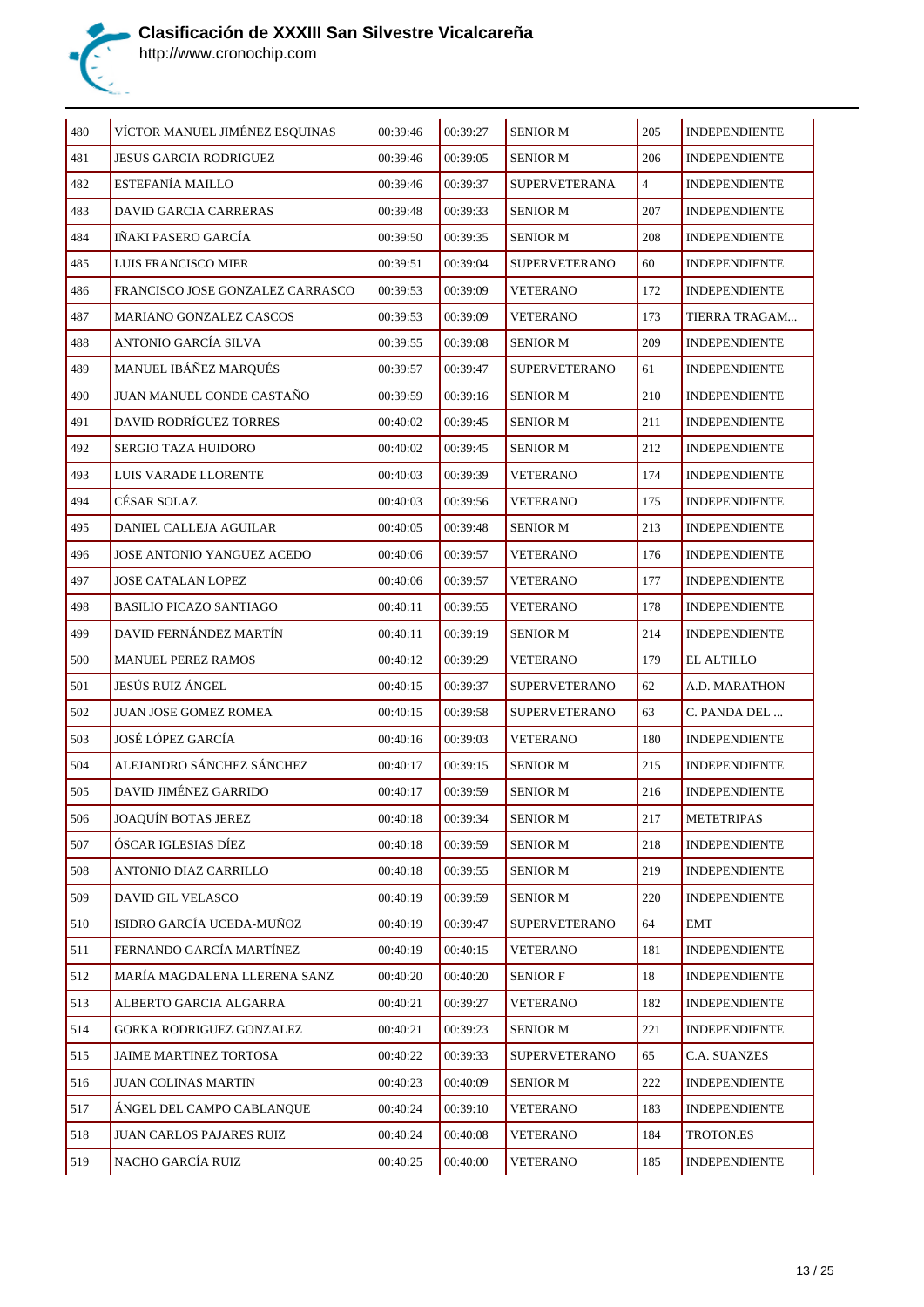

| 480 | VÍCTOR MANUEL JIMÉNEZ ESQUINAS   | 00:39:46 | 00:39:27 | <b>SENIOR M</b>      | 205            | <b>INDEPENDIENTE</b> |
|-----|----------------------------------|----------|----------|----------------------|----------------|----------------------|
| 481 | <b>JESUS GARCIA RODRIGUEZ</b>    | 00:39:46 | 00:39:05 | <b>SENIOR M</b>      | 206            | <b>INDEPENDIENTE</b> |
| 482 | <b>ESTEFANÍA MAILLO</b>          | 00:39:46 | 00:39:37 | SUPERVETERANA        | $\overline{4}$ | <b>INDEPENDIENTE</b> |
| 483 | DAVID GARCIA CARRERAS            | 00:39:48 | 00:39:33 | <b>SENIOR M</b>      | 207            | <b>INDEPENDIENTE</b> |
| 484 | IÑAKI PASERO GARCÍA              | 00:39:50 | 00:39:35 | <b>SENIOR M</b>      | 208            | <b>INDEPENDIENTE</b> |
| 485 | LUIS FRANCISCO MIER              | 00:39:51 | 00:39:04 | <b>SUPERVETERANO</b> | 60             | <b>INDEPENDIENTE</b> |
| 486 | FRANCISCO JOSE GONZALEZ CARRASCO | 00:39:53 | 00:39:09 | <b>VETERANO</b>      | 172            | <b>INDEPENDIENTE</b> |
| 487 | <b>MARIANO GONZALEZ CASCOS</b>   | 00:39:53 | 00:39:09 | <b>VETERANO</b>      | 173            | TIERRA TRAGAM        |
| 488 | ANTONIO GARCÍA SILVA             | 00:39:55 | 00:39:08 | <b>SENIOR M</b>      | 209            | <b>INDEPENDIENTE</b> |
| 489 | MANUEL IBÁÑEZ MARQUÉS            | 00:39:57 | 00:39:47 | <b>SUPERVETERANO</b> | 61             | <b>INDEPENDIENTE</b> |
| 490 | JUAN MANUEL CONDE CASTAÑO        | 00:39:59 | 00:39:16 | <b>SENIOR M</b>      | 210            | <b>INDEPENDIENTE</b> |
| 491 | <b>DAVID RODRÍGUEZ TORRES</b>    | 00:40:02 | 00:39:45 | <b>SENIOR M</b>      | 211            | <b>INDEPENDIENTE</b> |
| 492 | <b>SERGIO TAZA HUIDORO</b>       | 00:40:02 | 00:39:45 | <b>SENIOR M</b>      | 212            | <b>INDEPENDIENTE</b> |
| 493 | LUIS VARADE LLORENTE             | 00:40:03 | 00:39:39 | <b>VETERANO</b>      | 174            | <b>INDEPENDIENTE</b> |
| 494 | CÉSAR SOLAZ                      | 00:40:03 | 00:39:56 | <b>VETERANO</b>      | 175            | <b>INDEPENDIENTE</b> |
| 495 | DANIEL CALLEJA AGUILAR           | 00:40:05 | 00:39:48 | <b>SENIOR M</b>      | 213            | <b>INDEPENDIENTE</b> |
| 496 | JOSE ANTONIO YANGUEZ ACEDO       | 00:40:06 | 00:39:57 | <b>VETERANO</b>      | 176            | <b>INDEPENDIENTE</b> |
| 497 | JOSE CATALAN LOPEZ               | 00:40:06 | 00:39:57 | <b>VETERANO</b>      | 177            | <b>INDEPENDIENTE</b> |
| 498 | <b>BASILIO PICAZO SANTIAGO</b>   | 00:40:11 | 00:39:55 | <b>VETERANO</b>      | 178            | <b>INDEPENDIENTE</b> |
| 499 | DAVID FERNÁNDEZ MARTÍN           | 00:40:11 | 00:39:19 | <b>SENIOR M</b>      | 214            | <b>INDEPENDIENTE</b> |
| 500 | <b>MANUEL PEREZ RAMOS</b>        | 00:40:12 | 00:39:29 | <b>VETERANO</b>      | 179            | <b>EL ALTILLO</b>    |
| 501 | JESÚS RUIZ ÁNGEL                 | 00:40:15 | 00:39:37 | <b>SUPERVETERANO</b> | 62             | A.D. MARATHON        |
| 502 | JUAN JOSE GOMEZ ROMEA            | 00:40:15 | 00:39:58 | <b>SUPERVETERANO</b> | 63             | C. PANDA DEL         |
| 503 | JOSÉ LÓPEZ GARCÍA                | 00:40:16 | 00:39:03 | <b>VETERANO</b>      | 180            | <b>INDEPENDIENTE</b> |
| 504 | ALEJANDRO SÁNCHEZ SÁNCHEZ        | 00:40:17 | 00:39:15 | <b>SENIOR M</b>      | 215            | <b>INDEPENDIENTE</b> |
| 505 | DAVID JIMÉNEZ GARRIDO            | 00:40:17 | 00:39:59 | <b>SENIOR M</b>      | 216            | <b>INDEPENDIENTE</b> |
| 506 | JOAQUÍN BOTAS JEREZ              | 00:40:18 | 00:39:34 | <b>SENIOR M</b>      | 217            | <b>METETRIPAS</b>    |
| 507 | ÓSCAR IGLESIAS DÍEZ              | 00:40:18 | 00:39:59 | <b>SENIOR M</b>      | 218            | <b>INDEPENDIENTE</b> |
| 508 | ANTONIO DIAZ CARRILLO            | 00:40:18 | 00:39:55 | <b>SENIOR M</b>      | 219            | <b>INDEPENDIENTE</b> |
| 509 | DAVID GIL VELASCO                | 00:40:19 | 00:39:59 | <b>SENIOR M</b>      | 220            | <b>INDEPENDIENTE</b> |
| 510 | ISIDRO GARCÍA UCEDA-MUÑOZ        | 00:40:19 | 00:39:47 | <b>SUPERVETERANO</b> | 64             | EMT                  |
| 511 | FERNANDO GARCÍA MARTÍNEZ         | 00:40:19 | 00:40:15 | <b>VETERANO</b>      | 181            | <b>INDEPENDIENTE</b> |
| 512 | MARÍA MAGDALENA LLERENA SANZ     | 00:40:20 | 00:40:20 | <b>SENIOR F</b>      | 18             | <b>INDEPENDIENTE</b> |
| 513 | ALBERTO GARCIA ALGARRA           | 00:40:21 | 00:39:27 | <b>VETERANO</b>      | 182            | <b>INDEPENDIENTE</b> |
| 514 | GORKA RODRIGUEZ GONZALEZ         | 00:40:21 | 00:39:23 | <b>SENIOR M</b>      | 221            | <b>INDEPENDIENTE</b> |
| 515 | JAIME MARTINEZ TORTOSA           | 00:40:22 | 00:39:33 | <b>SUPERVETERANO</b> | 65             | C.A. SUANZES         |
| 516 | <b>JUAN COLINAS MARTIN</b>       | 00:40:23 | 00:40:09 | <b>SENIOR M</b>      | 222            | <b>INDEPENDIENTE</b> |
| 517 | ÁNGEL DEL CAMPO CABLANQUE        | 00:40:24 | 00:39:10 | <b>VETERANO</b>      | 183            | <b>INDEPENDIENTE</b> |
| 518 | JUAN CARLOS PAJARES RUIZ         | 00:40:24 | 00:40:08 | <b>VETERANO</b>      | 184            | TROTON.ES            |
| 519 | NACHO GARCÍA RUIZ                | 00:40:25 | 00:40:00 | <b>VETERANO</b>      | 185            | <b>INDEPENDIENTE</b> |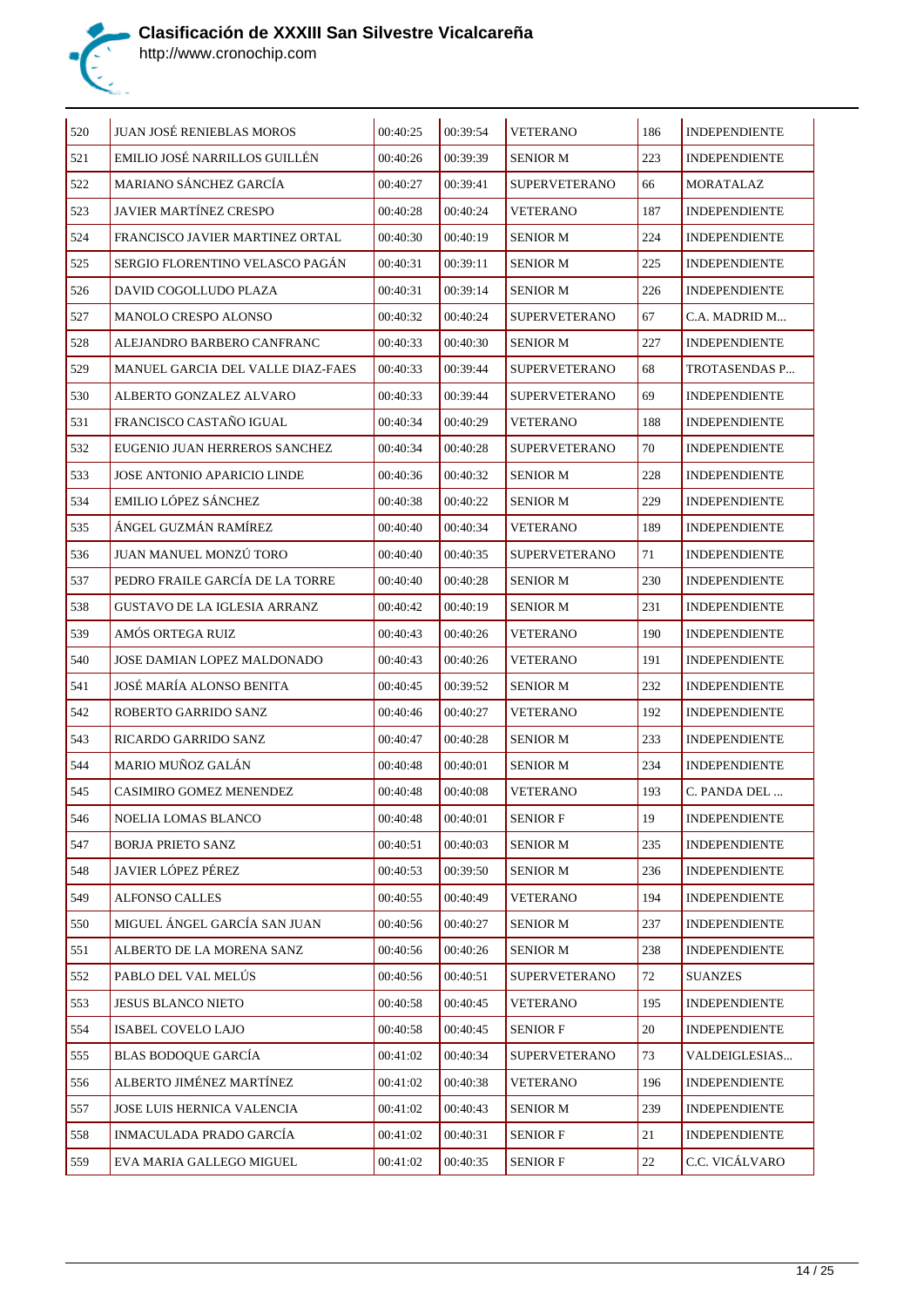

| 520 | <b>JUAN JOSÉ RENIEBLAS MOROS</b>   | 00:40:25 | 00:39:54 | <b>VETERANO</b>      | 186    | <b>INDEPENDIENTE</b> |
|-----|------------------------------------|----------|----------|----------------------|--------|----------------------|
| 521 | EMILIO JOSÉ NARRILLOS GUILLÉN      | 00:40:26 | 00:39:39 | <b>SENIOR M</b>      | 223    | <b>INDEPENDIENTE</b> |
| 522 | MARIANO SÁNCHEZ GARCÍA             | 00:40:27 | 00:39:41 | <b>SUPERVETERANO</b> | 66     | MORATALAZ            |
| 523 | <b>JAVIER MARTÍNEZ CRESPO</b>      | 00:40:28 | 00:40:24 | <b>VETERANO</b>      | 187    | <b>INDEPENDIENTE</b> |
| 524 | FRANCISCO JAVIER MARTINEZ ORTAL    | 00:40:30 | 00:40:19 | SENIOR M             | 224    | <b>INDEPENDIENTE</b> |
| 525 | SERGIO FLORENTINO VELASCO PAGÁN    | 00:40:31 | 00:39:11 | <b>SENIOR M</b>      | 225    | <b>INDEPENDIENTE</b> |
| 526 | DAVID COGOLLUDO PLAZA              | 00:40:31 | 00:39:14 | <b>SENIOR M</b>      | 226    | <b>INDEPENDIENTE</b> |
| 527 | <b>MANOLO CRESPO ALONSO</b>        | 00:40:32 | 00:40:24 | <b>SUPERVETERANO</b> | 67     | C.A. MADRID M        |
| 528 | ALEJANDRO BARBERO CANFRANC         | 00:40:33 | 00:40:30 | <b>SENIOR M</b>      | 227    | <b>INDEPENDIENTE</b> |
| 529 | MANUEL GARCIA DEL VALLE DIAZ-FAES  | 00:40:33 | 00:39:44 | <b>SUPERVETERANO</b> | 68     | TROTASENDAS P        |
| 530 | ALBERTO GONZALEZ ALVARO            | 00:40:33 | 00:39:44 | <b>SUPERVETERANO</b> | 69     | <b>INDEPENDIENTE</b> |
| 531 | FRANCISCO CASTAÑO IGUAL            | 00:40:34 | 00:40:29 | VETERANO             | 188    | <b>INDEPENDIENTE</b> |
| 532 | EUGENIO JUAN HERREROS SANCHEZ      | 00:40:34 | 00:40:28 | <b>SUPERVETERANO</b> | 70     | <b>INDEPENDIENTE</b> |
| 533 | <b>JOSE ANTONIO APARICIO LINDE</b> | 00:40:36 | 00:40:32 | <b>SENIOR M</b>      | 228    | <b>INDEPENDIENTE</b> |
| 534 | <b>EMILIO LÓPEZ SÁNCHEZ</b>        | 00:40:38 | 00:40:22 | <b>SENIOR M</b>      | 229    | <b>INDEPENDIENTE</b> |
| 535 | ÁNGEL GUZMÁN RAMÍREZ               | 00:40:40 | 00:40:34 | <b>VETERANO</b>      | 189    | <b>INDEPENDIENTE</b> |
| 536 | JUAN MANUEL MONZÚ TORO             | 00:40:40 | 00:40:35 | <b>SUPERVETERANO</b> | 71     | <b>INDEPENDIENTE</b> |
| 537 | PEDRO FRAILE GARCÍA DE LA TORRE    | 00:40:40 | 00:40:28 | <b>SENIOR M</b>      | 230    | <b>INDEPENDIENTE</b> |
| 538 | GUSTAVO DE LA IGLESIA ARRANZ       | 00:40:42 | 00:40:19 | <b>SENIOR M</b>      | 231    | <b>INDEPENDIENTE</b> |
| 539 | AMÓS ORTEGA RUIZ                   | 00:40:43 | 00:40:26 | <b>VETERANO</b>      | 190    | <b>INDEPENDIENTE</b> |
| 540 | JOSE DAMIAN LOPEZ MALDONADO        | 00:40:43 | 00:40:26 | VETERANO             | 191    | <b>INDEPENDIENTE</b> |
| 541 | JOSÉ MARÍA ALONSO BENITA           | 00:40:45 | 00:39:52 | <b>SENIOR M</b>      | 232    | <b>INDEPENDIENTE</b> |
| 542 | ROBERTO GARRIDO SANZ               | 00:40:46 | 00:40:27 | <b>VETERANO</b>      | 192    | <b>INDEPENDIENTE</b> |
| 543 | RICARDO GARRIDO SANZ               | 00:40:47 | 00:40:28 | <b>SENIOR M</b>      | 233    | <b>INDEPENDIENTE</b> |
| 544 | MARIO MUÑOZ GALÁN                  | 00:40:48 | 00:40:01 | <b>SENIOR M</b>      | 234    | <b>INDEPENDIENTE</b> |
| 545 | CASIMIRO GOMEZ MENENDEZ            | 00:40:48 | 00:40:08 | <b>VETERANO</b>      | 193    | C. PANDA DEL         |
| 546 | NOELIA LOMAS BLANCO                | 00:40:48 | 00:40:01 | <b>SENIOR F</b>      | 19     | <b>INDEPENDIENTE</b> |
| 547 | BORJA PRIETO SANZ                  | 00:40:51 | 00:40:03 | <b>SENIOR M</b>      | 235    | <b>INDEPENDIENTE</b> |
| 548 | <b>JAVIER LÓPEZ PÉREZ</b>          | 00:40:53 | 00:39:50 | <b>SENIOR M</b>      | 236    | <b>INDEPENDIENTE</b> |
| 549 | <b>ALFONSO CALLES</b>              | 00:40:55 | 00:40:49 | <b>VETERANO</b>      | 194    | <b>INDEPENDIENTE</b> |
| 550 | MIGUEL ÁNGEL GARCÍA SAN JUAN       | 00:40:56 | 00:40:27 | <b>SENIOR M</b>      | 237    | <b>INDEPENDIENTE</b> |
| 551 | ALBERTO DE LA MORENA SANZ          | 00:40:56 | 00:40:26 | <b>SENIOR M</b>      | 238    | <b>INDEPENDIENTE</b> |
| 552 | PABLO DEL VAL MELÚS                | 00:40:56 | 00:40:51 | <b>SUPERVETERANO</b> | 72     | <b>SUANZES</b>       |
| 553 | JESUS BLANCO NIETO                 | 00:40:58 | 00:40:45 | VETERANO             | 195    | <b>INDEPENDIENTE</b> |
| 554 | ISABEL COVELO LAJO                 | 00:40:58 | 00:40:45 | <b>SENIOR F</b>      | 20     | <b>INDEPENDIENTE</b> |
| 555 | BLAS BODOQUE GARCÍA                | 00:41:02 | 00:40:34 | <b>SUPERVETERANO</b> | 73     | VALDEIGLESIAS        |
| 556 | ALBERTO JIMÉNEZ MARTÍNEZ           | 00:41:02 | 00:40:38 | <b>VETERANO</b>      | 196    | <b>INDEPENDIENTE</b> |
| 557 | JOSE LUIS HERNICA VALENCIA         | 00:41:02 | 00:40:43 | <b>SENIOR M</b>      | 239    | <b>INDEPENDIENTE</b> |
| 558 | INMACULADA PRADO GARCÍA            | 00:41:02 | 00:40:31 | <b>SENIOR F</b>      | $21\,$ | <b>INDEPENDIENTE</b> |
| 559 | EVA MARIA GALLEGO MIGUEL           | 00:41:02 | 00:40:35 | <b>SENIOR F</b>      | $22\,$ | C.C. VICÁLVARO       |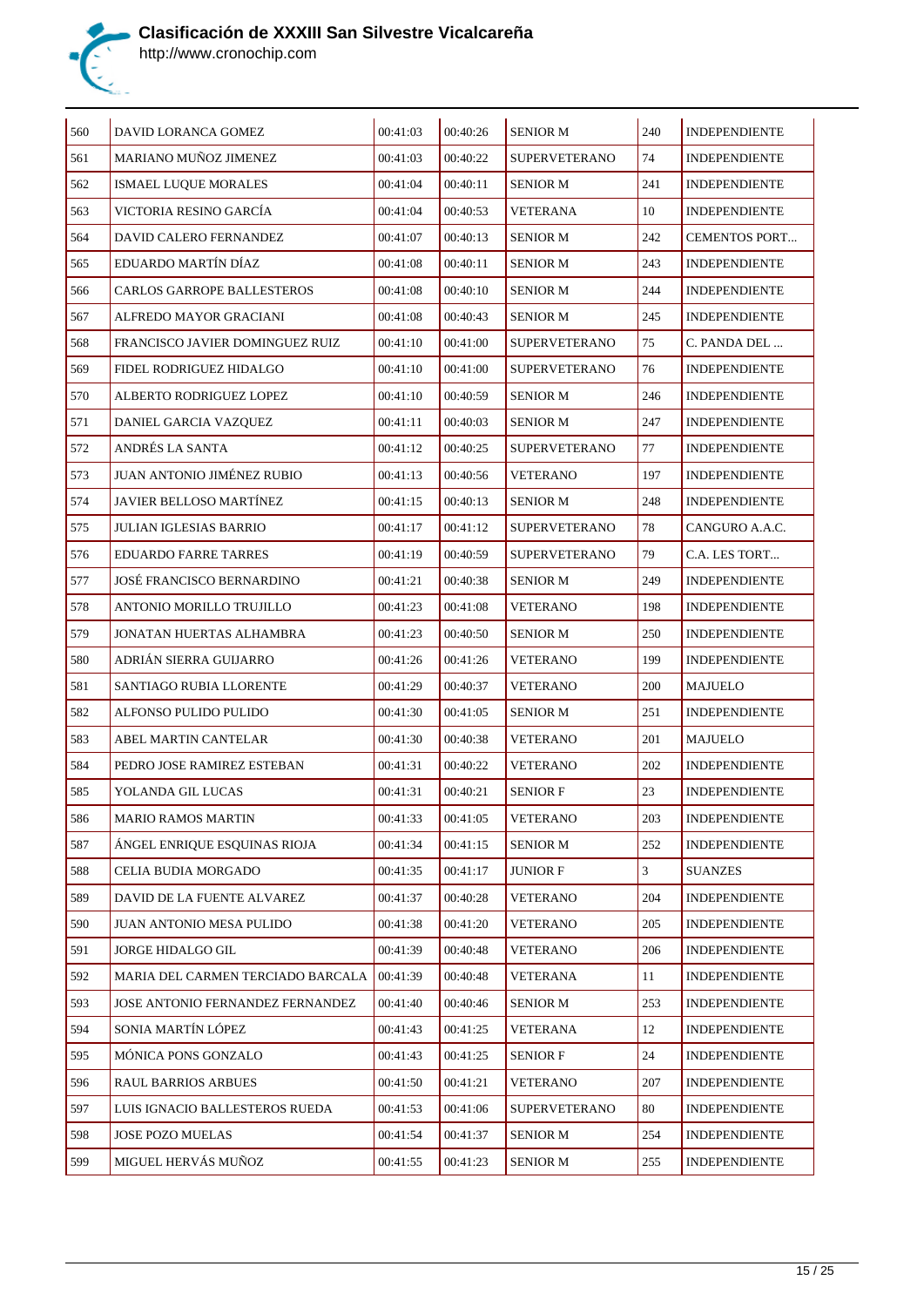

| 560 | DAVID LORANCA GOMEZ               | 00:41:03 | 00:40:26 | <b>SENIOR M</b>      | 240 | <b>INDEPENDIENTE</b> |
|-----|-----------------------------------|----------|----------|----------------------|-----|----------------------|
| 561 | MARIANO MUÑOZ JIMENEZ             | 00:41:03 | 00:40:22 | <b>SUPERVETERANO</b> | 74  | <b>INDEPENDIENTE</b> |
| 562 | ISMAEL LUQUE MORALES              | 00:41:04 | 00:40:11 | <b>SENIOR M</b>      | 241 | <b>INDEPENDIENTE</b> |
| 563 | VICTORIA RESINO GARCÍA            | 00:41:04 | 00:40:53 | VETERANA             | 10  | <b>INDEPENDIENTE</b> |
| 564 | DAVID CALERO FERNANDEZ            | 00:41:07 | 00:40:13 | <b>SENIOR M</b>      | 242 | <b>CEMENTOS PORT</b> |
| 565 | EDUARDO MARTÍN DÍAZ               | 00:41:08 | 00:40:11 | <b>SENIOR M</b>      | 243 | <b>INDEPENDIENTE</b> |
| 566 | CARLOS GARROPE BALLESTEROS        | 00:41:08 | 00:40:10 | <b>SENIOR M</b>      | 244 | <b>INDEPENDIENTE</b> |
| 567 | ALFREDO MAYOR GRACIANI            | 00:41:08 | 00:40:43 | <b>SENIOR M</b>      | 245 | <b>INDEPENDIENTE</b> |
| 568 | FRANCISCO JAVIER DOMINGUEZ RUIZ   | 00:41:10 | 00:41:00 | <b>SUPERVETERANO</b> | 75  | C. PANDA DEL         |
| 569 | FIDEL RODRIGUEZ HIDALGO           | 00:41:10 | 00:41:00 | <b>SUPERVETERANO</b> | 76  | <b>INDEPENDIENTE</b> |
| 570 | ALBERTO RODRIGUEZ LOPEZ           | 00:41:10 | 00:40:59 | <b>SENIOR M</b>      | 246 | <b>INDEPENDIENTE</b> |
| 571 | DANIEL GARCIA VAZQUEZ             | 00:41:11 | 00:40:03 | <b>SENIOR M</b>      | 247 | <b>INDEPENDIENTE</b> |
| 572 | ANDRÉS LA SANTA                   | 00:41:12 | 00:40:25 | <b>SUPERVETERANO</b> | 77  | <b>INDEPENDIENTE</b> |
| 573 | <b>JUAN ANTONIO JIMÉNEZ RUBIO</b> | 00:41:13 | 00:40:56 | <b>VETERANO</b>      | 197 | <b>INDEPENDIENTE</b> |
| 574 | JAVIER BELLOSO MARTÍNEZ           | 00:41:15 | 00:40:13 | <b>SENIOR M</b>      | 248 | <b>INDEPENDIENTE</b> |
| 575 | JULIAN IGLESIAS BARRIO            | 00:41:17 | 00:41:12 | <b>SUPERVETERANO</b> | 78  | CANGURO A.A.C.       |
| 576 | <b>EDUARDO FARRE TARRES</b>       | 00:41:19 | 00:40:59 | <b>SUPERVETERANO</b> | 79  | C.A. LES TORT        |
| 577 | JOSÉ FRANCISCO BERNARDINO         | 00:41:21 | 00:40:38 | <b>SENIOR M</b>      | 249 | <b>INDEPENDIENTE</b> |
| 578 | ANTONIO MORILLO TRUJILLO          | 00:41:23 | 00:41:08 | <b>VETERANO</b>      | 198 | <b>INDEPENDIENTE</b> |
| 579 | JONATAN HUERTAS ALHAMBRA          | 00:41:23 | 00:40:50 | <b>SENIOR M</b>      | 250 | <b>INDEPENDIENTE</b> |
| 580 | ADRIÁN SIERRA GUIJARRO            | 00:41:26 | 00:41:26 | <b>VETERANO</b>      | 199 | <b>INDEPENDIENTE</b> |
| 581 | SANTIAGO RUBIA LLORENTE           | 00:41:29 | 00:40:37 | <b>VETERANO</b>      | 200 | MAJUELO              |
| 582 | ALFONSO PULIDO PULIDO             | 00:41:30 | 00:41:05 | SENIOR M             | 251 | <b>INDEPENDIENTE</b> |
| 583 | ABEL MARTIN CANTELAR              | 00:41:30 | 00:40:38 | <b>VETERANO</b>      | 201 | MAJUELO              |
| 584 | PEDRO JOSE RAMIREZ ESTEBAN        | 00:41:31 | 00:40:22 | <b>VETERANO</b>      | 202 | <b>INDEPENDIENTE</b> |
| 585 | YOLANDA GIL LUCAS                 | 00:41:31 | 00:40:21 | <b>SENIOR F</b>      | 23  | <b>INDEPENDIENTE</b> |
| 586 | <b>MARIO RAMOS MARTIN</b>         | 00:41:33 | 00:41:05 | <b>VETERANO</b>      | 203 | <b>INDEPENDIENTE</b> |
| 587 | ÁNGEL ENRIQUE ESQUINAS RIOJA      | 00:41:34 | 00:41:15 | <b>SENIOR M</b>      | 252 | <b>INDEPENDIENTE</b> |
| 588 | CELIA BUDIA MORGADO               | 00:41:35 | 00:41:17 | <b>JUNIOR F</b>      | 3   | <b>SUANZES</b>       |
| 589 | DAVID DE LA FUENTE ALVAREZ        | 00:41:37 | 00:40:28 | <b>VETERANO</b>      | 204 | <b>INDEPENDIENTE</b> |
| 590 | JUAN ANTONIO MESA PULIDO          | 00:41:38 | 00:41:20 | <b>VETERANO</b>      | 205 | <b>INDEPENDIENTE</b> |
| 591 | JORGE HIDALGO GIL                 | 00:41:39 | 00:40:48 | <b>VETERANO</b>      | 206 | <b>INDEPENDIENTE</b> |
| 592 | MARIA DEL CARMEN TERCIADO BARCALA | 00:41:39 | 00:40:48 | VETERANA             | 11  | <b>INDEPENDIENTE</b> |
| 593 | JOSE ANTONIO FERNANDEZ FERNANDEZ  | 00:41:40 | 00:40:46 | <b>SENIOR M</b>      | 253 | <b>INDEPENDIENTE</b> |
| 594 | SONIA MARTÍN LÓPEZ                | 00:41:43 | 00:41:25 | <b>VETERANA</b>      | 12  | <b>INDEPENDIENTE</b> |
| 595 | MÓNICA PONS GONZALO               | 00:41:43 | 00:41:25 | <b>SENIOR F</b>      | 24  | <b>INDEPENDIENTE</b> |
| 596 | <b>RAUL BARRIOS ARBUES</b>        | 00:41:50 | 00:41:21 | VETERANO             | 207 | <b>INDEPENDIENTE</b> |
| 597 | LUIS IGNACIO BALLESTEROS RUEDA    | 00:41:53 | 00:41:06 | SUPERVETERANO        | 80  | <b>INDEPENDIENTE</b> |
| 598 | JOSE POZO MUELAS                  | 00:41:54 | 00:41:37 | <b>SENIOR M</b>      | 254 | <b>INDEPENDIENTE</b> |
| 599 | MIGUEL HERVÁS MUÑOZ               | 00:41:55 | 00:41:23 | <b>SENIOR M</b>      | 255 | <b>INDEPENDIENTE</b> |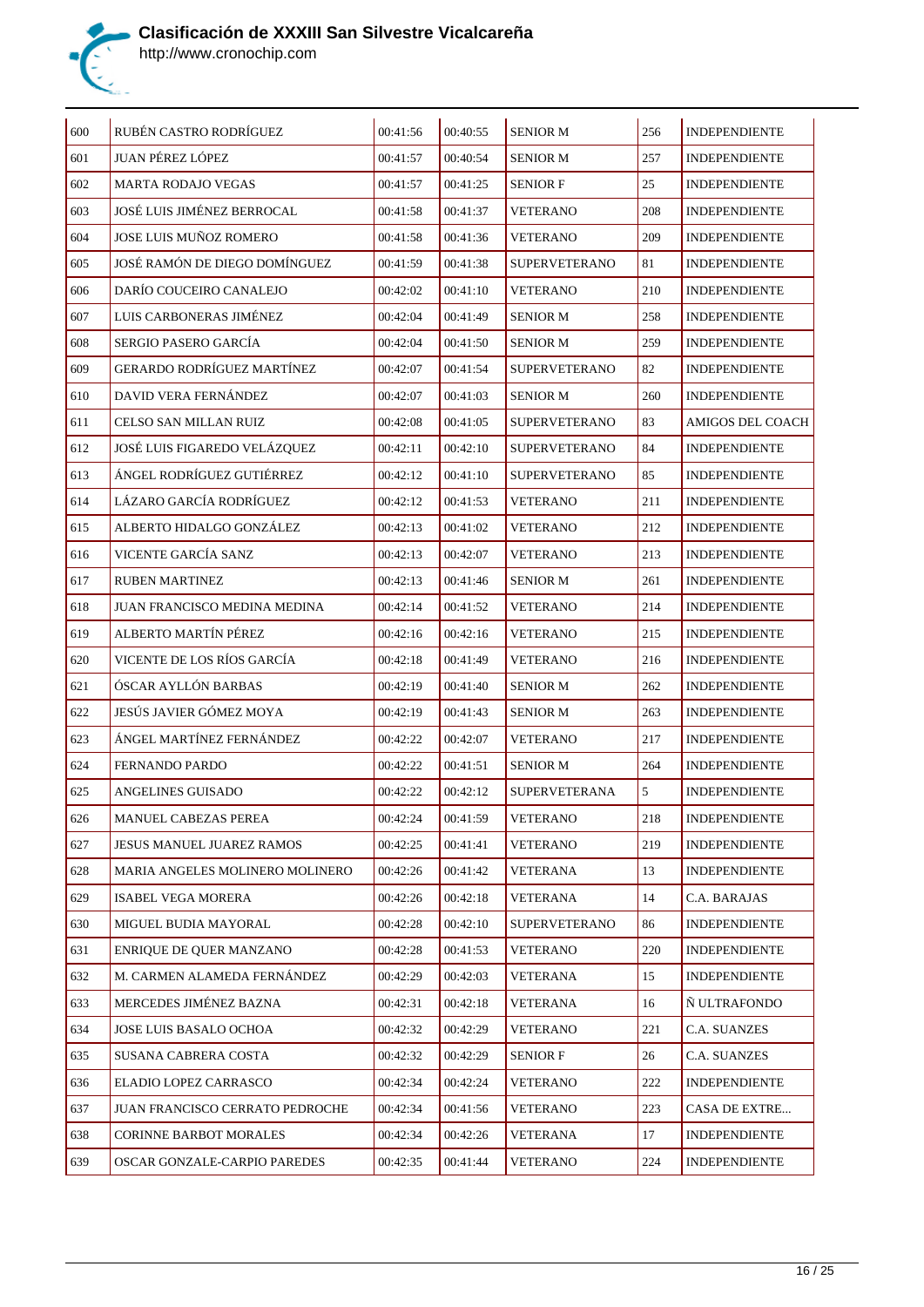

| 600 | RUBÉN CASTRO RODRÍGUEZ            | 00:41:56 | 00:40:55 | <b>SENIOR M</b>      | 256 | <b>INDEPENDIENTE</b> |
|-----|-----------------------------------|----------|----------|----------------------|-----|----------------------|
| 601 | JUAN PÉREZ LÓPEZ                  | 00:41:57 | 00:40:54 | <b>SENIOR M</b>      | 257 | <b>INDEPENDIENTE</b> |
| 602 | <b>MARTA RODAJO VEGAS</b>         | 00:41:57 | 00:41:25 | <b>SENIOR F</b>      | 25  | <b>INDEPENDIENTE</b> |
| 603 | JOSÉ LUIS JIMÉNEZ BERROCAL        | 00:41:58 | 00:41:37 | <b>VETERANO</b>      | 208 | <b>INDEPENDIENTE</b> |
| 604 | JOSE LUIS MUÑOZ ROMERO            | 00:41:58 | 00:41:36 | <b>VETERANO</b>      | 209 | <b>INDEPENDIENTE</b> |
| 605 | JOSÉ RAMÓN DE DIEGO DOMÍNGUEZ     | 00:41:59 | 00:41:38 | <b>SUPERVETERANO</b> | 81  | <b>INDEPENDIENTE</b> |
| 606 | DARÍO COUCEIRO CANALEJO           | 00:42:02 | 00:41:10 | <b>VETERANO</b>      | 210 | <b>INDEPENDIENTE</b> |
| 607 | LUIS CARBONERAS JIMÉNEZ           | 00:42:04 | 00:41:49 | <b>SENIOR M</b>      | 258 | <b>INDEPENDIENTE</b> |
| 608 | SERGIO PASERO GARCÍA              | 00:42:04 | 00:41:50 | <b>SENIOR M</b>      | 259 | <b>INDEPENDIENTE</b> |
| 609 | <b>GERARDO RODRÍGUEZ MARTÍNEZ</b> | 00:42:07 | 00:41:54 | <b>SUPERVETERANO</b> | 82  | <b>INDEPENDIENTE</b> |
| 610 | DAVID VERA FERNÁNDEZ              | 00:42:07 | 00:41:03 | <b>SENIOR M</b>      | 260 | INDEPENDIENTE        |
| 611 | CELSO SAN MILLAN RUIZ             | 00:42:08 | 00:41:05 | <b>SUPERVETERANO</b> | 83  | AMIGOS DEL COACH     |
| 612 | JOSÉ LUIS FIGAREDO VELÁZQUEZ      | 00:42:11 | 00:42:10 | <b>SUPERVETERANO</b> | 84  | <b>INDEPENDIENTE</b> |
| 613 | ÁNGEL RODRÍGUEZ GUTIÉRREZ         | 00:42:12 | 00:41:10 | <b>SUPERVETERANO</b> | 85  | <b>INDEPENDIENTE</b> |
| 614 | LÁZARO GARCÍA RODRÍGUEZ           | 00:42:12 | 00:41:53 | <b>VETERANO</b>      | 211 | <b>INDEPENDIENTE</b> |
| 615 | ALBERTO HIDALGO GONZÁLEZ          | 00:42:13 | 00:41:02 | <b>VETERANO</b>      | 212 | <b>INDEPENDIENTE</b> |
| 616 | VICENTE GARCÍA SANZ               | 00:42:13 | 00:42:07 | <b>VETERANO</b>      | 213 | <b>INDEPENDIENTE</b> |
| 617 | <b>RUBEN MARTINEZ</b>             | 00:42:13 | 00:41:46 | <b>SENIOR M</b>      | 261 | <b>INDEPENDIENTE</b> |
| 618 | JUAN FRANCISCO MEDINA MEDINA      | 00:42:14 | 00:41:52 | <b>VETERANO</b>      | 214 | <b>INDEPENDIENTE</b> |
| 619 | ALBERTO MARTÍN PÉREZ              | 00:42:16 | 00:42:16 | <b>VETERANO</b>      | 215 | <b>INDEPENDIENTE</b> |
| 620 | VICENTE DE LOS RÍOS GARCÍA        | 00:42:18 | 00:41:49 | <b>VETERANO</b>      | 216 | <b>INDEPENDIENTE</b> |
| 621 | ÓSCAR AYLLÓN BARBAS               | 00:42:19 | 00:41:40 | <b>SENIOR M</b>      | 262 | <b>INDEPENDIENTE</b> |
| 622 | JESÚS JAVIER GÓMEZ MOYA           | 00:42:19 | 00:41:43 | <b>SENIOR M</b>      | 263 | <b>INDEPENDIENTE</b> |
| 623 | ÁNGEL MARTÍNEZ FERNÁNDEZ          | 00:42:22 | 00:42:07 | <b>VETERANO</b>      | 217 | <b>INDEPENDIENTE</b> |
| 624 | FERNANDO PARDO                    | 00:42:22 | 00:41:51 | <b>SENIOR M</b>      | 264 | <b>INDEPENDIENTE</b> |
| 625 | ANGELINES GUISADO                 | 00:42:22 | 00:42:12 | <b>SUPERVETERANA</b> | 5   | <b>INDEPENDIENTE</b> |
| 626 | MANUEL CABEZAS PEREA              | 00:42:24 | 00:41:59 | <b>VETERANO</b>      | 218 | <b>INDEPENDIENTE</b> |
| 627 | JESUS MANUEL JUAREZ RAMOS         | 00:42:25 | 00:41:41 | <b>VETERANO</b>      | 219 | <b>INDEPENDIENTE</b> |
| 628 | MARIA ANGELES MOLINERO MOLINERO   | 00:42:26 | 00:41:42 | VETERANA             | 13  | <b>INDEPENDIENTE</b> |
| 629 | ISABEL VEGA MORERA                | 00:42:26 | 00:42:18 | VETERANA             | 14  | C.A. BARAJAS         |
| 630 | MIGUEL BUDIA MAYORAL              | 00:42:28 | 00:42:10 | <b>SUPERVETERANO</b> | 86  | <b>INDEPENDIENTE</b> |
| 631 | ENRIQUE DE QUER MANZANO           | 00:42:28 | 00:41:53 | <b>VETERANO</b>      | 220 | <b>INDEPENDIENTE</b> |
| 632 | M. CARMEN ALAMEDA FERNÁNDEZ       | 00:42:29 | 00:42:03 | VETERANA             | 15  | <b>INDEPENDIENTE</b> |
| 633 | MERCEDES JIMÉNEZ BAZNA            | 00:42:31 | 00:42:18 | <b>VETERANA</b>      | 16  | Ñ ULTRAFONDO         |
| 634 | JOSE LUIS BASALO OCHOA            | 00:42:32 | 00:42:29 | VETERANO             | 221 | C.A. SUANZES         |
| 635 | SUSANA CABRERA COSTA              | 00:42:32 | 00:42:29 | <b>SENIOR F</b>      | 26  | C.A. SUANZES         |
| 636 | ELADIO LOPEZ CARRASCO             | 00:42:34 | 00:42:24 | <b>VETERANO</b>      | 222 | <b>INDEPENDIENTE</b> |
| 637 | JUAN FRANCISCO CERRATO PEDROCHE   | 00:42:34 | 00:41:56 | <b>VETERANO</b>      | 223 | CASA DE EXTRE        |
| 638 | <b>CORINNE BARBOT MORALES</b>     | 00:42:34 | 00:42:26 | VETERANA             | 17  | <b>INDEPENDIENTE</b> |
| 639 | OSCAR GONZALE-CARPIO PAREDES      | 00:42:35 | 00:41:44 | <b>VETERANO</b>      | 224 | <b>INDEPENDIENTE</b> |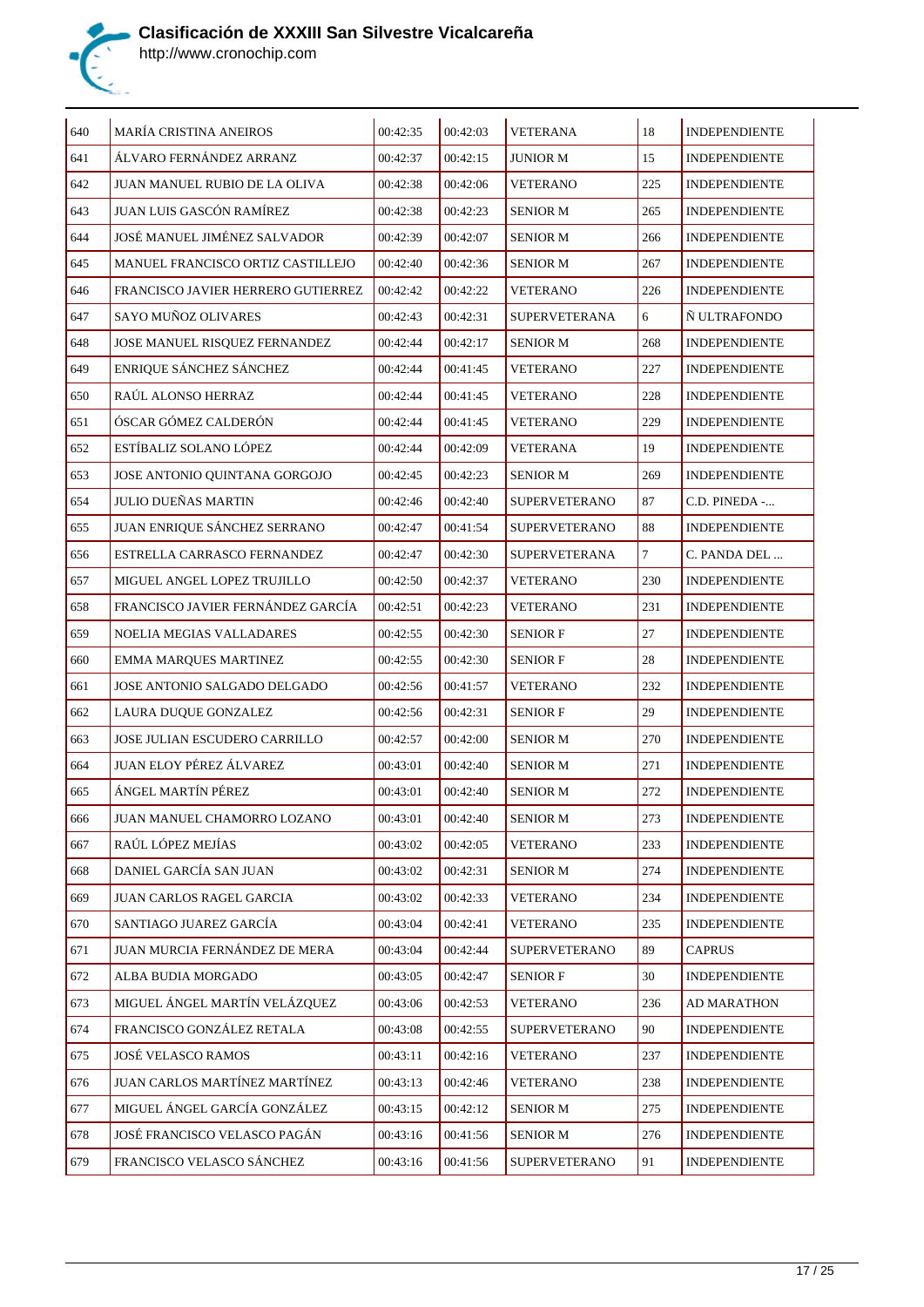

| 640 | MARÍA CRISTINA ANEIROS               | 00:42:35 | 00:42:03 | <b>VETERANA</b>      | 18     | <b>INDEPENDIENTE</b> |
|-----|--------------------------------------|----------|----------|----------------------|--------|----------------------|
| 641 | ÁLVARO FERNÁNDEZ ARRANZ              | 00:42:37 | 00:42:15 | <b>JUNIOR M</b>      | 15     | <b>INDEPENDIENTE</b> |
| 642 | JUAN MANUEL RUBIO DE LA OLIVA        | 00:42:38 | 00:42:06 | <b>VETERANO</b>      | 225    | <b>INDEPENDIENTE</b> |
| 643 | JUAN LUIS GASCÓN RAMÍREZ             | 00:42:38 | 00:42:23 | <b>SENIOR M</b>      | 265    | <b>INDEPENDIENTE</b> |
| 644 | JOSÉ MANUEL JIMÉNEZ SALVADOR         | 00:42:39 | 00:42:07 | <b>SENIOR M</b>      | 266    | <b>INDEPENDIENTE</b> |
| 645 | MANUEL FRANCISCO ORTIZ CASTILLEJO    | 00:42:40 | 00:42:36 | <b>SENIOR M</b>      | 267    | <b>INDEPENDIENTE</b> |
| 646 | FRANCISCO JAVIER HERRERO GUTIERREZ   | 00:42:42 | 00:42:22 | <b>VETERANO</b>      | 226    | <b>INDEPENDIENTE</b> |
| 647 | SAYO MUÑOZ OLIVARES                  | 00:42:43 | 00:42:31 | SUPERVETERANA        | 6      | N ULTRAFONDO         |
| 648 | JOSE MANUEL RISQUEZ FERNANDEZ        | 00:42:44 | 00:42:17 | <b>SENIOR M</b>      | 268    | <b>INDEPENDIENTE</b> |
| 649 | ENRIQUE SÁNCHEZ SÁNCHEZ              | 00:42:44 | 00:41:45 | <b>VETERANO</b>      | 227    | <b>INDEPENDIENTE</b> |
| 650 | RAÚL ALONSO HERRAZ                   | 00:42:44 | 00:41:45 | <b>VETERANO</b>      | 228    | <b>INDEPENDIENTE</b> |
| 651 | ÓSCAR GÓMEZ CALDERÓN                 | 00:42:44 | 00:41:45 | <b>VETERANO</b>      | 229    | <b>INDEPENDIENTE</b> |
| 652 | ESTÍBALIZ SOLANO LÓPEZ               | 00:42:44 | 00:42:09 | <b>VETERANA</b>      | 19     | <b>INDEPENDIENTE</b> |
| 653 | JOSE ANTONIO QUINTANA GORGOJO        | 00:42:45 | 00:42:23 | <b>SENIOR M</b>      | 269    | <b>INDEPENDIENTE</b> |
| 654 | <b>JULIO DUEÑAS MARTIN</b>           | 00:42:46 | 00:42:40 | <b>SUPERVETERANO</b> | 87     | C.D. PINEDA -        |
| 655 | JUAN ENRIQUE SÁNCHEZ SERRANO         | 00:42:47 | 00:41:54 | <b>SUPERVETERANO</b> | 88     | <b>INDEPENDIENTE</b> |
| 656 | ESTRELLA CARRASCO FERNANDEZ          | 00:42:47 | 00:42:30 | <b>SUPERVETERANA</b> | $\tau$ | C. PANDA DEL         |
| 657 | MIGUEL ANGEL LOPEZ TRUJILLO          | 00:42:50 | 00:42:37 | <b>VETERANO</b>      | 230    | <b>INDEPENDIENTE</b> |
| 658 | FRANCISCO JAVIER FERNÁNDEZ GARCÍA    | 00:42:51 | 00:42:23 | <b>VETERANO</b>      | 231    | <b>INDEPENDIENTE</b> |
| 659 | NOELIA MEGIAS VALLADARES             | 00:42:55 | 00:42:30 | <b>SENIOR F</b>      | 27     | <b>INDEPENDIENTE</b> |
| 660 | EMMA MARQUES MARTINEZ                | 00:42:55 | 00:42:30 | <b>SENIOR F</b>      | 28     | <b>INDEPENDIENTE</b> |
| 661 | JOSE ANTONIO SALGADO DELGADO         | 00:42:56 | 00:41:57 | <b>VETERANO</b>      | 232    | <b>INDEPENDIENTE</b> |
| 662 | LAURA DUQUE GONZALEZ                 | 00:42:56 | 00:42:31 | SENIOR F             | 29     | <b>INDEPENDIENTE</b> |
| 663 | <b>JOSE JULIAN ESCUDERO CARRILLO</b> | 00:42:57 | 00:42:00 | <b>SENIOR M</b>      | 270    | <b>INDEPENDIENTE</b> |
| 664 | <b>JUAN ELOY PÉREZ ÁLVAREZ</b>       | 00:43:01 | 00:42:40 | <b>SENIOR M</b>      | 271    | <b>INDEPENDIENTE</b> |
| 665 | ÁNGEL MARTÍN PÉREZ                   | 00:43:01 | 00:42:40 | <b>SENIOR M</b>      | 272    | <b>INDEPENDIENTE</b> |
| 666 | JUAN MANUEL CHAMORRO LOZANO          | 00:43:01 | 00:42:40 | SENIOR M             | 273    | INDEPENDIENTE        |
| 667 | RAÚL LÓPEZ MEJÍAS                    | 00:43:02 | 00:42:05 | <b>VETERANO</b>      | 233    | INDEPENDIENTE        |
| 668 | DANIEL GARCÍA SAN JUAN               | 00:43:02 | 00:42:31 | <b>SENIOR M</b>      | 274    | <b>INDEPENDIENTE</b> |
| 669 | JUAN CARLOS RAGEL GARCIA             | 00:43:02 | 00:42:33 | <b>VETERANO</b>      | 234    | <b>INDEPENDIENTE</b> |
| 670 | SANTIAGO JUAREZ GARCÍA               | 00:43:04 | 00:42:41 | <b>VETERANO</b>      | 235    | <b>INDEPENDIENTE</b> |
| 671 | JUAN MURCIA FERNÁNDEZ DE MERA        | 00:43:04 | 00:42:44 | <b>SUPERVETERANO</b> | 89     | <b>CAPRUS</b>        |
| 672 | ALBA BUDIA MORGADO                   | 00:43:05 | 00:42:47 | <b>SENIOR F</b>      | 30     | <b>INDEPENDIENTE</b> |
| 673 | MIGUEL ÁNGEL MARTÍN VELÁZQUEZ        | 00:43:06 | 00:42:53 | <b>VETERANO</b>      | 236    | <b>AD MARATHON</b>   |
| 674 | FRANCISCO GONZÁLEZ RETALA            | 00:43:08 | 00:42:55 | <b>SUPERVETERANO</b> | 90     | <b>INDEPENDIENTE</b> |
| 675 | JOSÉ VELASCO RAMOS                   | 00:43:11 | 00:42:16 | <b>VETERANO</b>      | 237    | <b>INDEPENDIENTE</b> |
| 676 | JUAN CARLOS MARTÍNEZ MARTÍNEZ        | 00:43:13 | 00:42:46 | <b>VETERANO</b>      | 238    | <b>INDEPENDIENTE</b> |
| 677 | MIGUEL ÁNGEL GARCÍA GONZÁLEZ         | 00:43:15 | 00:42:12 | <b>SENIOR M</b>      | 275    | <b>INDEPENDIENTE</b> |
| 678 | JOSÉ FRANCISCO VELASCO PAGÁN         | 00:43:16 | 00:41:56 | <b>SENIOR M</b>      | 276    | <b>INDEPENDIENTE</b> |
| 679 | FRANCISCO VELASCO SÁNCHEZ            | 00:43:16 | 00:41:56 | <b>SUPERVETERANO</b> | 91     | <b>INDEPENDIENTE</b> |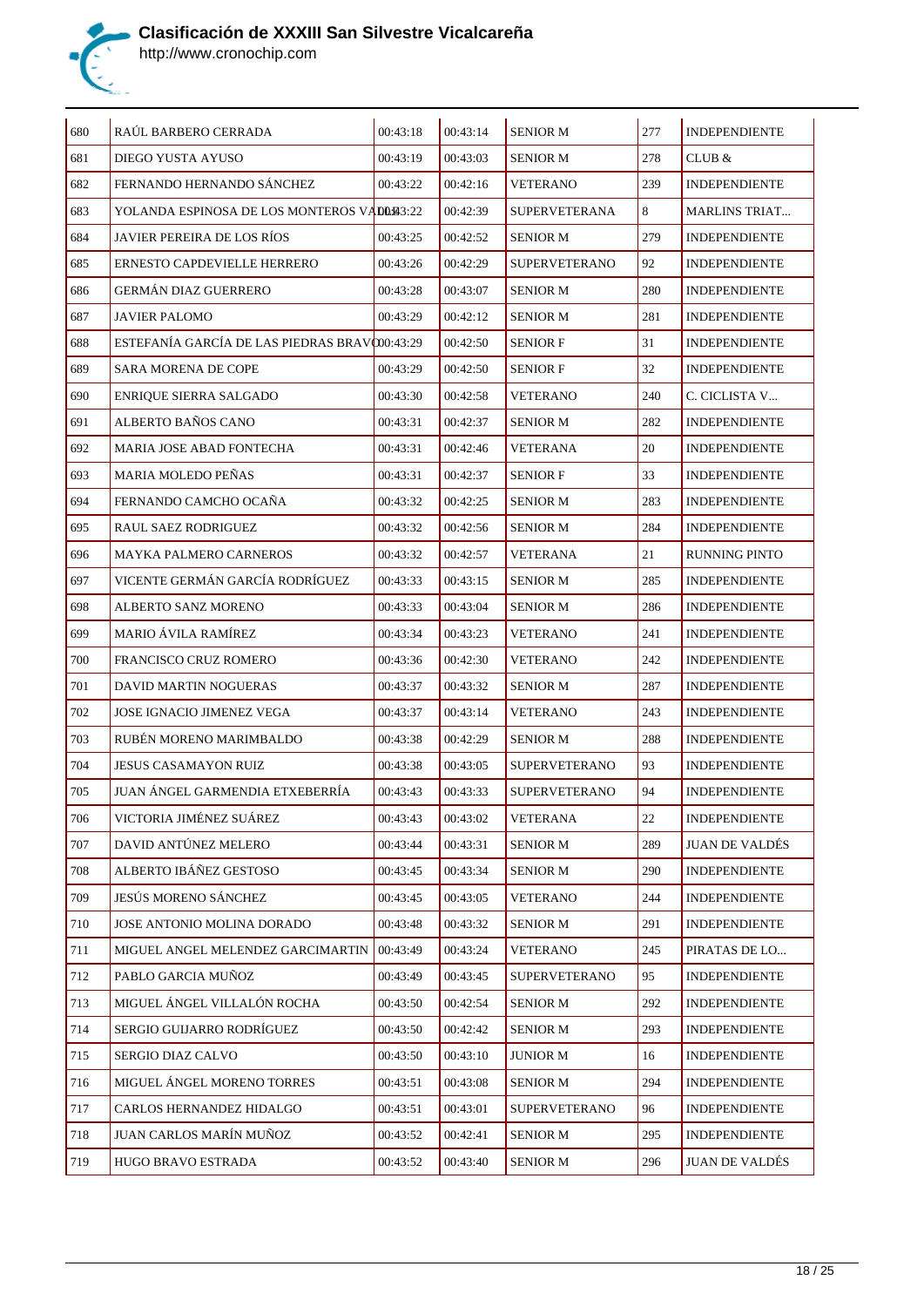

| $\sqrt{680}$ | RAÚL BARBERO CERRADA                         | 00:43:18 | 00:43:14 | <b>SENIOR M</b>      | 277    | <b>INDEPENDIENTE</b>  |
|--------------|----------------------------------------------|----------|----------|----------------------|--------|-----------------------|
| 681          | DIEGO YUSTA AYUSO                            | 00:43:19 | 00:43:03 | <b>SENIOR M</b>      | 278    | CLUB &                |
| 682          | FERNANDO HERNANDO SÁNCHEZ                    | 00:43:22 | 00:42:16 | <b>VETERANO</b>      | 239    | <b>INDEPENDIENTE</b>  |
| 683          | YOLANDA ESPINOSA DE LOS MONTEROS VADDE3:22   |          | 00:42:39 | <b>SUPERVETERANA</b> | 8      | <b>MARLINS TRIAT</b>  |
| 684          | JAVIER PEREIRA DE LOS RÍOS                   | 00:43:25 | 00:42:52 | <b>SENIOR M</b>      | 279    | <b>INDEPENDIENTE</b>  |
| 685          | ERNESTO CAPDEVIELLE HERRERO                  | 00:43:26 | 00:42:29 | <b>SUPERVETERANO</b> | 92     | <b>INDEPENDIENTE</b>  |
| 686          | <b>GERMÁN DIAZ GUERRERO</b>                  | 00:43:28 | 00:43:07 | <b>SENIOR M</b>      | 280    | <b>INDEPENDIENTE</b>  |
| 687          | <b>JAVIER PALOMO</b>                         | 00:43:29 | 00:42:12 | SENIOR M             | 281    | <b>INDEPENDIENTE</b>  |
| 688          | ESTEFANÍA GARCÍA DE LAS PIEDRAS BRAVO0:43:29 |          | 00:42:50 | <b>SENIOR F</b>      | 31     | <b>INDEPENDIENTE</b>  |
| 689          | <b>SARA MORENA DE COPE</b>                   | 00:43:29 | 00:42:50 | <b>SENIOR F</b>      | 32     | <b>INDEPENDIENTE</b>  |
| 690          | ENRIQUE SIERRA SALGADO                       | 00:43:30 | 00:42:58 | VETERANO             | 240    | C. CICLISTA V         |
| 691          | ALBERTO BAÑOS CANO                           | 00:43:31 | 00:42:37 | <b>SENIOR M</b>      | 282    | <b>INDEPENDIENTE</b>  |
| 692          | MARIA JOSE ABAD FONTECHA                     | 00:43:31 | 00:42:46 | <b>VETERANA</b>      | 20     | <b>INDEPENDIENTE</b>  |
| 693          | <b>MARIA MOLEDO PENAS</b>                    | 00:43:31 | 00:42:37 | <b>SENIOR F</b>      | 33     | <b>INDEPENDIENTE</b>  |
| 694          | FERNANDO CAMCHO OCAÑA                        | 00:43:32 | 00:42:25 | SENIOR M             | 283    | <b>INDEPENDIENTE</b>  |
| 695          | RAUL SAEZ RODRIGUEZ                          | 00:43:32 | 00:42:56 | <b>SENIOR M</b>      | 284    | <b>INDEPENDIENTE</b>  |
| 696          | <b>MAYKA PALMERO CARNEROS</b>                | 00:43:32 | 00:42:57 | VETERANA             | 21     | <b>RUNNING PINTO</b>  |
| 697          | VICENTE GERMÁN GARCÍA RODRÍGUEZ              | 00:43:33 | 00:43:15 | <b>SENIOR M</b>      | 285    | <b>INDEPENDIENTE</b>  |
| 698          | ALBERTO SANZ MORENO                          | 00:43:33 | 00:43:04 | <b>SENIOR M</b>      | 286    | <b>INDEPENDIENTE</b>  |
| 699          | <b>MARIO ÁVILA RAMÍREZ</b>                   | 00:43:34 | 00:43:23 | VETERANO             | 241    | <b>INDEPENDIENTE</b>  |
| 700          | FRANCISCO CRUZ ROMERO                        | 00:43:36 | 00:42:30 | <b>VETERANO</b>      | 242    | <b>INDEPENDIENTE</b>  |
| 701          | DAVID MARTIN NOGUERAS                        | 00:43:37 | 00:43:32 | <b>SENIOR M</b>      | 287    | <b>INDEPENDIENTE</b>  |
| 702          | <b>JOSE IGNACIO JIMENEZ VEGA</b>             | 00:43:37 | 00:43:14 | <b>VETERANO</b>      | 243    | <b>INDEPENDIENTE</b>  |
| 703          | RUBÉN MORENO MARIMBALDO                      | 00:43:38 | 00:42:29 | <b>SENIOR M</b>      | 288    | <b>INDEPENDIENTE</b>  |
| 704          | <b>JESUS CASAMAYON RUIZ</b>                  | 00:43:38 | 00:43:05 | <b>SUPERVETERANO</b> | 93     | <b>INDEPENDIENTE</b>  |
| 705          | JUAN ANGEL GARMENDIA ETXEBERRÍA              | 00:43:43 | 00:43:33 | <b>SUPERVETERANO</b> | 94     | <b>INDEPENDIENTE</b>  |
| 706          | VICTORIA JIMÉNEZ SUÁREZ                      | 00:43:43 | 00:43:02 | <b>VETERANA</b>      | $22\,$ | INDEPENDIENTE         |
| 707          | DAVID ANTÚNEZ MELERO                         | 00:43:44 | 00:43:31 | <b>SENIOR M</b>      | 289    | <b>JUAN DE VALDÉS</b> |
| 708          | ALBERTO IBÁÑEZ GESTOSO                       | 00:43:45 | 00:43:34 | <b>SENIOR M</b>      | 290    | <b>INDEPENDIENTE</b>  |
| 709          | JESÚS MORENO SÁNCHEZ                         | 00:43:45 | 00:43:05 | <b>VETERANO</b>      | 244    | <b>INDEPENDIENTE</b>  |
| 710          | JOSE ANTONIO MOLINA DORADO                   | 00:43:48 | 00:43:32 | <b>SENIOR M</b>      | 291    | <b>INDEPENDIENTE</b>  |
| 711          | MIGUEL ANGEL MELENDEZ GARCIMARTIN            | 00:43:49 | 00:43:24 | <b>VETERANO</b>      | 245    | PIRATAS DE LO         |
| 712          | PABLO GARCIA MUÑOZ                           | 00:43:49 | 00:43:45 | <b>SUPERVETERANO</b> | 95     | <b>INDEPENDIENTE</b>  |
| 713          | MIGUEL ÁNGEL VILLALÓN ROCHA                  | 00:43:50 | 00:42:54 | <b>SENIOR M</b>      | 292    | <b>INDEPENDIENTE</b>  |
| 714          | SERGIO GUIJARRO RODRÍGUEZ                    | 00:43:50 | 00:42:42 | <b>SENIOR M</b>      | 293    | <b>INDEPENDIENTE</b>  |
| 715          | SERGIO DIAZ CALVO                            | 00:43:50 | 00:43:10 | <b>JUNIOR M</b>      | 16     | <b>INDEPENDIENTE</b>  |
| 716          | MIGUEL ÁNGEL MORENO TORRES                   | 00:43:51 | 00:43:08 | <b>SENIOR M</b>      | 294    | <b>INDEPENDIENTE</b>  |
| 717          | CARLOS HERNANDEZ HIDALGO                     | 00:43:51 | 00:43:01 | <b>SUPERVETERANO</b> | 96     | <b>INDEPENDIENTE</b>  |
| 718          | JUAN CARLOS MARÍN MUÑOZ                      | 00:43:52 | 00:42:41 | <b>SENIOR M</b>      | 295    | <b>INDEPENDIENTE</b>  |
| 719          | HUGO BRAVO ESTRADA                           | 00:43:52 | 00:43:40 | <b>SENIOR M</b>      | 296    | <b>JUAN DE VALDÉS</b> |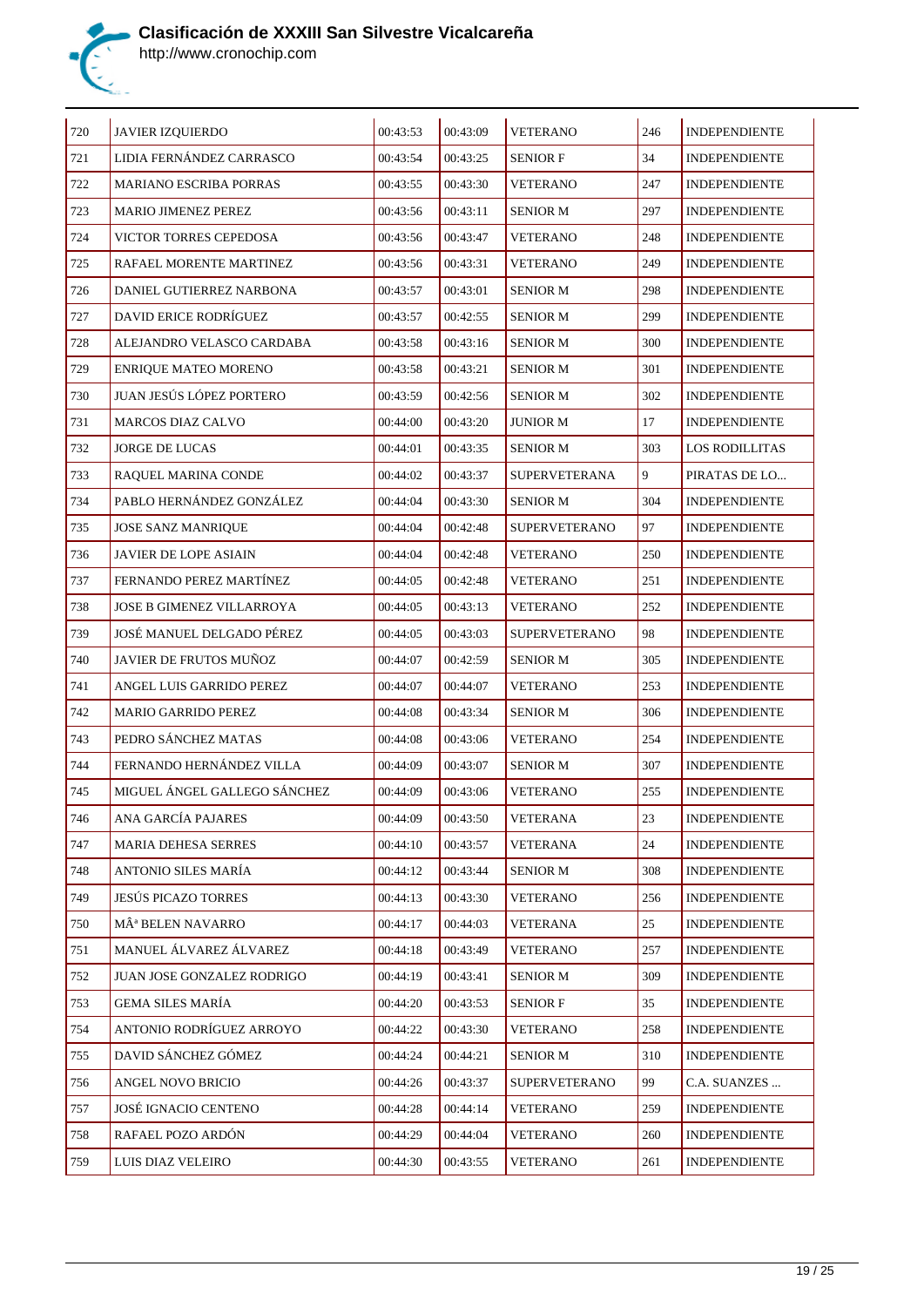

| 720 | JAVIER IZQUIERDO              | 00:43:53 | 00:43:09 | <b>VETERANO</b>      | 246     | <b>INDEPENDIENTE</b>  |
|-----|-------------------------------|----------|----------|----------------------|---------|-----------------------|
| 721 | LIDIA FERNÁNDEZ CARRASCO      | 00:43:54 | 00:43:25 | <b>SENIOR F</b>      | 34      | <b>INDEPENDIENTE</b>  |
| 722 | MARIANO ESCRIBA PORRAS        | 00:43:55 | 00:43:30 | <b>VETERANO</b>      | 247     | <b>INDEPENDIENTE</b>  |
| 723 | <b>MARIO JIMENEZ PEREZ</b>    | 00:43:56 | 00:43:11 | <b>SENIOR M</b>      | 297     | <b>INDEPENDIENTE</b>  |
| 724 | VICTOR TORRES CEPEDOSA        | 00:43:56 | 00:43:47 | <b>VETERANO</b>      | 248     | <b>INDEPENDIENTE</b>  |
| 725 | RAFAEL MORENTE MARTINEZ       | 00:43:56 | 00:43:31 | <b>VETERANO</b>      | 249     | <b>INDEPENDIENTE</b>  |
| 726 | DANIEL GUTIERREZ NARBONA      | 00:43:57 | 00:43:01 | <b>SENIOR M</b>      | 298     | <b>INDEPENDIENTE</b>  |
| 727 | DAVID ERICE RODRÍGUEZ         | 00:43:57 | 00:42:55 | <b>SENIOR M</b>      | 299     | <b>INDEPENDIENTE</b>  |
| 728 | ALEJANDRO VELASCO CARDABA     | 00:43:58 | 00:43:16 | <b>SENIOR M</b>      | 300     | <b>INDEPENDIENTE</b>  |
| 729 | ENRIQUE MATEO MORENO          | 00:43:58 | 00:43:21 | <b>SENIOR M</b>      | 301     | <b>INDEPENDIENTE</b>  |
| 730 | JUAN JESÚS LÓPEZ PORTERO      | 00:43:59 | 00:42:56 | <b>SENIOR M</b>      | 302     | <b>INDEPENDIENTE</b>  |
| 731 | <b>MARCOS DIAZ CALVO</b>      | 00:44:00 | 00:43:20 | <b>JUNIOR M</b>      | 17      | <b>INDEPENDIENTE</b>  |
| 732 | JORGE DE LUCAS                | 00:44:01 | 00:43:35 | <b>SENIOR M</b>      | 303     | <b>LOS RODILLITAS</b> |
| 733 | RAQUEL MARINA CONDE           | 00:44:02 | 00:43:37 | SUPERVETERANA        | 9       | PIRATAS DE LO         |
| 734 | PABLO HERNÁNDEZ GONZÁLEZ      | 00:44:04 | 00:43:30 | <b>SENIOR M</b>      | 304     | <b>INDEPENDIENTE</b>  |
| 735 | <b>JOSE SANZ MANRIQUE</b>     | 00:44:04 | 00:42:48 | <b>SUPERVETERANO</b> | 97      | <b>INDEPENDIENTE</b>  |
| 736 | JAVIER DE LOPE ASIAIN         | 00:44:04 | 00:42:48 | <b>VETERANO</b>      | 250     | <b>INDEPENDIENTE</b>  |
| 737 | FERNANDO PEREZ MARTÍNEZ       | 00:44:05 | 00:42:48 | <b>VETERANO</b>      | 251     | <b>INDEPENDIENTE</b>  |
| 738 | JOSE B GIMENEZ VILLARROYA     | 00:44:05 | 00:43:13 | <b>VETERANO</b>      | 252     | <b>INDEPENDIENTE</b>  |
| 739 | JOSÉ MANUEL DELGADO PÉREZ     | 00:44:05 | 00:43:03 | <b>SUPERVETERANO</b> | 98      | <b>INDEPENDIENTE</b>  |
| 740 | JAVIER DE FRUTOS MUÑOZ        | 00:44:07 | 00:42:59 | <b>SENIOR M</b>      | 305     | <b>INDEPENDIENTE</b>  |
| 741 | ANGEL LUIS GARRIDO PEREZ      | 00:44:07 | 00:44:07 | <b>VETERANO</b>      | 253     | <b>INDEPENDIENTE</b>  |
| 742 | <b>MARIO GARRIDO PEREZ</b>    | 00:44:08 | 00:43:34 | <b>SENIOR M</b>      | 306     | <b>INDEPENDIENTE</b>  |
| 743 | PEDRO SÁNCHEZ MATAS           | 00:44:08 | 00:43:06 | <b>VETERANO</b>      | 254     | <b>INDEPENDIENTE</b>  |
| 744 | FERNANDO HERNÁNDEZ VILLA      | 00:44:09 | 00:43:07 | <b>SENIOR M</b>      | 307     | <b>INDEPENDIENTE</b>  |
| 745 | MIGUEL ÁNGEL GALLEGO SÁNCHEZ  | 00:44:09 | 00:43:06 | <b>VETERANO</b>      | 255     | <b>INDEPENDIENTE</b>  |
| 746 | ANA GARCÍA PAJARES            | 00:44:09 | 00:43:50 | <b>VETERANA</b>      | $23\,$  | <b>INDEPENDIENTE</b>  |
| 747 | MARIA DEHESA SERRES           | 00:44:10 | 00:43:57 | VETERANA             | 24      | <b>INDEPENDIENTE</b>  |
| 748 | ANTONIO SILES MARÍA           | 00:44:12 | 00:43:44 | <b>SENIOR M</b>      | 308     | <b>INDEPENDIENTE</b>  |
| 749 | <b>JESÚS PICAZO TORRES</b>    | 00:44:13 | 00:43:30 | VETERANO             | 256     | <b>INDEPENDIENTE</b>  |
| 750 | MÂ <sup>ª</sup> BELEN NAVARRO | 00:44:17 | 00:44:03 | <b>VETERANA</b>      | 25      | <b>INDEPENDIENTE</b>  |
| 751 | MANUEL ÁLVAREZ ÁLVAREZ        | 00:44:18 | 00:43:49 | <b>VETERANO</b>      | 257     | <b>INDEPENDIENTE</b>  |
| 752 | JUAN JOSE GONZALEZ RODRIGO    | 00:44:19 | 00:43:41 | <b>SENIOR M</b>      | 309     | <b>INDEPENDIENTE</b>  |
| 753 | GEMA SILES MARÍA              | 00:44:20 | 00:43:53 | <b>SENIOR F</b>      | 35      | <b>INDEPENDIENTE</b>  |
| 754 | ANTONIO RODRÍGUEZ ARROYO      | 00:44:22 | 00:43:30 | <b>VETERANO</b>      | 258     | <b>INDEPENDIENTE</b>  |
| 755 | DAVID SÁNCHEZ GÓMEZ           | 00:44:24 | 00:44:21 | <b>SENIOR M</b>      | 310     | <b>INDEPENDIENTE</b>  |
| 756 | ANGEL NOVO BRICIO             | 00:44:26 | 00:43:37 | <b>SUPERVETERANO</b> | 99      | C.A. SUANZES          |
| 757 | JOSÉ IGNACIO CENTENO          | 00:44:28 | 00:44:14 | <b>VETERANO</b>      | 259     | <b>INDEPENDIENTE</b>  |
| 758 | RAFAEL POZO ARDÓN             | 00:44:29 | 00:44:04 | VETERANO             | 260     | <b>INDEPENDIENTE</b>  |
| 759 | LUIS DIAZ VELEIRO             | 00:44:30 | 00:43:55 | <b>VETERANO</b>      | $261\,$ | INDEPENDIENTE         |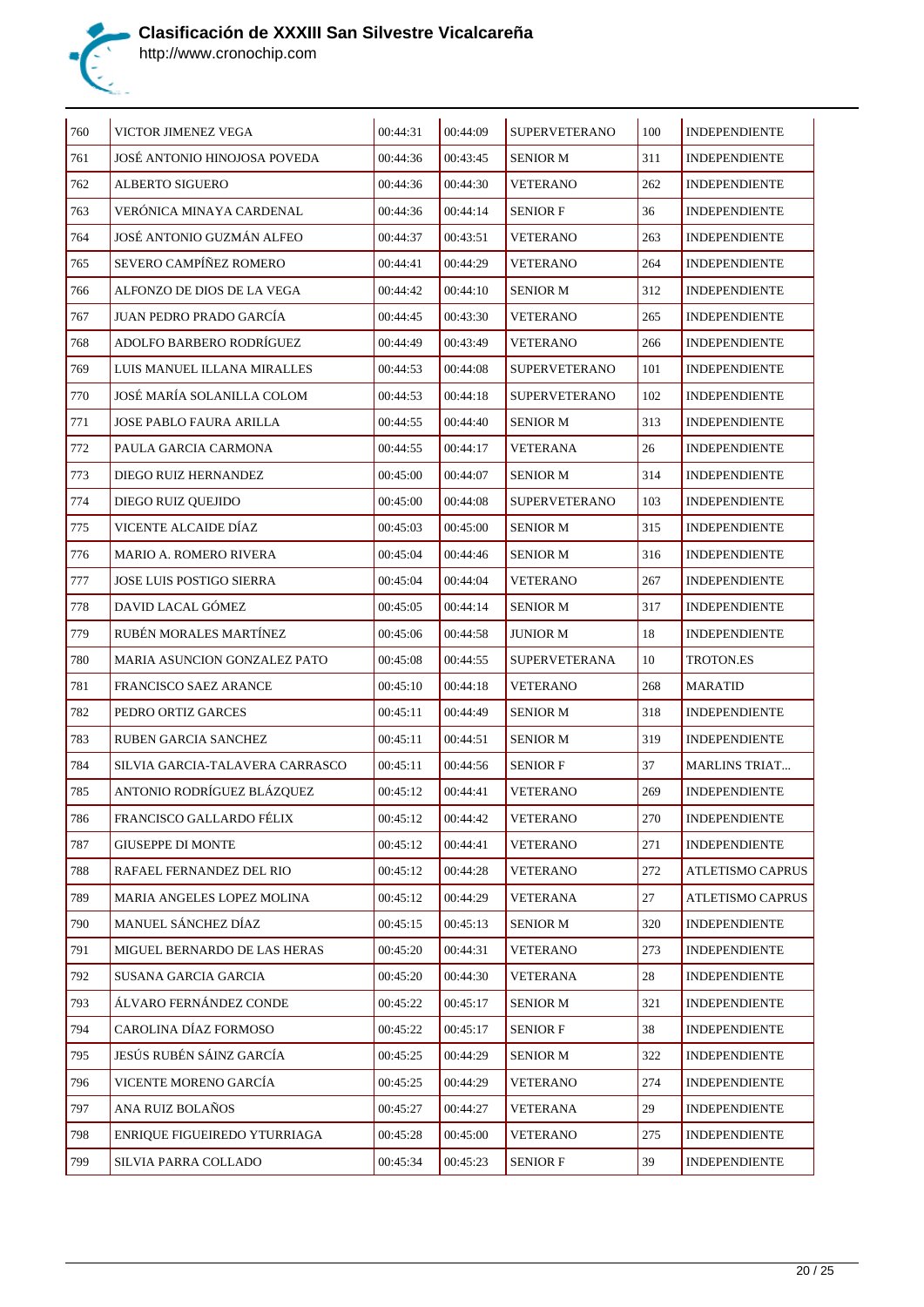

| 760 | VICTOR JIMENEZ VEGA             | 00:44:31 | 00:44:09 | <b>SUPERVETERANO</b> | 100 | <b>INDEPENDIENTE</b> |
|-----|---------------------------------|----------|----------|----------------------|-----|----------------------|
| 761 | JOSÉ ANTONIO HINOJOSA POVEDA    | 00:44:36 | 00:43:45 | <b>SENIOR M</b>      | 311 | <b>INDEPENDIENTE</b> |
| 762 | ALBERTO SIGUERO                 | 00:44:36 | 00:44:30 | VETERANO             | 262 | <b>INDEPENDIENTE</b> |
| 763 | VERÓNICA MINAYA CARDENAL        | 00:44:36 | 00:44:14 | <b>SENIOR F</b>      | 36  | <b>INDEPENDIENTE</b> |
| 764 | JOSÉ ANTONIO GUZMÁN ALFEO       | 00:44:37 | 00:43:51 | <b>VETERANO</b>      | 263 | <b>INDEPENDIENTE</b> |
| 765 | SEVERO CAMPÍÑEZ ROMERO          | 00:44:41 | 00:44:29 | <b>VETERANO</b>      | 264 | <b>INDEPENDIENTE</b> |
| 766 | ALFONZO DE DIOS DE LA VEGA      | 00:44:42 | 00:44:10 | <b>SENIOR M</b>      | 312 | <b>INDEPENDIENTE</b> |
| 767 | JUAN PEDRO PRADO GARCÍA         | 00:44:45 | 00:43:30 | <b>VETERANO</b>      | 265 | <b>INDEPENDIENTE</b> |
| 768 | ADOLFO BARBERO RODRÍGUEZ        | 00:44:49 | 00:43:49 | <b>VETERANO</b>      | 266 | <b>INDEPENDIENTE</b> |
| 769 | LUIS MANUEL ILLANA MIRALLES     | 00:44:53 | 00:44:08 | <b>SUPERVETERANO</b> | 101 | <b>INDEPENDIENTE</b> |
| 770 | JOSÉ MARÍA SOLANILLA COLOM      | 00:44:53 | 00:44:18 | <b>SUPERVETERANO</b> | 102 | <b>INDEPENDIENTE</b> |
| 771 | JOSE PABLO FAURA ARILLA         | 00:44:55 | 00:44:40 | <b>SENIOR M</b>      | 313 | <b>INDEPENDIENTE</b> |
| 772 | PAULA GARCIA CARMONA            | 00:44:55 | 00:44:17 | VETERANA             | 26  | <b>INDEPENDIENTE</b> |
| 773 | DIEGO RUIZ HERNANDEZ            | 00:45:00 | 00:44:07 | <b>SENIOR M</b>      | 314 | <b>INDEPENDIENTE</b> |
| 774 | DIEGO RUIZ QUEJIDO              | 00:45:00 | 00:44:08 | <b>SUPERVETERANO</b> | 103 | <b>INDEPENDIENTE</b> |
| 775 | VICENTE ALCAIDE DÍAZ            | 00:45:03 | 00:45:00 | <b>SENIOR M</b>      | 315 | <b>INDEPENDIENTE</b> |
| 776 | <b>MARIO A. ROMERO RIVERA</b>   | 00:45:04 | 00:44:46 | <b>SENIOR M</b>      | 316 | <b>INDEPENDIENTE</b> |
| 777 | JOSE LUIS POSTIGO SIERRA        | 00:45:04 | 00:44:04 | <b>VETERANO</b>      | 267 | <b>INDEPENDIENTE</b> |
| 778 | DAVID LACAL GÓMEZ               | 00:45:05 | 00:44:14 | <b>SENIOR M</b>      | 317 | <b>INDEPENDIENTE</b> |
| 779 | RUBÉN MORALES MARTÍNEZ          | 00:45:06 | 00:44:58 | <b>JUNIOR M</b>      | 18  | <b>INDEPENDIENTE</b> |
| 780 | MARIA ASUNCION GONZALEZ PATO    | 00:45:08 | 00:44:55 | <b>SUPERVETERANA</b> | 10  | TROTON.ES            |
| 781 | FRANCISCO SAEZ ARANCE           | 00:45:10 | 00:44:18 | <b>VETERANO</b>      | 268 | <b>MARATID</b>       |
| 782 | PEDRO ORTIZ GARCES              | 00:45:11 | 00:44:49 | <b>SENIOR M</b>      | 318 | <b>INDEPENDIENTE</b> |
| 783 | <b>RUBEN GARCIA SANCHEZ</b>     | 00:45:11 | 00:44:51 | <b>SENIOR M</b>      | 319 | <b>INDEPENDIENTE</b> |
| 784 | SILVIA GARCIA-TALAVERA CARRASCO | 00:45:11 | 00:44:56 | <b>SENIOR F</b>      | 37  | <b>MARLINS TRIAT</b> |
| 785 | ANTONIO RODRÍGUEZ BLÁZQUEZ      | 00:45:12 | 00:44:41 | <b>VETERANO</b>      | 269 | <b>INDEPENDIENTE</b> |
| 786 | FRANCISCO GALLARDO FÉLIX        | 00:45:12 | 00:44:42 | <b>VETERANO</b>      | 270 | <b>INDEPENDIENTE</b> |
| 787 | <b>GIUSEPPE DI MONTE</b>        | 00:45:12 | 00:44:41 | <b>VETERANO</b>      | 271 | <b>INDEPENDIENTE</b> |
| 788 | RAFAEL FERNANDEZ DEL RIO        | 00:45:12 | 00:44:28 | <b>VETERANO</b>      | 272 | ATLETISMO CAPRUS     |
| 789 | MARIA ANGELES LOPEZ MOLINA      | 00:45:12 | 00:44:29 | VETERANA             | 27  | ATLETISMO CAPRUS     |
| 790 | MANUEL SÁNCHEZ DÍAZ             | 00:45:15 | 00:45:13 | <b>SENIOR M</b>      | 320 | <b>INDEPENDIENTE</b> |
| 791 | MIGUEL BERNARDO DE LAS HERAS    | 00:45:20 | 00:44:31 | VETERANO             | 273 | <b>INDEPENDIENTE</b> |
| 792 | SUSANA GARCIA GARCIA            | 00:45:20 | 00:44:30 | VETERANA             | 28  | <b>INDEPENDIENTE</b> |
| 793 | ÁLVARO FERNÁNDEZ CONDE          | 00:45:22 | 00:45:17 | <b>SENIOR M</b>      | 321 | <b>INDEPENDIENTE</b> |
| 794 | CAROLINA DÍAZ FORMOSO           | 00:45:22 | 00:45:17 | <b>SENIOR F</b>      | 38  | <b>INDEPENDIENTE</b> |
| 795 | JESÚS RUBÉN SÁINZ GARCÍA        | 00:45:25 | 00:44:29 | <b>SENIOR M</b>      | 322 | <b>INDEPENDIENTE</b> |
| 796 | VICENTE MORENO GARCÍA           | 00:45:25 | 00:44:29 | VETERANO             | 274 | <b>INDEPENDIENTE</b> |
| 797 | ANA RUIZ BOLAÑOS                | 00:45:27 | 00:44:27 | VETERANA             | 29  | <b>INDEPENDIENTE</b> |
| 798 | ENRIQUE FIGUEIREDO YTURRIAGA    | 00:45:28 | 00:45:00 | VETERANO             | 275 | <b>INDEPENDIENTE</b> |
| 799 | SILVIA PARRA COLLADO            | 00:45:34 | 00:45:23 | <b>SENIOR F</b>      | 39  | <b>INDEPENDIENTE</b> |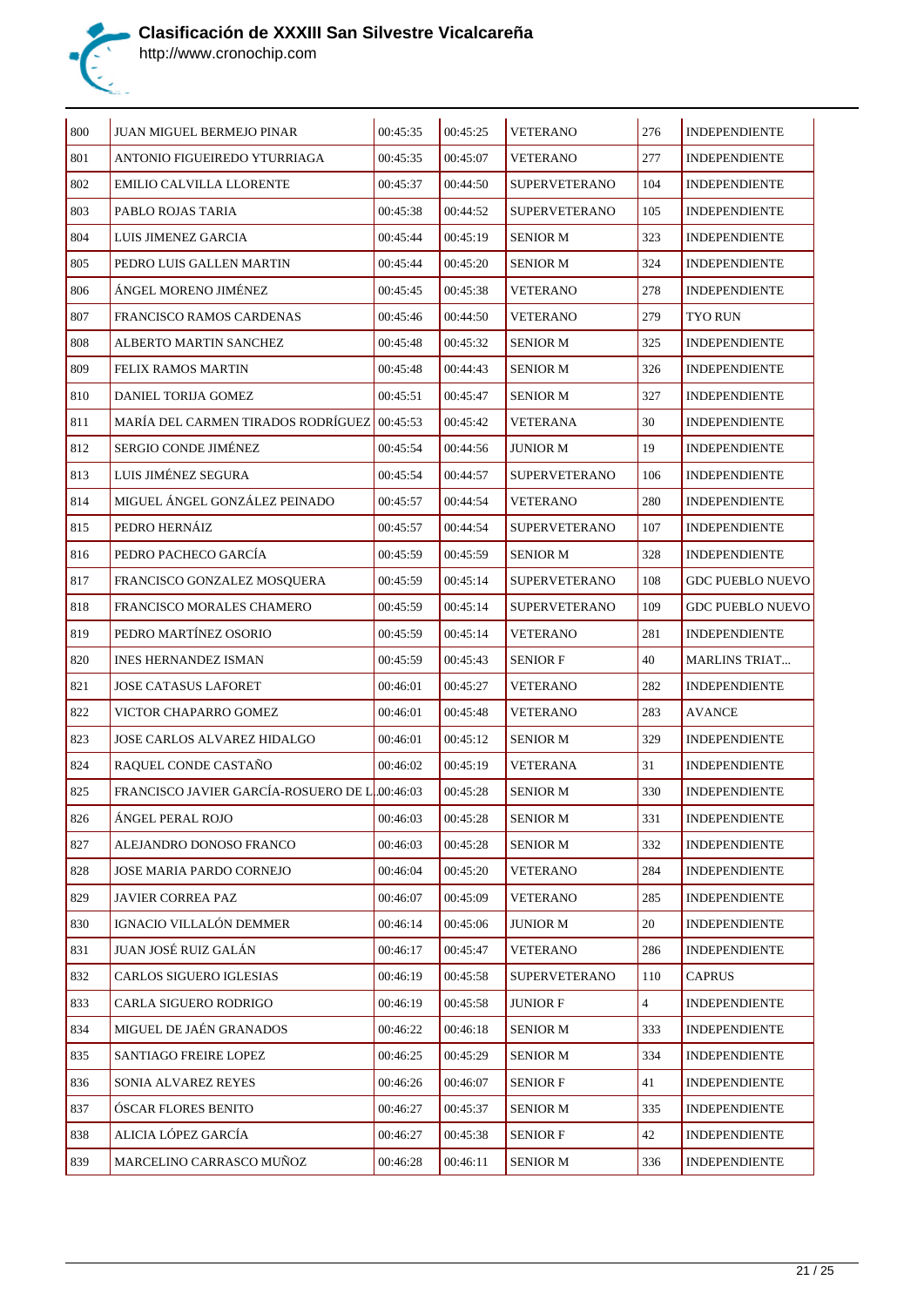

| 800 | JUAN MIGUEL BERMEJO PINAR                     | 00:45:35 | 00:45:25 | <b>VETERANO</b>      | 276            | <b>INDEPENDIENTE</b>    |
|-----|-----------------------------------------------|----------|----------|----------------------|----------------|-------------------------|
| 801 | ANTONIO FIGUEIREDO YTURRIAGA                  | 00:45:35 | 00:45:07 | <b>VETERANO</b>      | 277            | <b>INDEPENDIENTE</b>    |
| 802 | EMILIO CALVILLA LLORENTE                      | 00:45:37 | 00:44:50 | <b>SUPERVETERANO</b> | 104            | <b>INDEPENDIENTE</b>    |
| 803 | PABLO ROJAS TARIA                             | 00:45:38 | 00:44:52 | <b>SUPERVETERANO</b> | 105            | <b>INDEPENDIENTE</b>    |
| 804 | LUIS JIMENEZ GARCIA                           | 00:45:44 | 00:45:19 | <b>SENIOR M</b>      | 323            | <b>INDEPENDIENTE</b>    |
| 805 | PEDRO LUIS GALLEN MARTIN                      | 00:45:44 | 00:45:20 | <b>SENIOR M</b>      | 324            | <b>INDEPENDIENTE</b>    |
| 806 | ÁNGEL MORENO JIMÉNEZ                          | 00:45:45 | 00:45:38 | <b>VETERANO</b>      | 278            | <b>INDEPENDIENTE</b>    |
| 807 | <b>FRANCISCO RAMOS CARDENAS</b>               | 00:45:46 | 00:44:50 | <b>VETERANO</b>      | 279            | TYO RUN                 |
| 808 | ALBERTO MARTIN SANCHEZ                        | 00:45:48 | 00:45:32 | <b>SENIOR M</b>      | 325            | <b>INDEPENDIENTE</b>    |
| 809 | FELIX RAMOS MARTIN                            | 00:45:48 | 00:44:43 | <b>SENIOR M</b>      | 326            | <b>INDEPENDIENTE</b>    |
| 810 | DANIEL TORIJA GOMEZ                           | 00:45:51 | 00:45:47 | <b>SENIOR M</b>      | 327            | INDEPENDIENTE           |
| 811 | MARÍA DEL CARMEN TIRADOS RODRÍGUEZ 00:45:53   |          | 00:45:42 | VETERANA             | 30             | <b>INDEPENDIENTE</b>    |
| 812 | <b>SERGIO CONDE JIMÉNEZ</b>                   | 00:45:54 | 00:44:56 | <b>JUNIOR M</b>      | 19             | <b>INDEPENDIENTE</b>    |
| 813 | LUIS JIMÉNEZ SEGURA                           | 00:45:54 | 00:44:57 | <b>SUPERVETERANO</b> | 106            | <b>INDEPENDIENTE</b>    |
| 814 | MIGUEL ÁNGEL GONZÁLEZ PEINADO                 | 00:45:57 | 00:44:54 | <b>VETERANO</b>      | 280            | <b>INDEPENDIENTE</b>    |
| 815 | PEDRO HERNÁIZ                                 | 00:45:57 | 00:44:54 | <b>SUPERVETERANO</b> | 107            | <b>INDEPENDIENTE</b>    |
| 816 | PEDRO PACHECO GARCÍA                          | 00:45:59 | 00:45:59 | <b>SENIOR M</b>      | 328            | <b>INDEPENDIENTE</b>    |
| 817 | FRANCISCO GONZALEZ MOSQUERA                   | 00:45:59 | 00:45:14 | <b>SUPERVETERANO</b> | 108            | <b>GDC PUEBLO NUEVO</b> |
| 818 | FRANCISCO MORALES CHAMERO                     | 00:45:59 | 00:45:14 | <b>SUPERVETERANO</b> | 109            | <b>GDC PUEBLO NUEVO</b> |
| 819 | PEDRO MARTÍNEZ OSORIO                         | 00:45:59 | 00:45:14 | <b>VETERANO</b>      | 281            | <b>INDEPENDIENTE</b>    |
| 820 | <b>INES HERNANDEZ ISMAN</b>                   | 00:45:59 | 00:45:43 | <b>SENIOR F</b>      | 40             | <b>MARLINS TRIAT</b>    |
| 821 | <b>JOSE CATASUS LAFORET</b>                   | 00:46:01 | 00:45:27 | <b>VETERANO</b>      | 282            | <b>INDEPENDIENTE</b>    |
| 822 | VICTOR CHAPARRO GOMEZ                         | 00:46:01 | 00:45:48 | <b>VETERANO</b>      | 283            | <b>AVANCE</b>           |
| 823 | JOSE CARLOS ALVAREZ HIDALGO                   | 00:46:01 | 00:45:12 | <b>SENIOR M</b>      | 329            | <b>INDEPENDIENTE</b>    |
| 824 | RAQUEL CONDE CASTAÑO                          | 00:46:02 | 00:45:19 | VETERANA             | 31             | <b>INDEPENDIENTE</b>    |
| 825 | FRANCISCO JAVIER GARCÍA-ROSUERO DE L.00:46:03 |          | 00:45:28 | <b>SENIOR M</b>      | 330            | <b>INDEPENDIENTE</b>    |
| 826 | ÁNGEL PERAL ROJO                              | 00:46:03 | 00:45:28 | <b>SENIOR M</b>      | 331            | <b>INDEPENDIENTE</b>    |
| 827 | ALEJANDRO DONOSO FRANCO                       | 00:46:03 | 00:45:28 | <b>SENIOR M</b>      | 332            | <b>INDEPENDIENTE</b>    |
| 828 | JOSE MARIA PARDO CORNEJO                      | 00:46:04 | 00:45:20 | <b>VETERANO</b>      | 284            | <b>INDEPENDIENTE</b>    |
| 829 | JAVIER CORREA PAZ                             | 00:46:07 | 00:45:09 | <b>VETERANO</b>      | 285            | <b>INDEPENDIENTE</b>    |
| 830 | IGNACIO VILLALÓN DEMMER                       | 00:46:14 | 00:45:06 | <b>JUNIOR M</b>      | 20             | <b>INDEPENDIENTE</b>    |
| 831 | JUAN JOSÉ RUIZ GALÁN                          | 00:46:17 | 00:45:47 | <b>VETERANO</b>      | 286            | <b>INDEPENDIENTE</b>    |
| 832 | CARLOS SIGUERO IGLESIAS                       | 00:46:19 | 00:45:58 | <b>SUPERVETERANO</b> | 110            | <b>CAPRUS</b>           |
| 833 | CARLA SIGUERO RODRIGO                         | 00:46:19 | 00:45:58 | <b>JUNIOR F</b>      | $\overline{4}$ | <b>INDEPENDIENTE</b>    |
| 834 | MIGUEL DE JAÉN GRANADOS                       | 00:46:22 | 00:46:18 | <b>SENIOR M</b>      | 333            | <b>INDEPENDIENTE</b>    |
| 835 | SANTIAGO FREIRE LOPEZ                         | 00:46:25 | 00:45:29 | <b>SENIOR M</b>      | 334            | <b>INDEPENDIENTE</b>    |
| 836 | SONIA ALVAREZ REYES                           | 00:46:26 | 00:46:07 | <b>SENIOR F</b>      | 41             | <b>INDEPENDIENTE</b>    |
| 837 | ÓSCAR FLORES BENITO                           | 00:46:27 | 00:45:37 | <b>SENIOR M</b>      | 335            | <b>INDEPENDIENTE</b>    |
| 838 | ALICIA LÓPEZ GARCÍA                           | 00:46:27 | 00:45:38 | <b>SENIOR F</b>      | 42             | <b>INDEPENDIENTE</b>    |
| 839 | MARCELINO CARRASCO MUÑOZ                      | 00:46:28 | 00:46:11 | <b>SENIOR M</b>      | 336            | <b>INDEPENDIENTE</b>    |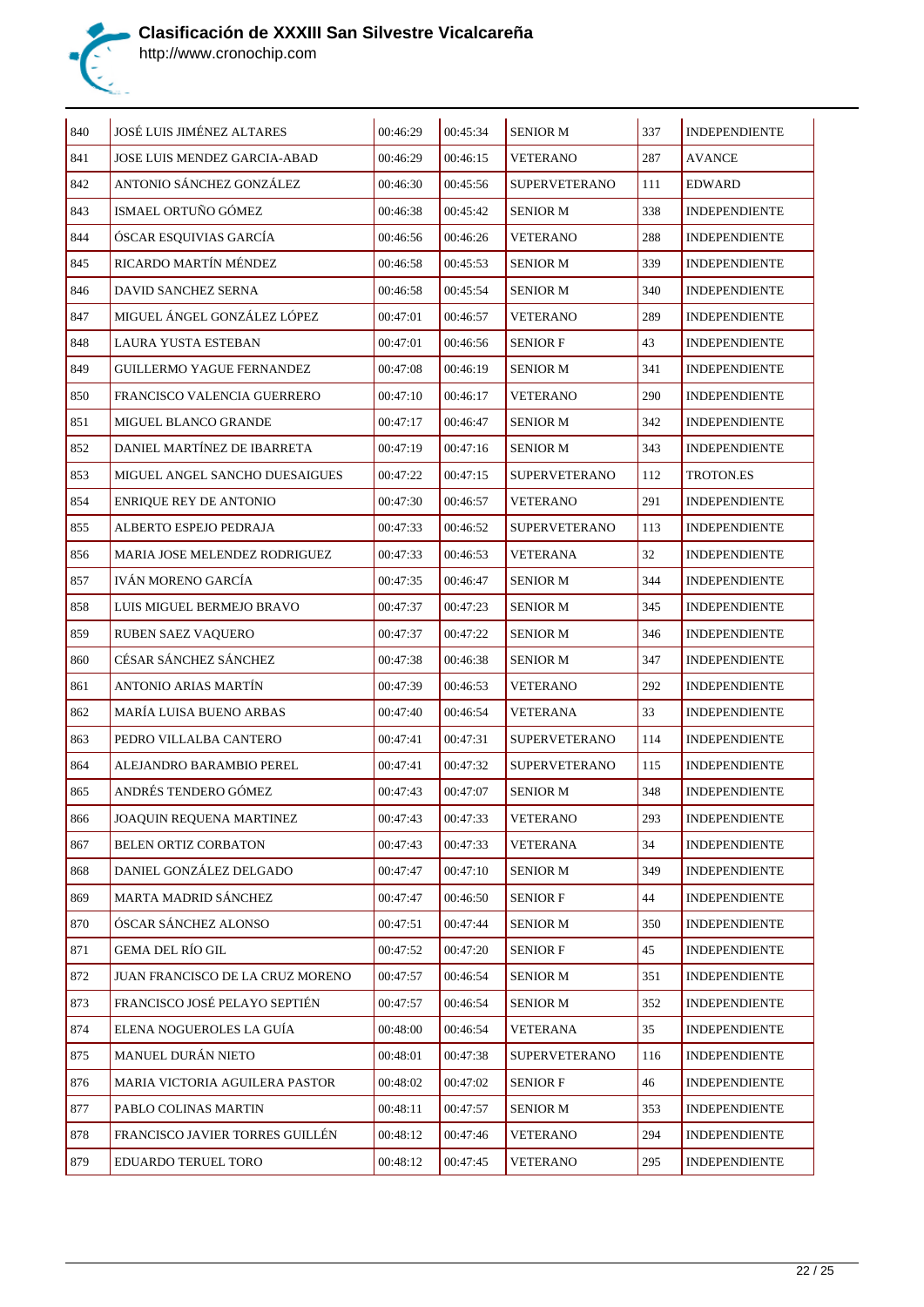

| 840 | JOSÉ LUIS JIMÉNEZ ALTARES        | 00:46:29 | 00:45:34 | <b>SENIOR M</b>      | 337 | <b>INDEPENDIENTE</b> |
|-----|----------------------------------|----------|----------|----------------------|-----|----------------------|
| 841 | JOSE LUIS MENDEZ GARCIA-ABAD     | 00:46:29 | 00:46:15 | <b>VETERANO</b>      | 287 | <b>AVANCE</b>        |
| 842 | ANTONIO SÁNCHEZ GONZÁLEZ         | 00:46:30 | 00:45:56 | <b>SUPERVETERANO</b> | 111 | <b>EDWARD</b>        |
| 843 | ISMAEL ORTUÑO GÓMEZ              | 00:46:38 | 00:45:42 | <b>SENIOR M</b>      | 338 | <b>INDEPENDIENTE</b> |
| 844 | ÓSCAR ESQUIVIAS GARCÍA           | 00:46:56 | 00:46:26 | VETERANO             | 288 | <b>INDEPENDIENTE</b> |
| 845 | RICARDO MARTÍN MÉNDEZ            | 00:46:58 | 00:45:53 | <b>SENIOR M</b>      | 339 | <b>INDEPENDIENTE</b> |
| 846 | DAVID SANCHEZ SERNA              | 00:46:58 | 00:45:54 | <b>SENIOR M</b>      | 340 | <b>INDEPENDIENTE</b> |
| 847 | MIGUEL ÁNGEL GONZÁLEZ LÓPEZ      | 00:47:01 | 00:46:57 | <b>VETERANO</b>      | 289 | <b>INDEPENDIENTE</b> |
| 848 | LAURA YUSTA ESTEBAN              | 00:47:01 | 00:46:56 | <b>SENIOR F</b>      | 43  | <b>INDEPENDIENTE</b> |
| 849 | GUILLERMO YAGUE FERNANDEZ        | 00:47:08 | 00:46:19 | <b>SENIOR M</b>      | 341 | <b>INDEPENDIENTE</b> |
| 850 | FRANCISCO VALENCIA GUERRERO      | 00:47:10 | 00:46:17 | VETERANO             | 290 | <b>INDEPENDIENTE</b> |
| 851 | MIGUEL BLANCO GRANDE             | 00:47:17 | 00:46:47 | <b>SENIOR M</b>      | 342 | <b>INDEPENDIENTE</b> |
| 852 | DANIEL MARTÍNEZ DE IBARRETA      | 00:47:19 | 00:47:16 | <b>SENIOR M</b>      | 343 | <b>INDEPENDIENTE</b> |
| 853 | MIGUEL ANGEL SANCHO DUESAIGUES   | 00:47:22 | 00:47:15 | <b>SUPERVETERANO</b> | 112 | TROTON.ES            |
| 854 | <b>ENRIQUE REY DE ANTONIO</b>    | 00:47:30 | 00:46:57 | <b>VETERANO</b>      | 291 | <b>INDEPENDIENTE</b> |
| 855 | ALBERTO ESPEJO PEDRAJA           | 00:47:33 | 00:46:52 | <b>SUPERVETERANO</b> | 113 | <b>INDEPENDIENTE</b> |
| 856 | MARIA JOSE MELENDEZ RODRIGUEZ    | 00:47:33 | 00:46:53 | VETERANA             | 32  | <b>INDEPENDIENTE</b> |
| 857 | IVÁN MORENO GARCÍA               | 00:47:35 | 00:46:47 | <b>SENIOR M</b>      | 344 | <b>INDEPENDIENTE</b> |
| 858 | LUIS MIGUEL BERMEJO BRAVO        | 00:47:37 | 00:47:23 | <b>SENIOR M</b>      | 345 | <b>INDEPENDIENTE</b> |
| 859 | RUBEN SAEZ VAQUERO               | 00:47:37 | 00:47:22 | <b>SENIOR M</b>      | 346 | <b>INDEPENDIENTE</b> |
| 860 | CÉSAR SÁNCHEZ SÁNCHEZ            | 00:47:38 | 00:46:38 | <b>SENIOR M</b>      | 347 | <b>INDEPENDIENTE</b> |
| 861 | ANTONIO ARIAS MARTÍN             | 00:47:39 | 00:46:53 | <b>VETERANO</b>      | 292 | <b>INDEPENDIENTE</b> |
| 862 | <b>MARÍA LUISA BUENO ARBAS</b>   | 00:47:40 | 00:46:54 | VETERANA             | 33  | <b>INDEPENDIENTE</b> |
| 863 | PEDRO VILLALBA CANTERO           | 00:47:41 | 00:47:31 | <b>SUPERVETERANO</b> | 114 | <b>INDEPENDIENTE</b> |
| 864 | ALEJANDRO BARAMBIO PEREL         | 00:47:41 | 00:47:32 | <b>SUPERVETERANO</b> | 115 | <b>INDEPENDIENTE</b> |
| 865 | ANDRÉS TENDERO GÓMEZ             | 00:47:43 | 00:47:07 | <b>SENIOR M</b>      | 348 | <b>INDEPENDIENTE</b> |
| 866 | JOAQUIN REQUENA MARTINEZ         | 00:47:43 | 00:47:33 | <b>VETERANO</b>      | 293 | <b>INDEPENDIENTE</b> |
| 867 | BELEN ORTIZ CORBATON             | 00:47:43 | 00:47:33 | <b>VETERANA</b>      | 34  | <b>INDEPENDIENTE</b> |
| 868 | DANIEL GONZÁLEZ DELGADO          | 00:47:47 | 00:47:10 | <b>SENIOR M</b>      | 349 | <b>INDEPENDIENTE</b> |
| 869 | MARTA MADRID SÁNCHEZ             | 00:47:47 | 00:46:50 | <b>SENIOR F</b>      | 44  | <b>INDEPENDIENTE</b> |
| 870 | ÓSCAR SÁNCHEZ ALONSO             | 00:47:51 | 00:47:44 | <b>SENIOR M</b>      | 350 | <b>INDEPENDIENTE</b> |
| 871 | <b>GEMA DEL RÍO GIL</b>          | 00:47:52 | 00:47:20 | <b>SENIOR F</b>      | 45  | <b>INDEPENDIENTE</b> |
| 872 | JUAN FRANCISCO DE LA CRUZ MORENO | 00:47:57 | 00:46:54 | <b>SENIOR M</b>      | 351 | INDEPENDIENTE        |
| 873 | FRANCISCO JOSÉ PELAYO SEPTIÉN    | 00:47:57 | 00:46:54 | <b>SENIOR M</b>      | 352 | <b>INDEPENDIENTE</b> |
| 874 | ELENA NOGUEROLES LA GUÍA         | 00:48:00 | 00:46:54 | <b>VETERANA</b>      | 35  | <b>INDEPENDIENTE</b> |
| 875 | MANUEL DURÁN NIETO               | 00:48:01 | 00:47:38 | <b>SUPERVETERANO</b> | 116 | <b>INDEPENDIENTE</b> |
| 876 | MARIA VICTORIA AGUILERA PASTOR   | 00:48:02 | 00:47:02 | <b>SENIOR F</b>      | 46  | <b>INDEPENDIENTE</b> |
| 877 | PABLO COLINAS MARTIN             | 00:48:11 | 00:47:57 | <b>SENIOR M</b>      | 353 | <b>INDEPENDIENTE</b> |
| 878 | FRANCISCO JAVIER TORRES GUILLÉN  | 00:48:12 | 00:47:46 | <b>VETERANO</b>      | 294 | <b>INDEPENDIENTE</b> |
| 879 | EDUARDO TERUEL TORO              | 00:48:12 | 00:47:45 | <b>VETERANO</b>      | 295 | <b>INDEPENDIENTE</b> |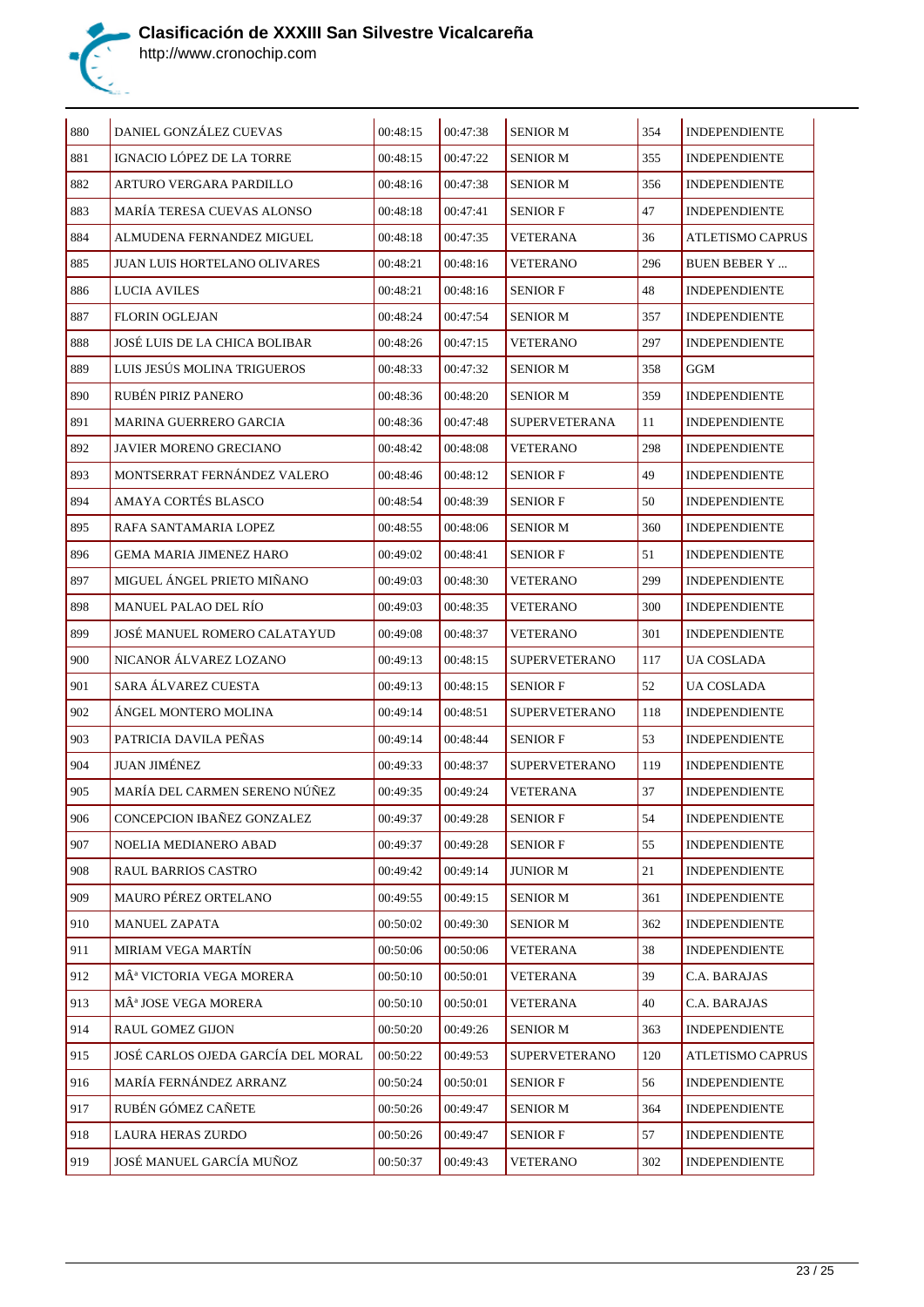

| 880 | DANIEL GONZÁLEZ CUEVAS               | 00:48:15 | 00:47:38 | <b>SENIOR M</b>      | 354 | <b>INDEPENDIENTE</b>    |
|-----|--------------------------------------|----------|----------|----------------------|-----|-------------------------|
| 881 | IGNACIO LÓPEZ DE LA TORRE            | 00:48:15 | 00:47:22 | <b>SENIOR M</b>      | 355 | <b>INDEPENDIENTE</b>    |
| 882 | ARTURO VERGARA PARDILLO              | 00:48:16 | 00:47:38 | <b>SENIOR M</b>      | 356 | <b>INDEPENDIENTE</b>    |
| 883 | MARÍA TERESA CUEVAS ALONSO           | 00:48:18 | 00:47:41 | <b>SENIOR F</b>      | 47  | <b>INDEPENDIENTE</b>    |
| 884 | ALMUDENA FERNANDEZ MIGUEL            | 00:48:18 | 00:47:35 | VETERANA             | 36  | <b>ATLETISMO CAPRUS</b> |
| 885 | <b>JUAN LUIS HORTELANO OLIVARES</b>  | 00:48:21 | 00:48:16 | <b>VETERANO</b>      | 296 | <b>BUEN BEBER Y </b>    |
| 886 | <b>LUCIA AVILES</b>                  | 00:48:21 | 00:48:16 | <b>SENIOR F</b>      | 48  | <b>INDEPENDIENTE</b>    |
| 887 | <b>FLORIN OGLEJAN</b>                | 00:48:24 | 00:47:54 | SENIOR M             | 357 | <b>INDEPENDIENTE</b>    |
| 888 | JOSÉ LUIS DE LA CHICA BOLIBAR        | 00:48:26 | 00:47:15 | <b>VETERANO</b>      | 297 | <b>INDEPENDIENTE</b>    |
| 889 | LUIS JESÚS MOLINA TRIGUEROS          | 00:48:33 | 00:47:32 | <b>SENIOR M</b>      | 358 | GGM                     |
| 890 | RUBÉN PIRIZ PANERO                   | 00:48:36 | 00:48:20 | <b>SENIOR M</b>      | 359 | <b>INDEPENDIENTE</b>    |
| 891 | <b>MARINA GUERRERO GARCIA</b>        | 00:48:36 | 00:47:48 | <b>SUPERVETERANA</b> | 11  | <b>INDEPENDIENTE</b>    |
| 892 | <b>JAVIER MORENO GRECIANO</b>        | 00:48:42 | 00:48:08 | <b>VETERANO</b>      | 298 | <b>INDEPENDIENTE</b>    |
| 893 | MONTSERRAT FERNÁNDEZ VALERO          | 00:48:46 | 00:48:12 | <b>SENIOR F</b>      | 49  | <b>INDEPENDIENTE</b>    |
| 894 | AMAYA CORTÉS BLASCO                  | 00:48:54 | 00:48:39 | <b>SENIOR F</b>      | 50  | <b>INDEPENDIENTE</b>    |
| 895 | RAFA SANTAMARIA LOPEZ                | 00:48:55 | 00:48:06 | <b>SENIOR M</b>      | 360 | <b>INDEPENDIENTE</b>    |
| 896 | <b>GEMA MARIA JIMENEZ HARO</b>       | 00:49:02 | 00:48:41 | <b>SENIOR F</b>      | 51  | <b>INDEPENDIENTE</b>    |
| 897 | MIGUEL ÁNGEL PRIETO MIÑANO           | 00:49:03 | 00:48:30 | <b>VETERANO</b>      | 299 | <b>INDEPENDIENTE</b>    |
| 898 | <b>MANUEL PALAO DEL RÍO</b>          | 00:49:03 | 00:48:35 | <b>VETERANO</b>      | 300 | <b>INDEPENDIENTE</b>    |
| 899 | JOSÉ MANUEL ROMERO CALATAYUD         | 00:49:08 | 00:48:37 | <b>VETERANO</b>      | 301 | <b>INDEPENDIENTE</b>    |
| 900 | NICANOR ÁLVAREZ LOZANO               | 00:49:13 | 00:48:15 | <b>SUPERVETERANO</b> | 117 | UA COSLADA              |
| 901 | SARA ÁLVAREZ CUESTA                  | 00:49:13 | 00:48:15 | <b>SENIOR F</b>      | 52  | UA COSLADA              |
| 902 | ÀNGEL MONTERO MOLINA                 | 00:49:14 | 00:48:51 | <b>SUPERVETERANO</b> | 118 | <b>INDEPENDIENTE</b>    |
| 903 | PATRICIA DAVILA PEÑAS                | 00:49:14 | 00:48:44 | <b>SENIOR F</b>      | 53  | <b>INDEPENDIENTE</b>    |
| 904 | <b>JUAN JIMÉNEZ</b>                  | 00:49:33 | 00:48:37 | <b>SUPERVETERANO</b> | 119 | <b>INDEPENDIENTE</b>    |
| 905 | MARÍA DEL CARMEN SERENO NÚÑEZ        | 00:49:35 | 00:49:24 | <b>VETERANA</b>      | 37  | <b>INDEPENDIENTE</b>    |
| 906 | CONCEPCION IBAÑEZ GONZALEZ           | 00:49:37 | 00:49:28 | <b>SENIOR F</b>      | 54  | INDEPENDIENTE           |
| 907 | NOELIA MEDIANERO ABAD                | 00:49:37 | 00:49:28 | <b>SENIOR F</b>      | 55  | <b>INDEPENDIENTE</b>    |
| 908 | <b>RAUL BARRIOS CASTRO</b>           | 00:49:42 | 00:49:14 | <b>JUNIOR M</b>      | 21  | <b>INDEPENDIENTE</b>    |
| 909 | <b>MAURO PÉREZ ORTELANO</b>          | 00:49:55 | 00:49:15 | <b>SENIOR M</b>      | 361 | <b>INDEPENDIENTE</b>    |
| 910 | <b>MANUEL ZAPATA</b>                 | 00:50:02 | 00:49:30 | <b>SENIOR M</b>      | 362 | <b>INDEPENDIENTE</b>    |
| 911 | MIRIAM VEGA MARTÍN                   | 00:50:06 | 00:50:06 | <b>VETERANA</b>      | 38  | <b>INDEPENDIENTE</b>    |
| 912 | MÂ <sup>ª</sup> VICTORIA VEGA MORERA | 00:50:10 | 00:50:01 | <b>VETERANA</b>      | 39  | C.A. BARAJAS            |
| 913 | MÂ <sup>ª</sup> JOSE VEGA MORERA     | 00:50:10 | 00:50:01 | <b>VETERANA</b>      | 40  | C.A. BARAJAS            |
| 914 | <b>RAUL GOMEZ GIJON</b>              | 00:50:20 | 00:49:26 | <b>SENIOR M</b>      | 363 | <b>INDEPENDIENTE</b>    |
| 915 | JOSÉ CARLOS OJEDA GARCÍA DEL MORAL   | 00:50:22 | 00:49:53 | <b>SUPERVETERANO</b> | 120 | ATLETISMO CAPRUS        |
| 916 | MARÍA FERNÁNDEZ ARRANZ               | 00:50:24 | 00:50:01 | <b>SENIOR F</b>      | 56  | <b>INDEPENDIENTE</b>    |
| 917 | RUBÉN GÓMEZ CAÑETE                   | 00:50:26 | 00:49:47 | <b>SENIOR M</b>      | 364 | <b>INDEPENDIENTE</b>    |
| 918 | LAURA HERAS ZURDO                    | 00:50:26 | 00:49:47 | <b>SENIOR F</b>      | 57  | <b>INDEPENDIENTE</b>    |
| 919 | JOSÉ MANUEL GARCÍA MUÑOZ             | 00:50:37 | 00:49:43 | <b>VETERANO</b>      | 302 | <b>INDEPENDIENTE</b>    |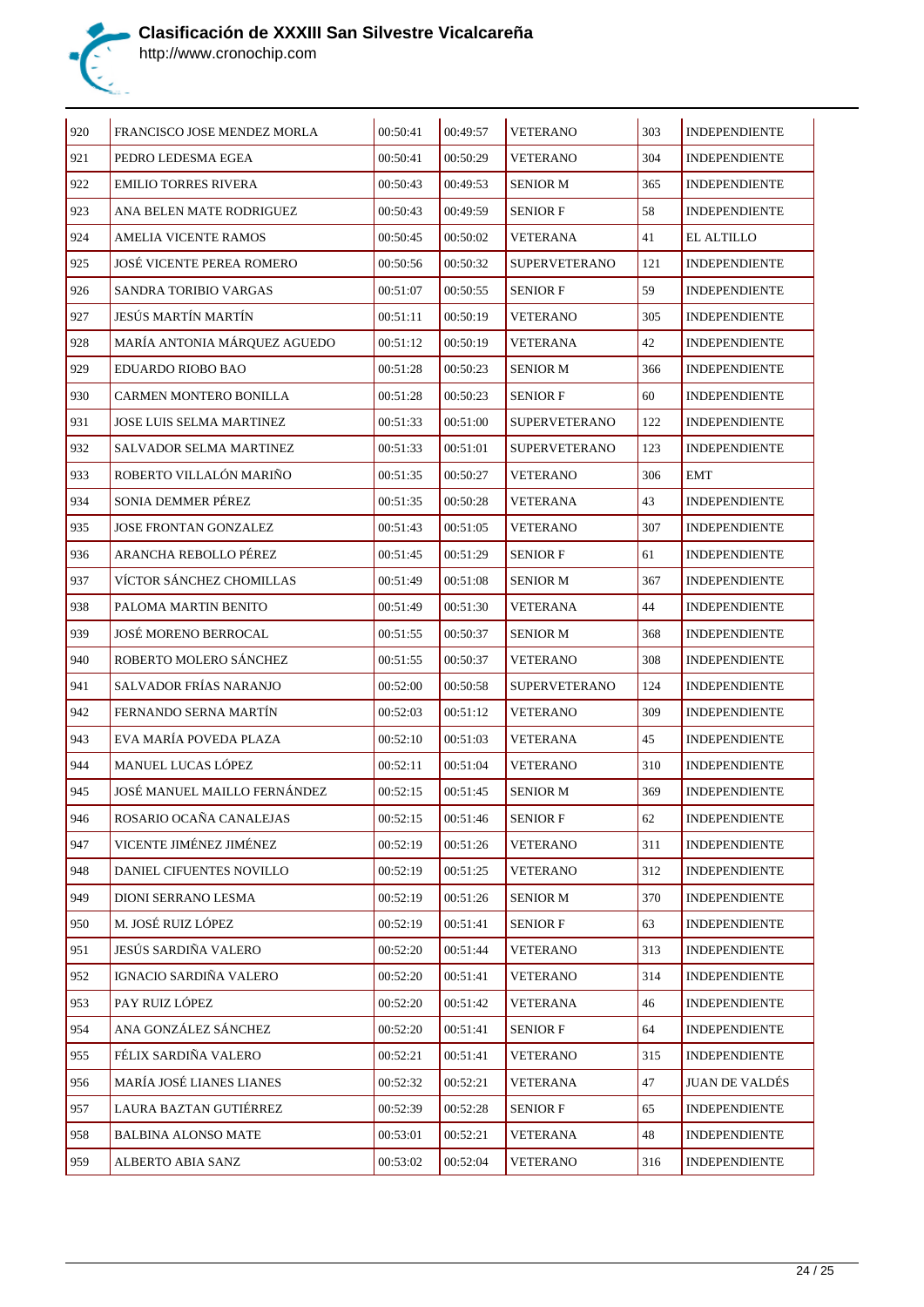

| 920 | FRANCISCO JOSE MENDEZ MORLA      | 00:50:41 | 00:49:57 | <b>VETERANO</b>      | 303 | <b>INDEPENDIENTE</b>  |
|-----|----------------------------------|----------|----------|----------------------|-----|-----------------------|
| 921 | PEDRO LEDESMA EGEA               | 00:50:41 | 00:50:29 | <b>VETERANO</b>      | 304 | <b>INDEPENDIENTE</b>  |
| 922 | <b>EMILIO TORRES RIVERA</b>      | 00:50:43 | 00:49:53 | <b>SENIOR M</b>      | 365 | <b>INDEPENDIENTE</b>  |
| 923 | ANA BELEN MATE RODRIGUEZ         | 00:50:43 | 00:49:59 | <b>SENIOR F</b>      | 58  | <b>INDEPENDIENTE</b>  |
| 924 | AMELIA VICENTE RAMOS             | 00:50:45 | 00:50:02 | VETERANA             | 41  | <b>EL ALTILLO</b>     |
| 925 | <b>JOSÉ VICENTE PEREA ROMERO</b> | 00:50:56 | 00:50:32 | <b>SUPERVETERANO</b> | 121 | <b>INDEPENDIENTE</b>  |
| 926 | SANDRA TORIBIO VARGAS            | 00:51:07 | 00:50:55 | <b>SENIOR F</b>      | 59  | <b>INDEPENDIENTE</b>  |
| 927 | JESÚS MARTÍN MARTÍN              | 00:51:11 | 00:50:19 | <b>VETERANO</b>      | 305 | <b>INDEPENDIENTE</b>  |
| 928 | MARÍA ANTONIA MÁRQUEZ AGUEDO     | 00:51:12 | 00:50:19 | <b>VETERANA</b>      | 42  | <b>INDEPENDIENTE</b>  |
| 929 | EDUARDO RIOBO BAO                | 00:51:28 | 00:50:23 | <b>SENIOR M</b>      | 366 | <b>INDEPENDIENTE</b>  |
| 930 | CARMEN MONTERO BONILLA           | 00:51:28 | 00:50:23 | <b>SENIOR F</b>      | 60  | <b>INDEPENDIENTE</b>  |
| 931 | <b>JOSE LUIS SELMA MARTINEZ</b>  | 00:51:33 | 00:51:00 | <b>SUPERVETERANO</b> | 122 | <b>INDEPENDIENTE</b>  |
| 932 | SALVADOR SELMA MARTINEZ          | 00:51:33 | 00:51:01 | <b>SUPERVETERANO</b> | 123 | <b>INDEPENDIENTE</b>  |
| 933 | ROBERTO VILLALÓN MARIÑO          | 00:51:35 | 00:50:27 | <b>VETERANO</b>      | 306 | <b>EMT</b>            |
| 934 | SONIA DEMMER PÉREZ               | 00:51:35 | 00:50:28 | VETERANA             | 43  | <b>INDEPENDIENTE</b>  |
| 935 | <b>JOSE FRONTAN GONZALEZ</b>     | 00:51:43 | 00:51:05 | <b>VETERANO</b>      | 307 | <b>INDEPENDIENTE</b>  |
| 936 | ARANCHA REBOLLO PÉREZ            | 00:51:45 | 00:51:29 | <b>SENIOR F</b>      | 61  | <b>INDEPENDIENTE</b>  |
| 937 | VÍCTOR SÁNCHEZ CHOMILLAS         | 00:51:49 | 00:51:08 | <b>SENIOR M</b>      | 367 | <b>INDEPENDIENTE</b>  |
| 938 | PALOMA MARTIN BENITO             | 00:51:49 | 00:51:30 | VETERANA             | 44  | <b>INDEPENDIENTE</b>  |
| 939 | JOSÉ MORENO BERROCAL             | 00:51:55 | 00:50:37 | <b>SENIOR M</b>      | 368 | <b>INDEPENDIENTE</b>  |
| 940 | ROBERTO MOLERO SÁNCHEZ           | 00:51:55 | 00:50:37 | <b>VETERANO</b>      | 308 | <b>INDEPENDIENTE</b>  |
| 941 | SALVADOR FRÍAS NARANJO           | 00:52:00 | 00:50:58 | <b>SUPERVETERANO</b> | 124 | <b>INDEPENDIENTE</b>  |
| 942 | FERNANDO SERNA MARTÍN            | 00:52:03 | 00:51:12 | <b>VETERANO</b>      | 309 | <b>INDEPENDIENTE</b>  |
| 943 | EVA MARÍA POVEDA PLAZA           | 00:52:10 | 00:51:03 | VETERANA             | 45  | <b>INDEPENDIENTE</b>  |
| 944 | MANUEL LUCAS LÓPEZ               | 00:52:11 | 00:51:04 | <b>VETERANO</b>      | 310 | <b>INDEPENDIENTE</b>  |
| 945 | JOSÉ MANUEL MAILLO FERNÁNDEZ     | 00:52:15 | 00:51:45 | <b>SENIOR M</b>      | 369 | <b>INDEPENDIENTE</b>  |
| 946 | ROSARIO OCAÑA CANALEJAS          | 00:52:15 | 00:51:46 | <b>SENIOR F</b>      | 62  | INDEPENDIENTE         |
| 947 | VICENTE JIMÉNEZ JIMÉNEZ          | 00:52:19 | 00:51:26 | <b>VETERANO</b>      | 311 | <b>INDEPENDIENTE</b>  |
| 948 | DANIEL CIFUENTES NOVILLO         | 00:52:19 | 00:51:25 | <b>VETERANO</b>      | 312 | <b>INDEPENDIENTE</b>  |
| 949 | DIONI SERRANO LESMA              | 00:52:19 | 00:51:26 | SENIOR M             | 370 | <b>INDEPENDIENTE</b>  |
| 950 | M. JOSÉ RUIZ LÓPEZ               | 00:52:19 | 00:51:41 | <b>SENIOR F</b>      | 63  | <b>INDEPENDIENTE</b>  |
| 951 | JESÚS SARDIÑA VALERO             | 00:52:20 | 00:51:44 | <b>VETERANO</b>      | 313 | <b>INDEPENDIENTE</b>  |
| 952 | IGNACIO SARDIÑA VALERO           | 00:52:20 | 00:51:41 | <b>VETERANO</b>      | 314 | INDEPENDIENTE         |
| 953 | PAY RUIZ LÓPEZ                   | 00:52:20 | 00:51:42 | <b>VETERANA</b>      | 46  | <b>INDEPENDIENTE</b>  |
| 954 | ANA GONZÁLEZ SÁNCHEZ             | 00:52:20 | 00:51:41 | <b>SENIOR F</b>      | 64  | <b>INDEPENDIENTE</b>  |
| 955 | FÉLIX SARDIÑA VALERO             | 00:52:21 | 00:51:41 | <b>VETERANO</b>      | 315 | <b>INDEPENDIENTE</b>  |
| 956 | MARÍA JOSÉ LIANES LIANES         | 00:52:32 | 00:52:21 | <b>VETERANA</b>      | 47  | <b>JUAN DE VALDÉS</b> |
| 957 | LAURA BAZTAN GUTIÉRREZ           | 00:52:39 | 00:52:28 | <b>SENIOR F</b>      | 65  | <b>INDEPENDIENTE</b>  |
| 958 | <b>BALBINA ALONSO MATE</b>       | 00:53:01 | 00:52:21 | VETERANA             | 48  | <b>INDEPENDIENTE</b>  |
| 959 | ALBERTO ABIA SANZ                | 00:53:02 | 00:52:04 | <b>VETERANO</b>      | 316 | <b>INDEPENDIENTE</b>  |